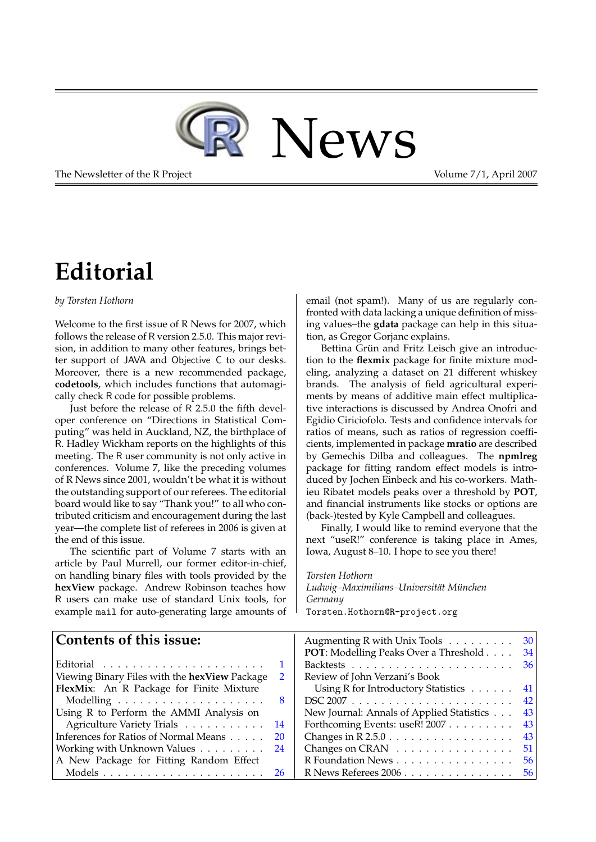

The Newsletter of the R Project **Volume 7/1**, April 2007

# **Editorial**

#### <span id="page-0-0"></span>*by Torsten Hothorn*

Welcome to the first issue of R News for 2007, which follows the release of R version 2.5.0. This major revision, in addition to many other features, brings better support of JAVA and Objective C to our desks. Moreover, there is a new recommended package, **codetools**, which includes functions that automagically check R code for possible problems.

Just before the release of R 2.5.0 the fifth developer conference on "Directions in Statistical Computing" was held in Auckland, NZ, the birthplace of R. Hadley Wickham reports on the highlights of this meeting. The R user community is not only active in conferences. Volume 7, like the preceding volumes of R News since 2001, wouldn't be what it is without the outstanding support of our referees. The editorial board would like to say "Thank you!" to all who contributed criticism and encouragement during the last year—the complete list of referees in 2006 is given at the end of this issue.

The scientific part of Volume 7 starts with an article by Paul Murrell, our former editor-in-chief, on handling binary files with tools provided by the **hexView** package. Andrew Robinson teaches how R users can make use of standard Unix tools, for example mail for auto-generating large amounts of email (not spam!). Many of us are regularly confronted with data lacking a unique definition of missing values–the **gdata** package can help in this situation, as Gregor Gorjanc explains.

Bettina Grün and Fritz Leisch give an introduction to the **flexmix** package for finite mixture modeling, analyzing a dataset on 21 different whiskey brands. The analysis of field agricultural experiments by means of additive main effect multiplicative interactions is discussed by Andrea Onofri and Egidio Ciriciofolo. Tests and confidence intervals for ratios of means, such as ratios of regression coefficients, implemented in package **mratio** are described by Gemechis Dilba and colleagues. The **npmlreg** package for fitting random effect models is introduced by Jochen Einbeck and his co-workers. Mathieu Ribatet models peaks over a threshold by **POT**, and financial instruments like stocks or options are (back-)tested by Kyle Campbell and colleagues.

Finally, I would like to remind everyone that the next "useR!" conference is taking place in Ames, Iowa, August 8–10. I hope to see you there!

*Torsten Hothorn*

*Ludwig–Maximilians–Universität München Germany* [Torsten.Hothorn@R-project.org](mailto:Torsten.Hothorn@R-project.org)

#### **Contents of this issue:** Editorial . . . . . . . . . . . . . . . . . . . . . . [1](#page-0-0) Viewing Binary Files with the **hexView** Package [2](#page-1-0) **FlexMix**: An R Package for Finite Mixture Modelling . . . . . . . . . . . . . . . . . . . . [8](#page-7-0) Using R to Perform the AMMI Analysis on Agriculture Variety Trials . . . . . . . . . . [14](#page-13-0) Inferences for Ratios of Normal Means . . . . . [20](#page-19-0) Working with Unknown Values . . . . . . . . [24](#page-23-0) A New Package for Fitting Random Effect Models . . . . . . . . . . . . . . . . . . . . . . [26](#page-25-0) Augmenting R with Unix Tools . . . . . . . . . [30](#page-29-0) **POT**: Modelling Peaks Over a Threshold . . . . [34](#page-33-0) Backtests . . . . . . . . . . . . . . . . . . . . . . [36](#page-35-0) Review of John Verzani's Book Using R for Introductory Statistics . . . . . . [41](#page-40-0) DSC 2007 . . . . . . . . . . . . . . . . . . . . . . [42](#page-41-0) New Journal: Annals of Applied Statistics . . . [43](#page-42-0) Forthcoming Events: useR! 2007 . . . . . . . . . [43](#page-42-1) Changes in R 2.5.0 . . . . . . . . . . . . . . . . . [43](#page-42-2) Changes on CRAN . . . . . . . . . . . . . . . . [51](#page-50-0) R Foundation News . . . . . . . . . . . . . . . . [56](#page-55-0) R News Referees 2006 . . . . . . . . . . . . . . . . [56](#page-55-1)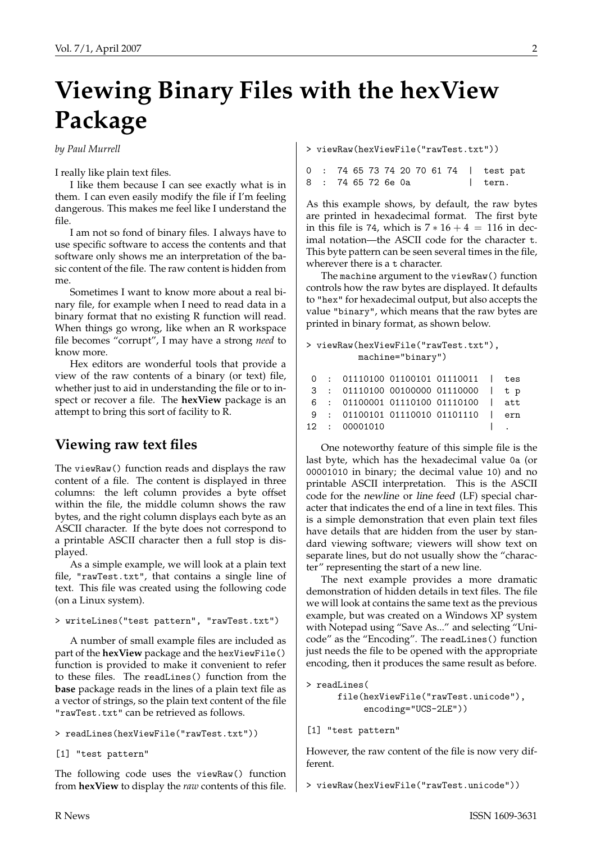# **Viewing Binary Files with the hexView Package**

<span id="page-1-0"></span>*by Paul Murrell*

I really like plain text files.

I like them because I can see exactly what is in them. I can even easily modify the file if I'm feeling dangerous. This makes me feel like I understand the file.

I am not so fond of binary files. I always have to use specific software to access the contents and that software only shows me an interpretation of the basic content of the file. The raw content is hidden from me.

Sometimes I want to know more about a real binary file, for example when I need to read data in a binary format that no existing R function will read. When things go wrong, like when an R workspace file becomes "corrupt", I may have a strong *need* to know more.

Hex editors are wonderful tools that provide a view of the raw contents of a binary (or text) file, whether just to aid in understanding the file or to inspect or recover a file. The **hexView** package is an attempt to bring this sort of facility to R.

# **Viewing raw text files**

The viewRaw() function reads and displays the raw content of a file. The content is displayed in three columns: the left column provides a byte offset within the file, the middle column shows the raw bytes, and the right column displays each byte as an ASCII character. If the byte does not correspond to a printable ASCII character then a full stop is displayed.

As a simple example, we will look at a plain text file, "rawTest.txt", that contains a single line of text. This file was created using the following code (on a Linux system).

```
> writeLines("test pattern", "rawTest.txt")
```
A number of small example files are included as part of the **hexView** package and the hexViewFile() function is provided to make it convenient to refer to these files. The readLines() function from the **base** package reads in the lines of a plain text file as a vector of strings, so the plain text content of the file "rawTest.txt" can be retrieved as follows.

```
> readLines(hexViewFile("rawTest.txt"))
```
[1] "test pattern"

The following code uses the viewRaw() function from **hexView** to display the *raw* contents of this file. > viewRaw(hexViewFile("rawTest.txt"))

|  |                    |  |  |  |  | 0 : 74 65 73 74 20 70 61 74   test pat |  |
|--|--------------------|--|--|--|--|----------------------------------------|--|
|  | 8 : 74 65 72 6e 0a |  |  |  |  | l tern.                                |  |

As this example shows, by default, the raw bytes are printed in hexadecimal format. The first byte in this file is 74, which is  $7 * 16 + 4 = 116$  in decimal notation—the ASCII code for the character t. This byte pattern can be seen several times in the file, wherever there is a t character.

The machine argument to the viewRaw() function controls how the raw bytes are displayed. It defaults to "hex" for hexadecimal output, but also accepts the value "binary", which means that the raw bytes are printed in binary format, as shown below.

```
> viewRaw(hexViewFile("rawTest.txt"),
          machine="binary")
```

|  | $0: 0111010001100101011110011$   tes |  |  |
|--|--------------------------------------|--|--|
|  |                                      |  |  |
|  | 3 : 01110100 00100000 01110000   t p |  |  |
|  | 6 : 01100001 01110100 01110100   att |  |  |
|  | 9 : 01100101 01110010 01101110   ern |  |  |
|  | 12 : 00001010                        |  |  |

One noteworthy feature of this simple file is the last byte, which has the hexadecimal value 0a (or 00001010 in binary; the decimal value 10) and no printable ASCII interpretation. This is the ASCII code for the newline or line feed (LF) special character that indicates the end of a line in text files. This is a simple demonstration that even plain text files have details that are hidden from the user by standard viewing software; viewers will show text on separate lines, but do not usually show the "character" representing the start of a new line.

The next example provides a more dramatic demonstration of hidden details in text files. The file we will look at contains the same text as the previous example, but was created on a Windows XP system with Notepad using "Save As..." and selecting "Unicode" as the "Encoding". The readLines() function just needs the file to be opened with the appropriate encoding, then it produces the same result as before.

```
> readLines(
      file(hexViewFile("rawTest.unicode"),
           encoding="UCS-2LE"))
```

```
[1] "test pattern"
```
However, the raw content of the file is now very different.

> viewRaw(hexViewFile("rawTest.unicode"))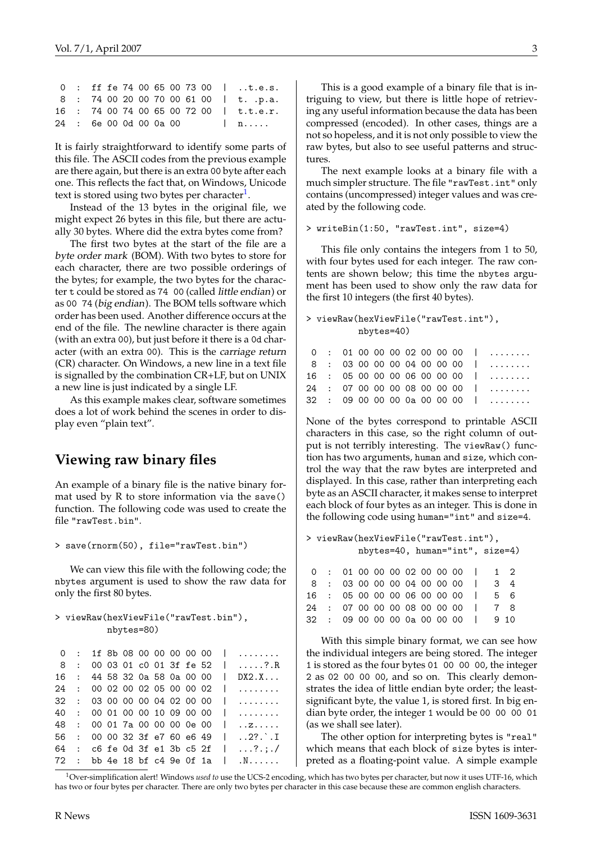|                        |  |  |  |  |  | $0$ : ff fe 74 00 65 00 73 00   .t.e.s. |
|------------------------|--|--|--|--|--|-----------------------------------------|
|                        |  |  |  |  |  | 8 : 74 00 20 00 70 00 61 00   t. .p.a.  |
|                        |  |  |  |  |  | 16 : 74 00 74 00 65 00 72 00   t.t.e.r. |
| 24 : 6e 00 0d 00 0a 00 |  |  |  |  |  | $\ln n$                                 |

It is fairly straightforward to identify some parts of this file. The ASCII codes from the previous example are there again, but there is an extra 00 byte after each one. This reflects the fact that, on Windows, Unicode text is stored using two bytes per character<sup>[1](#page-2-0)</sup>.

Instead of the 13 bytes in the original file, we might expect 26 bytes in this file, but there are actually 30 bytes. Where did the extra bytes come from?

The first two bytes at the start of the file are a byte order mark (BOM). With two bytes to store for each character, there are two possible orderings of the bytes; for example, the two bytes for the character t could be stored as 74 00 (called little endian) or as 00 74 (big endian). The BOM tells software which order has been used. Another difference occurs at the end of the file. The newline character is there again (with an extra 00), but just before it there is a 0d character (with an extra 00). This is the carriage return (CR) character. On Windows, a new line in a text file is signalled by the combination CR+LF, but on UNIX a new line is just indicated by a single LF.

As this example makes clear, software sometimes does a lot of work behind the scenes in order to display even "plain text".

## **Viewing raw binary files**

An example of a binary file is the native binary format used by R to store information via the save() function. The following code was used to create the file "rawTest.bin".

> save(rnorm(50), file="rawTest.bin")

We can view this file with the following code; the nbytes argument is used to show the raw data for only the first 80 bytes.

```
> viewRaw(hexViewFile("rawTest.bin"),
          nbytes=80)
```
0 : 1f 8b 08 00 00 00 00 00 | ........ 8 : 00 03 01 c0 01 3f fe 52 | .....?.R 16 : 44 58 32 0a 58 0a 00 00 | DX2.X... 24 : 00 02 00 02 05 00 00 02 | ........ 32 : 03 00 00 00 04 02 00 00 | ........ 40 : 00 01 00 00 10 09 00 00 | ........ 48 : 00 01 7a 00 00 00 0e 00 | ..z..... 56 : 00 00 32 3f e7 60 e6 49 | ..2?.`.I 64 : c6 fe 0d 3f e1 3b c5 2f | ...?.;./ 72 : bb 4e 18 bf c4 9e 0f 1a | .N......

This is a good example of a binary file that is intriguing to view, but there is little hope of retrieving any useful information because the data has been compressed (encoded). In other cases, things are a not so hopeless, and it is not only possible to view the raw bytes, but also to see useful patterns and structures.

The next example looks at a binary file with a much simpler structure. The file "rawTest.int" only contains (uncompressed) integer values and was created by the following code.

```
> writeBin(1:50, "rawTest.int", size=4)
```
This file only contains the integers from 1 to 50, with four bytes used for each integer. The raw contents are shown below; this time the nbytes argument has been used to show only the raw data for the first 10 integers (the first 40 bytes).

```
> viewRaw(hexViewFile("rawTest.int"),
          nbytes=40)
      01 00 00 00 02 00 00 00
```

| 8 : 03 00 00 00 04 00 00 00    |
|--------------------------------|
| $16 \div 05000000060000000000$ |
| $24$ : 07 00 00 00 08 00 00 00 |
| 32:09000000a000a0000           |
|                                |

None of the bytes correspond to printable ASCII characters in this case, so the right column of output is not terribly interesting. The viewRaw() function has two arguments, human and size, which control the way that the raw bytes are interpreted and displayed. In this case, rather than interpreting each byte as an ASCII character, it makes sense to interpret each block of four bytes as an integer. This is done in the following code using human="int" and size=4.

```
> viewRaw(hexViewFile("rawTest.int"),
         nbytes=40, human="int", size=4)
 0 : 01 00 00 00 02 00 00 00 | 1 2
8 : 03 00 00 00 04 00 00 00 | 3 4
16 : 05 00 00 00 06 00 00 00 | 5 6
24 : 07 00 00 00 08 00 00 00 | 7 8
32 : 09 00 00 00 0a 00 00 00 | 9 10
```
With this simple binary format, we can see how the individual integers are being stored. The integer 1 is stored as the four bytes 01 00 00 00, the integer 2 as 02 00 00 00, and so on. This clearly demonstrates the idea of little endian byte order; the leastsignificant byte, the value 1, is stored first. In big endian byte order, the integer 1 would be 00 00 00 01 (as we shall see later).

The other option for interpreting bytes is "real" which means that each block of size bytes is interpreted as a floating-point value. A simple example

<span id="page-2-0"></span><sup>1</sup>Over-simplification alert! Windows *used to* use the UCS-2 encoding, which has two bytes per character, but now it uses UTF-16, which has two or four bytes per character. There are only two bytes per character in this case because these are common english characters.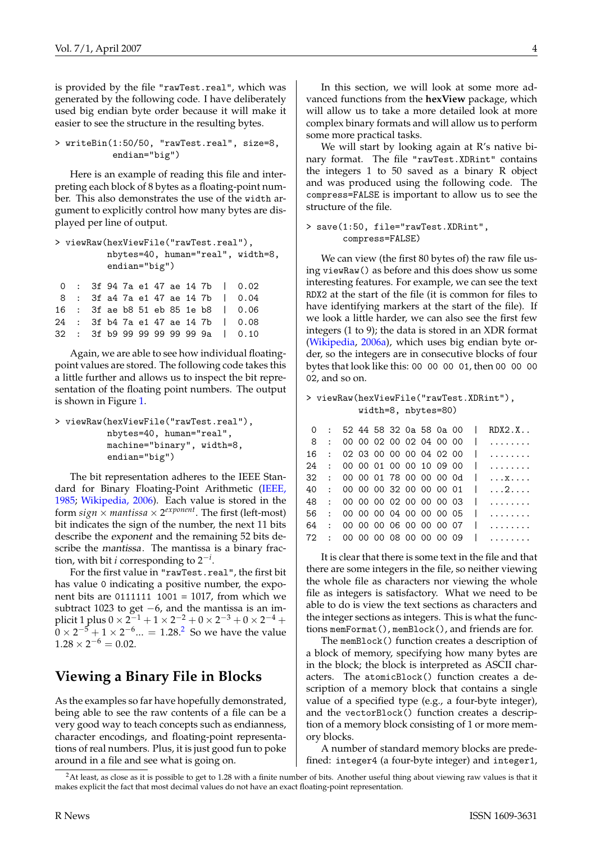<span id="page-3-1"></span>is provided by the file "rawTest.real", which was generated by the following code. I have deliberately used big endian byte order because it will make it easier to see the structure in the resulting bytes.

```
> writeBin(1:50/50, "rawTest.real", size=8,
           endian="big")
```
Here is an example of reading this file and interpreting each block of 8 bytes as a floating-point number. This also demonstrates the use of the width argument to explicitly control how many bytes are displayed per line of output.

```
> viewRaw(hexViewFile("rawTest.real"),
         nbytes=40, human="real", width=8,
         endian="big")
0 : 3f 94 7a e1 47 ae 14 7b | 0.02
8 : 3f a4 7a e1 47 ae 14 7b | 0.04
```
16 : 3f ae b8 51 eb 85 1e b8 | 0.06 24 : 3f b4 7a e1 47 ae 14 7b | 0.08 32 : 3f b9 99 99 99 99 99 9a | 0.10

Again, we are able to see how individual floatingpoint values are stored. The following code takes this a little further and allows us to inspect the bit representation of the floating point numbers. The output is shown in Figure [1.](#page-4-0)

> viewRaw(hexViewFile("rawTest.real"), nbytes=40, human="real", machine="binary", width=8, endian="big")

The bit representation adheres to the IEEE Standard for Binary Floating-Point Arithmetic [\(IEEE,](#page-7-1) [1985;](#page-7-1) [Wikipedia, 2006\)](#page-7-2). Each value is stored in the form  $sign \times$  *mantissa*  $\times$  2<sup>exponent</sup>. The first (left-most) bit indicates the sign of the number, the next 11 bits describe the exponent and the remaining 52 bits describe the mantissa. The mantissa is a binary fraction, with bit *i* corresponding to 2−*<sup>i</sup>* .

For the first value in "rawTest.real", the first bit has value 0 indicating a positive number, the exponent bits are 0111111 1001 = 1017, from which we subtract 1023 to get  $-6$ , and the mantissa is an implicit 1 plus  $0 \times 2^{-1} + 1 \times 2^{-2} + 0 \times 2^{-3} + 0 \times 2^{-4} +$  $0 \times 2^{-5} + 1 \times 2^{-6} ... = 1.28$  $0 \times 2^{-5} + 1 \times 2^{-6} ... = 1.28$  $0 \times 2^{-5} + 1 \times 2^{-6} ... = 1.28$ .<sup>2</sup> So we have the value  $1.28 \times 2^{-6} = 0.02$ .

## **Viewing a Binary File in Blocks**

As the examples so far have hopefully demonstrated, being able to see the raw contents of a file can be a very good way to teach concepts such as endianness, character encodings, and floating-point representations of real numbers. Plus, it is just good fun to poke around in a file and see what is going on.

In this section, we will look at some more advanced functions from the **hexView** package, which will allow us to take a more detailed look at more complex binary formats and will allow us to perform some more practical tasks.

We will start by looking again at R's native binary format. The file "rawTest.XDRint" contains the integers 1 to 50 saved as a binary R object and was produced using the following code. The compress=FALSE is important to allow us to see the structure of the file.

#### > save(1:50, file="rawTest.XDRint", compress=FALSE)

We can view (the first 80 bytes of) the raw file using viewRaw() as before and this does show us some interesting features. For example, we can see the text RDX2 at the start of the file (it is common for files to have identifying markers at the start of the file). If we look a little harder, we can also see the first few integers (1 to 9); the data is stored in an XDR format [\(Wikipedia,](#page-7-3) [2006a\)](#page-7-3), which uses big endian byte order, so the integers are in consecutive blocks of four bytes that look like this: 00 00 00 01, then 00 00 00 02, and so on.

#### > viewRaw(hexViewFile("rawTest.XDRint"), width=8, nbytes=80)

| $\Omega$ |                              |  |  |  | : 52 44 58 32 0a 58 0a 00 | RDX2.X         |
|----------|------------------------------|--|--|--|---------------------------|----------------|
| - 8      | : 0000020002040000           |  |  |  |                           | $\sim$         |
| 16       | : 02030000000040200          |  |  |  |                           | .              |
| 24       | : 0000010000100900           |  |  |  |                           | .              |
| 32       | : 0000017800000000           |  |  |  |                           | . X            |
| 40       | : 000000320000001            |  |  |  | $\Box$                    | . 2            |
| 48       | : 0000000200000003           |  |  |  |                           | a a chanada    |
| 56       | : 0000000400000005           |  |  |  |                           | .              |
| 64       | : 0000000600000007           |  |  |  |                           | .              |
|          | 72 : 00 00 00 08 00 00 00 09 |  |  |  |                           | . . <b>.</b> . |
|          |                              |  |  |  |                           |                |

It is clear that there is some text in the file and that there are some integers in the file, so neither viewing the whole file as characters nor viewing the whole file as integers is satisfactory. What we need to be able to do is view the text sections as characters and the integer sections as integers. This is what the functions memFormat(), memBlock(), and friends are for.

The memBlock() function creates a description of a block of memory, specifying how many bytes are in the block; the block is interpreted as ASCII characters. The atomicBlock() function creates a description of a memory block that contains a single value of a specified type (e.g., a four-byte integer), and the vectorBlock() function creates a description of a memory block consisting of 1 or more memory blocks.

A number of standard memory blocks are predefined: integer4 (a four-byte integer) and integer1,

<span id="page-3-0"></span> $<sup>2</sup>$ At least, as close as it is possible to get to 1.28 with a finite number of bits. Another useful thing about viewing raw values is that it</sup> makes explicit the fact that most decimal values do not have an exact floating-point representation.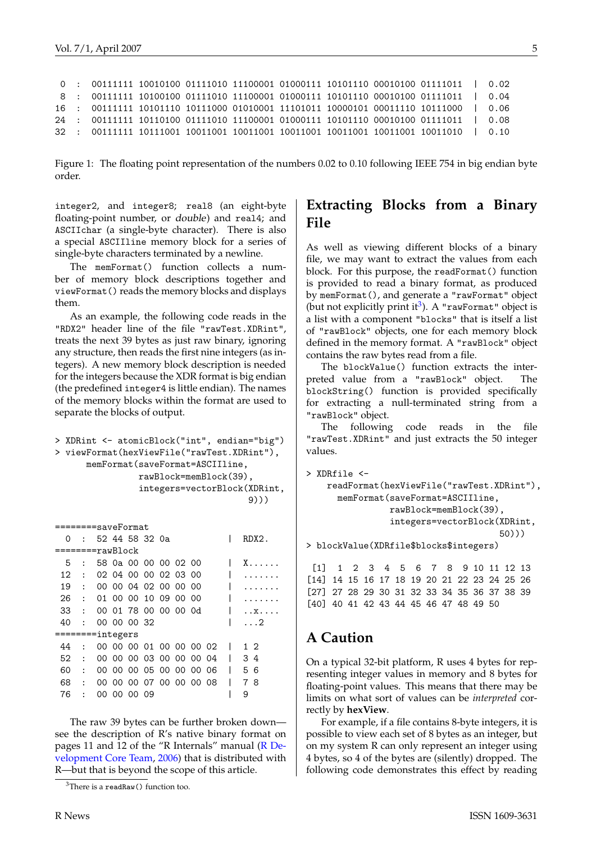```
0 : 00111111 10010100 01111010 11100001 01000111 10101110 00010100 01111011 | 0.02
8 : 00111111 10100100 01111010 11100001 01000111 10101110 00010100 01111011 | 0.04
16 : 00111111 10101110 10111000 01010001 11101011 10000101 00011110 10111000 | 0.06
24 : 00111111 10110100 01111010 11100001 01000111 10101110 00010100 01111011 | 0.08
32 : 00111111 10111001 10011001 10011001 10011001 10011001 10011001 10011010 | 0.10
```
<span id="page-4-0"></span>Figure 1: The floating point representation of the numbers 0.02 to 0.10 following IEEE 754 in big endian byte order.

integer2, and integer8; real8 (an eight-byte floating-point number, or double) and real4; and ASCIIchar (a single-byte character). There is also a special ASCIIline memory block for a series of single-byte characters terminated by a newline.

The memFormat() function collects a number of memory block descriptions together and viewFormat() reads the memory blocks and displays them.

As an example, the following code reads in the "RDX2" header line of the file "rawTest.XDRint", treats the next 39 bytes as just raw binary, ignoring any structure, then reads the first nine integers (as integers). A new memory block description is needed for the integers because the XDR format is big endian (the predefined integer4 is little endian). The names of the memory blocks within the format are used to separate the blocks of output.

```
> XDRint <- atomicBlock("int", endian="big")
> viewFormat(hexViewFile("rawTest.XDRint"),
      memFormat(saveFormat=ASCIIline,
                rawBlock=memBlock(39),
                integers=vectorBlock(XDRint,
                                      9)))
```

| ========saveFormat |                |  |             |  |                      |  |  |                         |  |  |       |  |
|--------------------|----------------|--|-------------|--|----------------------|--|--|-------------------------|--|--|-------|--|
| 0                  | $\bullet$      |  |             |  | 52 44 58 32 0a       |  |  |                         |  |  | RDX2. |  |
| ========rawBlock   |                |  |             |  |                      |  |  |                         |  |  |       |  |
| 5                  |                |  |             |  | 58 0a 00 00 00 02 00 |  |  |                         |  |  | X.    |  |
| 12                 |                |  |             |  | 02 04 00 00 02 03 00 |  |  |                         |  |  |       |  |
| 19                 | $\cdot$        |  |             |  | 00 00 04 02 00 00 00 |  |  |                         |  |  |       |  |
| 26                 | $\sim$ 1.      |  |             |  | 01 00 00 10 09 00 00 |  |  |                         |  |  |       |  |
| 33                 | $\ddot{\cdot}$ |  |             |  | 00 01 78 00 00 00 0d |  |  |                         |  |  | . . x |  |
| 40                 | $\cdot$        |  | 00 00 00 32 |  |                      |  |  |                         |  |  | . 2   |  |
| ========integers   |                |  |             |  |                      |  |  |                         |  |  |       |  |
| 44                 | $\ddot{\cdot}$ |  |             |  |                      |  |  | 00 00 00 01 00 00 00 02 |  |  | 12    |  |
| 52                 | $\cdot$        |  |             |  |                      |  |  | 00 00 00 03 00 00 00 04 |  |  | 34    |  |
| 60                 | $\ddot{\cdot}$ |  |             |  |                      |  |  | 00 00 00 05 00 00 00 06 |  |  | 56    |  |
| 68                 | $\ddot{\cdot}$ |  |             |  |                      |  |  | 00 00 00 07 00 00 00 08 |  |  | 78    |  |
| 76                 |                |  | 00 00 00 09 |  |                      |  |  |                         |  |  | 9     |  |
|                    |                |  |             |  |                      |  |  |                         |  |  |       |  |

The raw 39 bytes can be further broken down see the description of R's native binary format on pages 11 and 12 of the "R Internals" manual [\(R De](#page-7-4)[velopment Core Team,](#page-7-4) [2006\)](#page-7-4) that is distributed with R—but that is beyond the scope of this article.

### **Extracting Blocks from a Binary File**

As well as viewing different blocks of a binary file, we may want to extract the values from each block. For this purpose, the readFormat() function is provided to read a binary format, as produced by memFormat(), and generate a "rawFormat" object (but not explicitly print it<sup>[3](#page-4-1)</sup>). A "rawFormat" object is a list with a component "blocks" that is itself a list of "rawBlock" objects, one for each memory block defined in the memory format. A "rawBlock" object contains the raw bytes read from a file.

The blockValue() function extracts the interpreted value from a "rawBlock" object. The blockString() function is provided specifically for extracting a null-terminated string from a "rawBlock" object.

The following code reads in the file "rawTest.XDRint" and just extracts the 50 integer values.

```
> XDRfile <-
```

```
readFormat(hexViewFile("rawTest.XDRint"),
  memFormat(saveFormat=ASCIIline,
            rawBlock=memBlock(39),
            integers=vectorBlock(XDRint,
                                  50)))
```
> blockValue(XDRfile\$blocks\$integers)

[1] 1 2 3 4 5 6 7 8 9 10 11 12 13 [14] 14 15 16 17 18 19 20 21 22 23 24 25 26 [27] 27 28 29 30 31 32 33 34 35 36 37 38 39 [40] 40 41 42 43 44 45 46 47 48 49 50

## **A Caution**

On a typical 32-bit platform, R uses 4 bytes for representing integer values in memory and 8 bytes for floating-point values. This means that there may be limits on what sort of values can be *interpreted* correctly by **hexView**.

For example, if a file contains 8-byte integers, it is possible to view each set of 8 bytes as an integer, but on my system R can only represent an integer using 4 bytes, so 4 of the bytes are (silently) dropped. The following code demonstrates this effect by reading

<span id="page-4-1"></span> $3$ There is a readRaw() function too.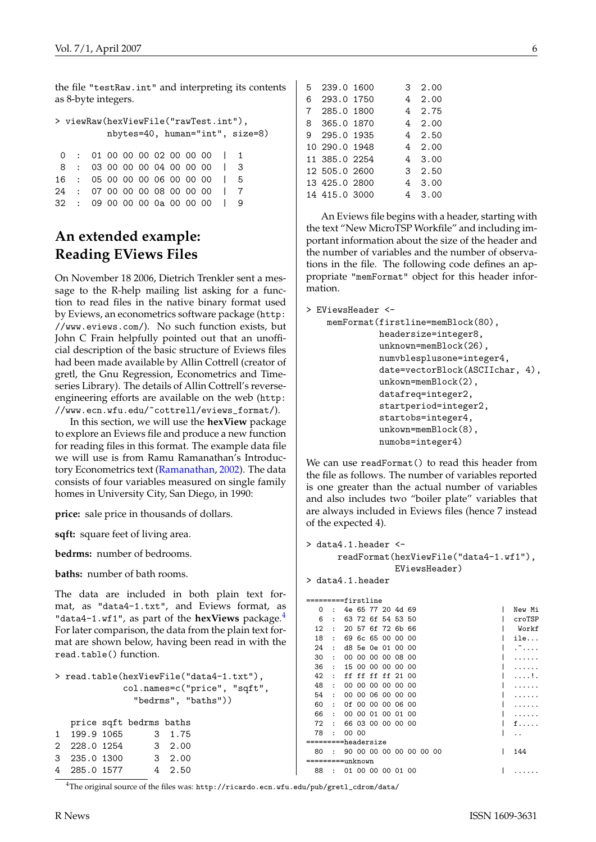<span id="page-5-1"></span>the file "testRaw.int" and interpreting its contents as 8-byte integers.

| > viewRaw(hexViewFile("rawTest.int"), |  |  |  |  |  |  |  |  |                                  |  |                                    |
|---------------------------------------|--|--|--|--|--|--|--|--|----------------------------------|--|------------------------------------|
|                                       |  |  |  |  |  |  |  |  |                                  |  | $n$ bytes=40, human="int", size=8) |
|                                       |  |  |  |  |  |  |  |  |                                  |  |                                    |
|                                       |  |  |  |  |  |  |  |  | $0 \cdot 01000000200000011$      |  |                                    |
| 8                                     |  |  |  |  |  |  |  |  | : 030000000400000013             |  |                                    |
|                                       |  |  |  |  |  |  |  |  | 16 : 05 00 00 00 06 00 00 00   5 |  |                                    |
|                                       |  |  |  |  |  |  |  |  | 24 : 07 00 00 00 08 00 00 00 1 7 |  |                                    |
|                                       |  |  |  |  |  |  |  |  | 32 : 09 00 00 00 0a 00 00 00     |  |                                    |

## **An extended example: Reading EViews Files**

On November 18 2006, Dietrich Trenkler sent a message to the R-help mailing list asking for a function to read files in the native binary format used by Eviews, an econometrics software package ([http:](http://www.eviews.com/) [//www.eviews.com/](http://www.eviews.com/)). No such function exists, but John C Frain helpfully pointed out that an unofficial description of the basic structure of Eviews files had been made available by Allin Cottrell (creator of gretl, the Gnu Regression, Econometrics and Timeseries Library). The details of Allin Cottrell's reverseengineering efforts are available on the web ([http:](http://www.ecn.wfu.edu/~cottrell/eviews_format/) [//www.ecn.wfu.edu/~cottrell/eviews\\_format/](http://www.ecn.wfu.edu/~cottrell/eviews_format/)).

In this section, we will use the **hexView** package to explore an Eviews file and produce a new function for reading files in this format. The example data file we will use is from Ramu Ramanathan's Introductory Econometrics text [\(Ramanathan,](#page-7-5) [2002\)](#page-7-5). The data consists of four variables measured on single family homes in University City, San Diego, in 1990:

**price:** sale price in thousands of dollars.

**sqft:** square feet of living area.

**bedrms:** number of bedrooms.

**baths:** number of bath rooms.

The data are included in both plain text format, as "data4-1.txt", and Eviews format, as "data[4](#page-5-0)-1.wf1", as part of the **hexViews** package.<sup>4</sup> For later comparison, the data from the plain text format are shown below, having been read in with the read.table() function.

```
> read.table(hexViewFile("data4-1.txt"),
             col.names=c("price", "sqft",
               "bedrms", "baths"))
```

|              | price sqft bedrms baths |         |
|--------------|-------------------------|---------|
| 1 199.9 1065 |                         | 3 1.75  |
| 2 228.0 1254 |                         | 3, 2.00 |
| 3 235.0 1300 |                         | 3, 2.00 |
| 4 285.0 1577 |                         | 4, 2.50 |

<span id="page-5-0"></span><sup>4</sup>The original source of the files was: [http://ricardo.ecn.wfu.edu/pub/gretl\\_cdrom/data/](http://ricardo.ecn.wfu.edu/pub/gretl_cdrom/data/)

| ື | 200.V 1000    |  | z.vv      |
|---|---------------|--|-----------|
| 6 | 293.0 1750    |  | 4 2.00    |
|   | 7 285.0 1800  |  | 4 2.75    |
|   | 8 365.0 1870  |  | 4 2.00    |
|   | 9 295.0 1935  |  | 4 2.50    |
|   | 10 290.0 1948 |  | 4, 2.00   |
|   | 11 385.0 2254 |  | 4, 3, 00  |
|   | 12 505.0 2600 |  | 3, 2.50   |
|   | 13 425.0 2800 |  | 4 3.00    |
|   | 14 415.0 3000 |  | 3.00<br>4 |

5 239.0 1600 3 2.00

An Eviews file begins with a header, starting with the text "New MicroTSP Workfile" and including important information about the size of the header and the number of variables and the number of observations in the file. The following code defines an appropriate "memFormat" object for this header information.

> EViewsHeader <-

```
memFormat(firstline=memBlock(80),
          headersize=integer8,
          unknown=memBlock(26),
          numvblesplusone=integer4,
          date=vectorBlock(ASCIIchar, 4),
          unkown=memBlock(2),
          datafreq=integer2,
          startperiod=integer2,
          startobs=integer4,
          unkown=memBlock(8),
          numobs=integer4)
```
We can use readFormat() to read this header from the file as follows. The number of variables reported is one greater than the actual number of variables and also includes two "boiler plate" variables that are always included in Eviews files (hence 7 instead of the expected 4).

```
> data4.1.header <-
      readFormat(hexViewFile("data4-1.wf1"),
                 EViewsHeader)
```
> data4.1.header

|                     |                      | ====firstline |                         |  |  |  |  |  |        |
|---------------------|----------------------|---------------|-------------------------|--|--|--|--|--|--------|
| $\Omega$            |                      |               | 4e 65 77 20 4d 69       |  |  |  |  |  | New Mi |
| 6                   | $\ddot{\phantom{a}}$ |               | 63 72 6f 54 53 50       |  |  |  |  |  | croTSP |
| 12                  | ÷                    |               | 20 57 6f 72 6b 66       |  |  |  |  |  | Workf  |
| 18                  | $\ddot{\phantom{a}}$ |               | 69 6c 65 00 00 00       |  |  |  |  |  | ile    |
| 24                  | $\ddot{\phantom{a}}$ |               | d8 5e 0e 01 00 00       |  |  |  |  |  |        |
| 30                  | $\ddot{\phantom{a}}$ | OO.           | 00 00 00 08 00          |  |  |  |  |  |        |
| 36                  | $\ddot{\phantom{a}}$ |               | 15 00 00 00 00 00       |  |  |  |  |  |        |
| 42                  | ÷                    |               | ff ff ff ff 21 00       |  |  |  |  |  |        |
| 48                  | $\ddot{\phantom{a}}$ |               | 00 00 00 00 00 00       |  |  |  |  |  |        |
| 54                  |                      |               | 00 00 06 00 00 00       |  |  |  |  |  |        |
| 60                  | ÷                    |               | 0f 00 00 00 06 00       |  |  |  |  |  |        |
| 66                  | ÷                    |               | 00 00 01 00 01 00       |  |  |  |  |  |        |
| 72                  | ÷                    |               | 66 03 00 00 00 00       |  |  |  |  |  | f.     |
| 78                  | ÷                    | 00 00         |                         |  |  |  |  |  |        |
| =========headersize |                      |               |                         |  |  |  |  |  |        |
| 80                  |                      |               | 90 00 00 00 00 00 00 00 |  |  |  |  |  | 144    |
|                     |                      | =unknown      |                         |  |  |  |  |  |        |
| 88                  | $\ddot{\phantom{a}}$ |               | 01 00 00 00 01 00       |  |  |  |  |  |        |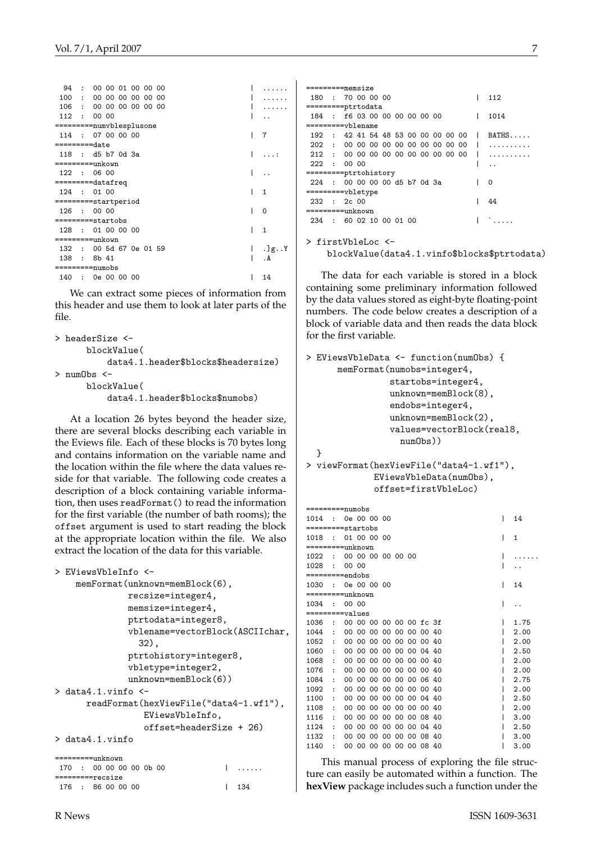|                  | 94 : 00 00 01 00 00 00   |   |                                   |
|------------------|--------------------------|---|-----------------------------------|
| 100 :            | 00 00 00 00 00 00        |   |                                   |
|                  | 106 : 00 00 00 00 00 00  |   |                                   |
|                  | 112 : 00 00              |   |                                   |
|                  | =========numvblesplusone |   |                                   |
|                  | 114 : 07 00 00 00        |   | 7                                 |
| $== == == -date$ |                          |   |                                   |
|                  | 118 : d5 b7 0d 3a        |   |                                   |
|                  | =========unkown          |   |                                   |
| $122$ :          | 06 00                    | I |                                   |
|                  | =========datafreq        |   |                                   |
|                  | 124 : 01 00              |   | 1                                 |
|                  | =========startperiod     |   |                                   |
|                  | 126 : 00 00              |   | 0                                 |
|                  | =========startobs        |   |                                   |
|                  | 128 : 01 00 00 00        |   | 1                                 |
|                  | =========unkown          |   |                                   |
|                  | 132 : 00 5d 67 0e 01 59  |   | $\lceil \lg \cdot \cdot Y \rceil$ |
| 138 :            | 8b 41                    |   | . A                               |
|                  | =========numobs          |   |                                   |
| 140              | : 0e 00 00 00            |   | 14                                |

We can extract some pieces of information from this header and use them to look at later parts of the file.

```
> headerSize <-
      blockValue(
          data4.1.header$blocks$headersize)
> numObs <-
      blockValue(
          data4.1.header$blocks$numobs)
```
At a location 26 bytes beyond the header size, there are several blocks describing each variable in the Eviews file. Each of these blocks is 70 bytes long and contains information on the variable name and the location within the file where the data values reside for that variable. The following code creates a description of a block containing variable information, then uses readFormat() to read the information for the first variable (the number of bath rooms); the offset argument is used to start reading the block at the appropriate location within the file. We also extract the location of the data for this variable.

```
> EViewsVbleInfo <-
    memFormat(unknown=memBlock(6),
              recsize=integer4,
              memsize=integer4,
              ptrtodata=integer8,
              vblename=vectorBlock(ASCIIchar,
                 32),
              ptrtohistory=integer8,
              vbletype=integer2,
              unknown=memBlock(6))
> data4.1.\text{vinfo} <-
      readFormat(hexViewFile("data4-1.wf1"),
                 EViewsVbleInfo,
                 offset=headerSize + 26)
> data4.1.vinfo
```

|                         | $=======unknown$ |  |  |  |  |  |  |  |  |                |  |  |
|-------------------------|------------------|--|--|--|--|--|--|--|--|----------------|--|--|
| 170 : 00 00 00 00 0b 00 |                  |  |  |  |  |  |  |  |  |                |  |  |
| $=====treecsize$        |                  |  |  |  |  |  |  |  |  |                |  |  |
| 176 : 86 00 00 00       |                  |  |  |  |  |  |  |  |  | $1 \quad 1.34$ |  |  |

=========memsize 180 : 70 00 00 00 | 112 =========ptrtodata 184 : f6 03 00 00 00 00 00 00 | 1014 =========vblename 192 : 42 41 54 48 53 00 00 00 00 00 | BATHS..... 202 : 00 00 00 00 00 00 00 00 00 00 | .......... 212 : 00 00 00 00 00 00 00 00 00 00 | ..........  $222$  : 00 00  $\qquad \qquad$  ... =========ptrtohistory  $224$  : 00 00 00 00 d5 b7 0d 3a | 0 =========vbletype 232 : 2c 00 =========unknown 234 : 60 02 10 00 01 00 | `.....

> firstVbleLoc < blockValue(data4.1.vinfo\$blocks\$ptrtodata)

The data for each variable is stored in a block containing some preliminary information followed by the data values stored as eight-byte floating-point numbers. The code below creates a description of a block of variable data and then reads the data block for the first variable.

```
> EViewsVbleData <- function(numObs) {
      memFormat(numobs=integer4,
                startobs=integer4,
                unknown=memBlock(8),
                endobs=integer4,
                unknown=memBlock(2),
                values=vectorBlock(real8,
                  numObs))
  }
> viewFormat(hexViewFile("data4-1.wf1"),
```

```
EViewsVbleData(numObs),
offset=firstVbleLoc)
```

| =========numobs   |                      |                 |                         |          |       |       |                      |  |   |              |
|-------------------|----------------------|-----------------|-------------------------|----------|-------|-------|----------------------|--|---|--------------|
| 1014              | ÷                    |                 | 0e 00 00 00             |          |       |       |                      |  | I | 14           |
| =========startobs |                      |                 |                         |          |       |       |                      |  |   |              |
| 1018              | $\bullet$            |                 | 01 00 00 00             |          |       |       |                      |  | I | $\mathbf{1}$ |
| =========unknown  |                      |                 |                         |          |       |       |                      |  |   |              |
| 1022              | $\ddot{\phantom{a}}$ |                 | 00 00 00 00 00 00       |          |       |       |                      |  |   |              |
| 1028              | $\ddot{\phantom{a}}$ | 00 00           |                         |          |       |       |                      |  |   |              |
| $======endobs$    |                      |                 |                         |          |       |       |                      |  |   |              |
| 1030              |                      |                 | 0e 00 00 00             |          |       |       |                      |  | I | 14           |
| =========unknown  |                      |                 |                         |          |       |       |                      |  |   |              |
| 1034              | $\cdot$              | 00 00           |                         |          |       |       |                      |  | I |              |
| =========values   |                      |                 |                         |          |       |       |                      |  |   |              |
| 1036              | $\ddot{\phantom{a}}$ |                 | 00 00 00 00 00 00 fc 3f |          |       |       |                      |  |   | 1.75         |
| 1044              | $\ddot{\phantom{a}}$ |                 | 00 00 00 00 00 00 00 40 |          |       |       |                      |  |   | 2.00         |
| 1052              | ÷                    | OO.             |                         | 00 00 00 |       |       | 00 00 00 40          |  |   | 2.00         |
| 1060              |                      | 00              |                         | 00 00 00 |       |       | 00 00 04 40          |  |   | 2.50         |
| 1068              | $\ddot{\phantom{a}}$ | 00 <sup>1</sup> |                         |          |       |       | 00 00 00 00 00 00 40 |  |   | 2.00         |
| 1076              | $\ddot{\phantom{0}}$ | 00              |                         |          |       |       | 00 00 00 00 00 00 40 |  |   | 2.00         |
| 1084              | $\ddot{\phantom{0}}$ | $00 \,$         |                         | 00 00 00 |       |       | 00 00 06 40          |  |   | 2.75         |
| 1092              | $\ddot{\phantom{a}}$ | $00 \,$         | 00                      |          | 00 00 | 00 00 | 00 40                |  |   | 2.00         |
| 1100              | $\ddot{\phantom{0}}$ | $00 \,$         |                         |          |       |       | 00 00 00 00 00 04 40 |  |   | 2.50         |
| 1108              |                      | 00              |                         | 00 00 00 |       | 00 00 | 00 40                |  |   | 2.00         |
| 1116              |                      | 00.             | 00                      | $00 \,$  | -00   | 00 00 | 08 40                |  |   | 3.00         |
| 1124              |                      | $00 \,$         | $00 \,$                 | 00       | 00    |       | 00 00 04 40          |  |   | 2.50         |
| 1132              |                      | 00              |                         |          |       |       | 00 00 00 00 00 08 40 |  |   | 3.00         |
| 1140              | $\ddot{\phantom{0}}$ | 00 <sup>1</sup> |                         |          |       |       | 00 00 00 00 00 08 40 |  |   | 3.00         |
|                   |                      |                 |                         |          |       |       |                      |  |   |              |

This manual process of exploring the file structure can easily be automated within a function. The **hexView** package includes such a function under the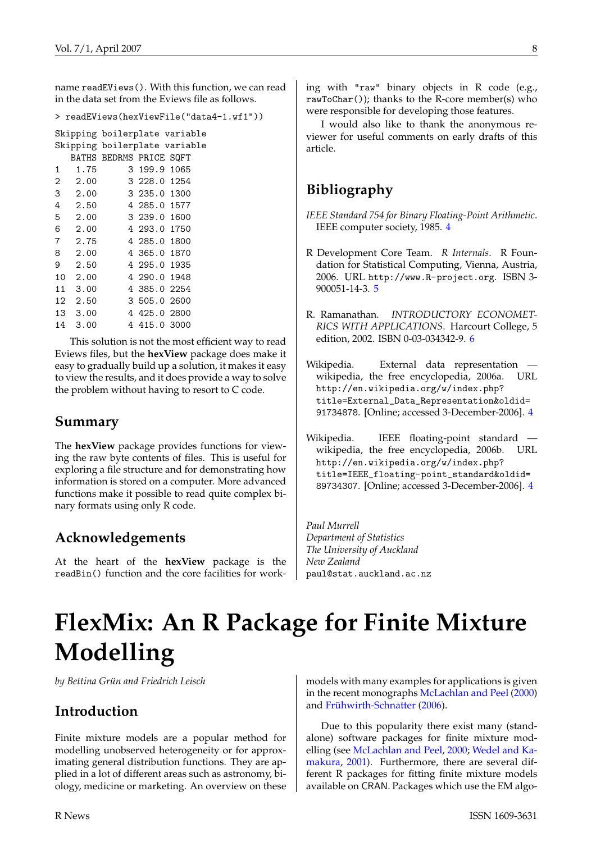<span id="page-7-6"></span>name readEViews(). With this function, we can read in the data set from the Eviews file as follows.

```
> readEViews(hexViewFile("data4-1.wf1"))
```

|                |      |                         |              | Skipping boilerplate variable |
|----------------|------|-------------------------|--------------|-------------------------------|
|                |      |                         |              | Skipping boilerplate variable |
|                |      | BATHS BEDRMS PRICE SQFT |              |                               |
| 1              | 1.75 |                         | 3 199.9 1065 |                               |
| 2              | 2.00 |                         | 3 228.0 1254 |                               |
| 3              | 2.00 |                         | 3 235.0 1300 |                               |
| 4              | 2.50 |                         | 4 285.0 1577 |                               |
| 5              | 2.00 |                         | 3 239.0 1600 |                               |
| 6              | 2.00 |                         | 4 293.0 1750 |                               |
| $\overline{7}$ | 2.75 |                         | 4 285.0 1800 |                               |
| 8              | 2.00 |                         | 4 365.0 1870 |                               |
| 9              | 2.50 |                         | 4 295.0 1935 |                               |
| 10             | 2.00 |                         | 4 290.0 1948 |                               |
| 11             | 3.00 |                         | 4 385.0 2254 |                               |
| 12             | 2.50 |                         | 3 505.0 2600 |                               |
| 13             | 3.00 |                         | 4 425.0 2800 |                               |
| 14             | 3.00 |                         | 4 415.0 3000 |                               |
|                |      |                         |              |                               |

This solution is not the most efficient way to read Eviews files, but the **hexView** package does make it easy to gradually build up a solution, it makes it easy to view the results, and it does provide a way to solve the problem without having to resort to C code.

## **Summary**

The **hexView** package provides functions for viewing the raw byte contents of files. This is useful for exploring a file structure and for demonstrating how information is stored on a computer. More advanced functions make it possible to read quite complex binary formats using only R code.

## **Acknowledgements**

At the heart of the **hexView** package is the readBin() function and the core facilities for working with "raw" binary objects in R code (e.g., rawToChar()); thanks to the R-core member(s) who were responsible for developing those features.

I would also like to thank the anonymous reviewer for useful comments on early drafts of this article.

# **Bibliography**

<span id="page-7-1"></span>*IEEE Standard 754 for Binary Floating-Point Arithmetic*. IEEE computer society, 1985. [4](#page-3-1)

- <span id="page-7-4"></span>R Development Core Team. *R Internals*. R Foundation for Statistical Computing, Vienna, Austria, 2006. URL <http://www.R-project.org>. ISBN 3- 900051-14-3. [5](#page-4-2)
- <span id="page-7-5"></span>R. Ramanathan. *INTRODUCTORY ECONOMET-RICS WITH APPLICATIONS*. Harcourt College, 5 edition, 2002. ISBN 0-03-034342-9. [6](#page-5-1)
- <span id="page-7-3"></span>Wikipedia. External data representation wikipedia, the free encyclopedia, 2006a. URL [http://en.wikipedia.org/w/index.php?](http://en.wikipedia.org/w/index.php?title=External_Data_Representation&oldid=91734878) [title=External\\_Data\\_Representation&oldid=](http://en.wikipedia.org/w/index.php?title=External_Data_Representation&oldid=91734878) [91734878](http://en.wikipedia.org/w/index.php?title=External_Data_Representation&oldid=91734878). [Online; accessed 3-December-2006]. [4](#page-3-1)
- <span id="page-7-2"></span>Wikipedia. IEEE floating-point standard – wikipedia, the free encyclopedia, 2006b. URL [http://en.wikipedia.org/w/index.php?](http://en.wikipedia.org/w/index.php?title=IEEE_floating-point_standard&oldid=89734307) [title=IEEE\\_floating-point\\_standard&oldid=](http://en.wikipedia.org/w/index.php?title=IEEE_floating-point_standard&oldid=89734307) [89734307](http://en.wikipedia.org/w/index.php?title=IEEE_floating-point_standard&oldid=89734307). [Online; accessed 3-December-2006]. [4](#page-3-1)

*Paul Murrell Department of Statistics The University of Auckland New Zealand* [paul@stat.auckland.ac.nz](mailto:paul@stat.auckland.ac.nz)

# **FlexMix: An R Package for Finite Mixture Modelling**

<span id="page-7-0"></span>*by Bettina Grün and Friedrich Leisch*

## **Introduction**

Finite mixture models are a popular method for modelling unobserved heterogeneity or for approximating general distribution functions. They are applied in a lot of different areas such as astronomy, biology, medicine or marketing. An overview on these models with many examples for applications is given in the recent monographs [McLachlan and Peel](#page-12-0) [\(2000\)](#page-12-0) and [Frühwirth-Schnatter](#page-12-1) [\(2006\)](#page-12-1).

Due to this popularity there exist many (standalone) software packages for finite mixture modelling (see [McLachlan and Peel,](#page-12-0) [2000;](#page-12-0) [Wedel and Ka](#page-12-2)[makura,](#page-12-2) [2001\)](#page-12-2). Furthermore, there are several different R packages for fitting finite mixture models available on CRAN. Packages which use the EM algo-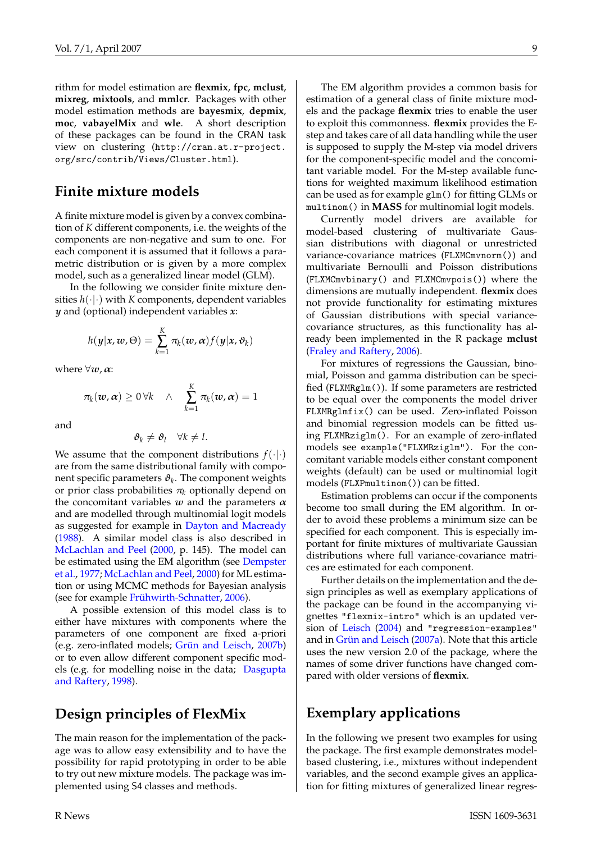<span id="page-8-0"></span>rithm for model estimation are **flexmix**, **fpc**, **mclust**, **mixreg**, **mixtools**, and **mmlcr**. Packages with other model estimation methods are **bayesmix**, **depmix**, **moc**, **vabayelMix** and **wle**. A short description of these packages can be found in the CRAN task view on clustering ([http://cran.at.r-project.](http://cran.at.r-project.org/src/contrib/Views/Cluster.html) [org/src/contrib/Views/Cluster.html](http://cran.at.r-project.org/src/contrib/Views/Cluster.html)).

### **Finite mixture models**

A finite mixture model is given by a convex combination of *K* different components, i.e. the weights of the components are non-negative and sum to one. For each component it is assumed that it follows a parametric distribution or is given by a more complex model, such as a generalized linear model (GLM).

In the following we consider finite mixture densities  $h(\cdot|\cdot)$  with *K* components, dependent variables *y* and (optional) independent variables *x*:

$$
h(\mathbf{y}|\mathbf{x},\mathbf{w},\Theta) = \sum_{k=1}^K \pi_k(\mathbf{w},\mathbf{\alpha}) f(\mathbf{y}|\mathbf{x},\mathbf{\vartheta}_k)
$$

where  $\forall w, \alpha$ :

$$
\pi_k(\boldsymbol{w},\boldsymbol{\alpha}) \geq 0 \, \forall k \quad \wedge \quad \sum_{k=1}^K \pi_k(\boldsymbol{w},\boldsymbol{\alpha}) = 1
$$

and

$$
\boldsymbol{\vartheta}_k \neq \boldsymbol{\vartheta}_l \quad \forall k \neq l.
$$

We assume that the component distributions  $f(\cdot|\cdot)$ are from the same distributional family with component specific parameters  $\pmb{\vartheta}_k.$  The component weights or prior class probabilities  $\pi_k$  optionally depend on the concomitant variables  $w$  and the parameters  $\alpha$ and are modelled through multinomial logit models as suggested for example in [Dayton and Macready](#page-12-3) [\(1988\)](#page-12-3). A similar model class is also described in [McLachlan and Peel](#page-12-0) [\(2000,](#page-12-0) p. 145). The model can be estimated using the EM algorithm (see [Dempster](#page-12-4) [et al.,](#page-12-4) [1977;](#page-12-4) [McLachlan and Peel,](#page-12-0) [2000\)](#page-12-0) for ML estimation or using MCMC methods for Bayesian analysis (see for example [Frühwirth-Schnatter,](#page-12-1) [2006\)](#page-12-1).

A possible extension of this model class is to either have mixtures with components where the parameters of one component are fixed a-priori (e.g. zero-inflated models; [Grün and Leisch,](#page-12-5) [2007b\)](#page-12-5) or to even allow different component specific models (e.g. for modelling noise in the data; [Dasgupta](#page-11-0) [and Raftery,](#page-11-0) [1998\)](#page-11-0).

## **Design principles of FlexMix**

The main reason for the implementation of the package was to allow easy extensibility and to have the possibility for rapid prototyping in order to be able to try out new mixture models. The package was implemented using S4 classes and methods.

The EM algorithm provides a common basis for estimation of a general class of finite mixture models and the package **flexmix** tries to enable the user to exploit this commonness. **flexmix** provides the Estep and takes care of all data handling while the user is supposed to supply the M-step via model drivers for the component-specific model and the concomitant variable model. For the M-step available functions for weighted maximum likelihood estimation can be used as for example glm() for fitting GLMs or multinom() in **MASS** for multinomial logit models.

Currently model drivers are available for model-based clustering of multivariate Gaussian distributions with diagonal or unrestricted variance-covariance matrices (FLXMCmvnorm()) and multivariate Bernoulli and Poisson distributions (FLXMCmvbinary() and FLXMCmvpois()) where the dimensions are mutually independent. **flexmix** does not provide functionality for estimating mixtures of Gaussian distributions with special variancecovariance structures, as this functionality has already been implemented in the R package **mclust** [\(Fraley and Raftery,](#page-12-6) [2006\)](#page-12-6).

For mixtures of regressions the Gaussian, binomial, Poisson and gamma distribution can be specified (FLXMRglm()). If some parameters are restricted to be equal over the components the model driver FLXMRglmfix() can be used. Zero-inflated Poisson and binomial regression models can be fitted using FLXMRziglm(). For an example of zero-inflated models see example("FLXMRziglm"). For the concomitant variable models either constant component weights (default) can be used or multinomial logit models (FLXPmultinom()) can be fitted.

Estimation problems can occur if the components become too small during the EM algorithm. In order to avoid these problems a minimum size can be specified for each component. This is especially important for finite mixtures of multivariate Gaussian distributions where full variance-covariance matrices are estimated for each component.

Further details on the implementation and the design principles as well as exemplary applications of the package can be found in the accompanying vignettes "flexmix-intro" which is an updated version of [Leisch](#page-12-7) [\(2004\)](#page-12-7) and "regression-examples" and in [Grün and Leisch](#page-12-8) [\(2007a\)](#page-12-8). Note that this article uses the new version 2.0 of the package, where the names of some driver functions have changed compared with older versions of **flexmix**.

## **Exemplary applications**

In the following we present two examples for using the package. The first example demonstrates modelbased clustering, i.e., mixtures without independent variables, and the second example gives an application for fitting mixtures of generalized linear regres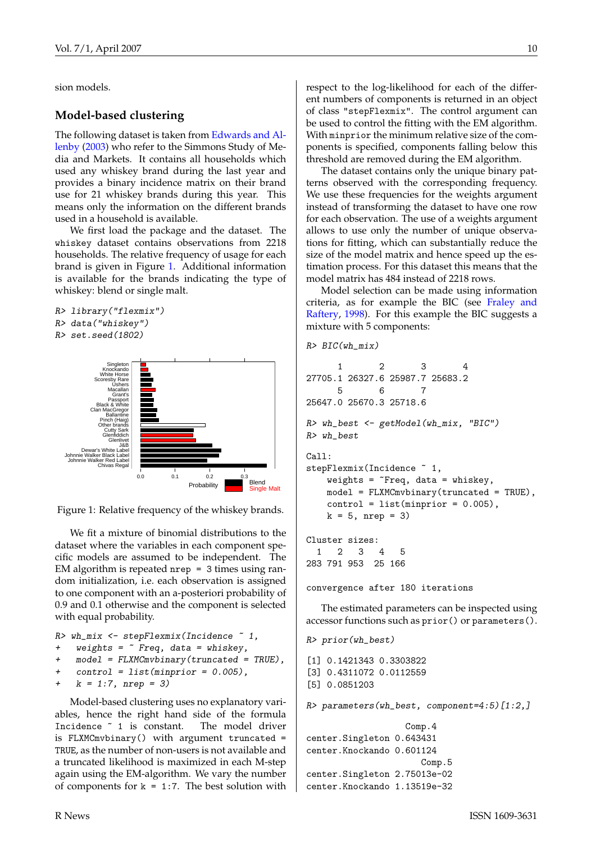<span id="page-9-1"></span>sion models.

#### **Model-based clustering**

The following dataset is taken from [Edwards and Al](#page-12-9)[lenby](#page-12-9) [\(2003\)](#page-12-9) who refer to the Simmons Study of Media and Markets. It contains all households which used any whiskey brand during the last year and provides a binary incidence matrix on their brand use for 21 whiskey brands during this year. This means only the information on the different brands used in a household is available.

We first load the package and the dataset. The whiskey dataset contains observations from 2218 households. The relative frequency of usage for each brand is given in Figure [1.](#page-9-0) Additional information is available for the brands indicating the type of whiskey: blend or single malt.

```
R> library("flexmix")
R> data("whiskey")
R> set.seed(1802)
```


<span id="page-9-0"></span>Figure 1: Relative frequency of the whiskey brands.

We fit a mixture of binomial distributions to the dataset where the variables in each component specific models are assumed to be independent. The EM algorithm is repeated nrep = 3 times using random initialization, i.e. each observation is assigned to one component with an a-posteriori probability of 0.9 and 0.1 otherwise and the component is selected with equal probability.

```
R wh_mix \leq stepFlexmix(Incidence \degree 1,
+ weights = ~ Freq, data = whiskey,
    model = FLXMCmvbinary(truncated = TRUE),
+ control = list(minprior = 0.005),
```

```
k = 1:7, nrep = 3)
```
Model-based clustering uses no explanatory variables, hence the right hand side of the formula Incidence ~ 1 is constant. The model driver is FLXMCmvbinary() with argument truncated = TRUE, as the number of non-users is not available and a truncated likelihood is maximized in each M-step again using the EM-algorithm. We vary the number of components for  $k = 1:7$ . The best solution with respect to the log-likelihood for each of the different numbers of components is returned in an object of class "stepFlexmix". The control argument can be used to control the fitting with the EM algorithm. With minprior the minimum relative size of the components is specified, components falling below this threshold are removed during the EM algorithm.

The dataset contains only the unique binary patterns observed with the corresponding frequency. We use these frequencies for the weights argument instead of transforming the dataset to have one row for each observation. The use of a weights argument allows to use only the number of unique observations for fitting, which can substantially reduce the size of the model matrix and hence speed up the estimation process. For this dataset this means that the model matrix has 484 instead of 2218 rows.

Model selection can be made using information criteria, as for example the BIC (see [Fraley and](#page-12-10) [Raftery,](#page-12-10) [1998\)](#page-12-10). For this example the BIC suggests a mixture with 5 components:

```
R > BIC(\n<sub>wh-mix</sub>)
```

```
1 2 3 4
27705.1 26327.6 25987.7 25683.2
     5 6 7
25647.0 25670.3 25718.6
R> wh_best <- getModel(wh_mix, "BIC")
R> wh_best
Ca11:stepFlexmix(Incidence ~ 1,
   weights = \tilde{r}Freq, data = whiskey,
   model = FLXMCmvbinary(truncated = TRUE),
   control = list(min = 0.005),
   k = 5, nrep = 3)
Cluster sizes:
```
1 2 3 4 5 283 791 953 25 166

convergence after 180 iterations

The estimated parameters can be inspected using accessor functions such as prior() or parameters().

```
R> prior(wh_best)
```
[1] 0.1421343 0.3303822 [3] 0.4311072 0.0112559 [5] 0.0851203

R> parameters(wh\_best, component=4:5)[1:2,]

```
Comp.4
center.Singleton 0.643431
center.Knockando 0.601124
                      Comp.5
center.Singleton 2.75013e-02
center.Knockando 1.13519e-32
```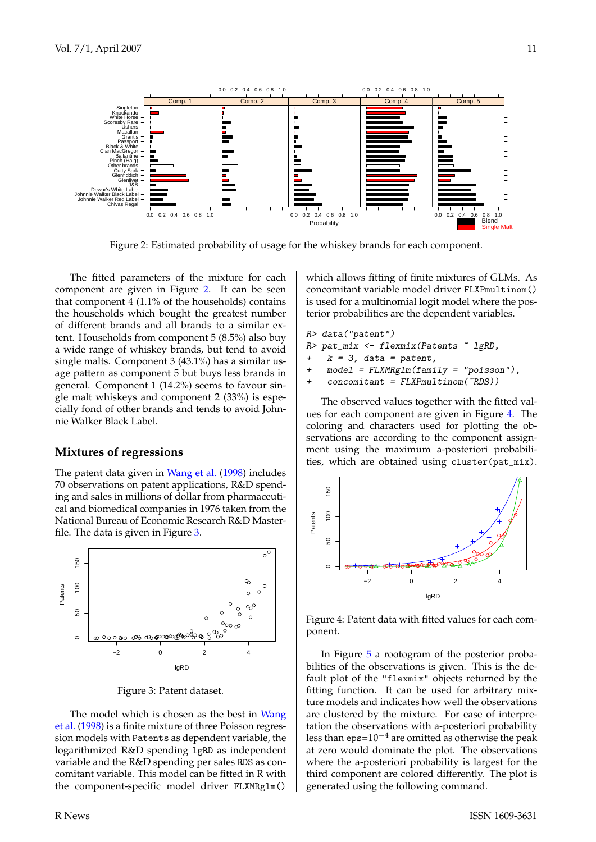<span id="page-10-3"></span>

<span id="page-10-0"></span>Figure 2: Estimated probability of usage for the whiskey brands for each component.

The fitted parameters of the mixture for each component are given in Figure [2.](#page-10-0) It can be seen that component 4 (1.1% of the households) contains the households which bought the greatest number of different brands and all brands to a similar extent. Households from component 5 (8.5%) also buy a wide range of whiskey brands, but tend to avoid single malts. Component 3 (43.1%) has a similar usage pattern as component 5 but buys less brands in general. Component 1 (14.2%) seems to favour single malt whiskeys and component 2 (33%) is especially fond of other brands and tends to avoid Johnnie Walker Black Label.

#### **Mixtures of regressions**

The patent data given in [Wang et al.](#page-12-11) [\(1998\)](#page-12-11) includes 70 observations on patent applications, R&D spending and sales in millions of dollar from pharmaceutical and biomedical companies in 1976 taken from the National Bureau of Economic Research R&D Masterfile. The data is given in Figure [3.](#page-10-1)



<span id="page-10-1"></span>Figure 3: Patent dataset.

The model which is chosen as the best in [Wang](#page-12-11) [et al.](#page-12-11) [\(1998\)](#page-12-11) is a finite mixture of three Poisson regression models with Patents as dependent variable, the logarithmized R&D spending lgRD as independent variable and the R&D spending per sales RDS as concomitant variable. This model can be fitted in R with the component-specific model driver FLXMRglm()

which allows fitting of finite mixtures of GLMs. As concomitant variable model driver FLXPmultinom() is used for a multinomial logit model where the posterior probabilities are the dependent variables.

R> data("patent") R> pat\_mix <- flexmix(Patents ~ lgRD,  $k = 3$ , data = patent,  $m \circ d = FLNMRg/m(fami]v = "poisson")$ 

+ concomitant = FLXPmultinom(~RDS))

The observed values together with the fitted values for each component are given in Figure [4.](#page-10-2) The coloring and characters used for plotting the observations are according to the component assignment using the maximum a-posteriori probabilities, which are obtained using cluster(pat\_mix).



<span id="page-10-2"></span>Figure 4: Patent data with fitted values for each component.

In Figure [5](#page-11-1) a rootogram of the posterior probabilities of the observations is given. This is the default plot of the "flexmix" objects returned by the fitting function. It can be used for arbitrary mixture models and indicates how well the observations are clustered by the mixture. For ease of interpretation the observations with a-posteriori probability less than eps= $10^{-4}$  are omitted as otherwise the peak at zero would dominate the plot. The observations where the a-posteriori probability is largest for the third component are colored differently. The plot is generated using the following command.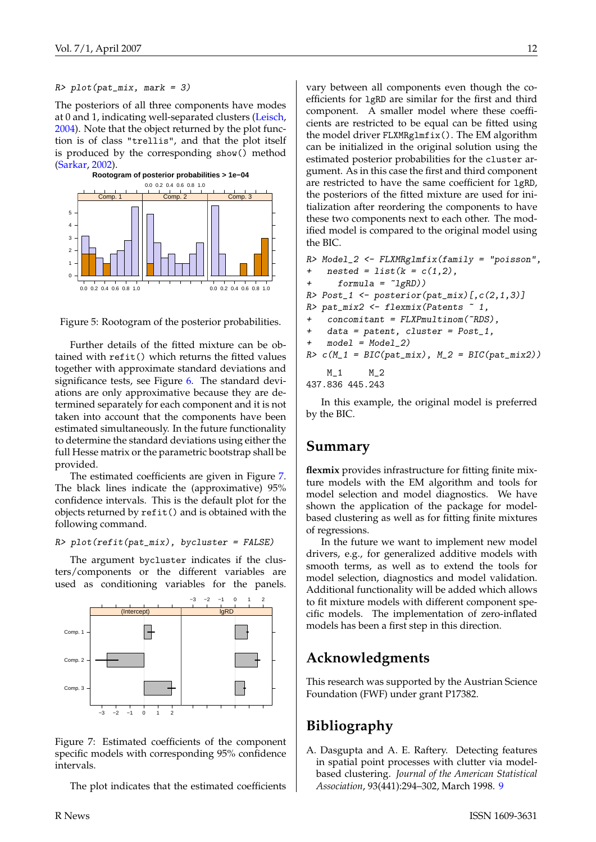#### <span id="page-11-3"></span> $R$ > plot(pat\_mix, mark = 3)

The posteriors of all three components have modes at 0 and 1, indicating well-separated clusters [\(Leisch,](#page-12-7) [2004\)](#page-12-7). Note that the object returned by the plot function is of class "trellis", and that the plot itself is produced by the corresponding show() method [\(Sarkar,](#page-12-12) [2002\)](#page-12-12).



<span id="page-11-1"></span>

Further details of the fitted mixture can be obtained with refit() which returns the fitted values together with approximate standard deviations and significance tests, see Figure [6.](#page-12-13) The standard deviations are only approximative because they are determined separately for each component and it is not taken into account that the components have been estimated simultaneously. In the future functionality to determine the standard deviations using either the full Hesse matrix or the parametric bootstrap shall be provided.

The estimated coefficients are given in Figure [7.](#page-11-2) The black lines indicate the (approximative) 95% confidence intervals. This is the default plot for the objects returned by refit() and is obtained with the following command.

#### $R$ > plot(refit(pat\_mix), bycluster = FALSE)

The argument bycluster indicates if the clusters/components or the different variables are used as conditioning variables for the panels.



<span id="page-11-2"></span>Figure 7: Estimated coefficients of the component specific models with corresponding 95% confidence intervals.

The plot indicates that the estimated coefficients

vary between all components even though the coefficients for lgRD are similar for the first and third component. A smaller model where these coefficients are restricted to be equal can be fitted using the model driver FLXMRglmfix(). The EM algorithm can be initialized in the original solution using the estimated posterior probabilities for the cluster argument. As in this case the first and third component are restricted to have the same coefficient for lgRD, the posteriors of the fitted mixture are used for initialization after reordering the components to have these two components next to each other. The modified model is compared to the original model using the BIC.

```
R> Model_2 <- FLXMRglmfix(family = "poisson",
+ nested = list(k = c(1,2)),
      formula = \lceil \text{lgRD} \rceil)R > Post_1 \leftarrow posterior(pat_mix)[c(2,1,3)]R> pat_mix2 <- flexmix(Patents ~ 1,
    concomitant = FLXPmultinom("RDS),
    data = patent, cluster = Post_1,+ model = Model_2)
R > c(M_1 = BIC(pat_mix), M_2 = BIC(pat_mix2))M_1 M_2437.836 445.243
```
In this example, the original model is preferred by the BIC.

#### **Summary**

**flexmix** provides infrastructure for fitting finite mixture models with the EM algorithm and tools for model selection and model diagnostics. We have shown the application of the package for modelbased clustering as well as for fitting finite mixtures of regressions.

In the future we want to implement new model drivers, e.g., for generalized additive models with smooth terms, as well as to extend the tools for model selection, diagnostics and model validation. Additional functionality will be added which allows to fit mixture models with different component specific models. The implementation of zero-inflated models has been a first step in this direction.

## **Acknowledgments**

This research was supported by the Austrian Science Foundation (FWF) under grant P17382.

## **Bibliography**

<span id="page-11-0"></span>A. Dasgupta and A. E. Raftery. Detecting features in spatial point processes with clutter via modelbased clustering. *Journal of the American Statistical Association*, 93(441):294–302, March 1998. [9](#page-8-0)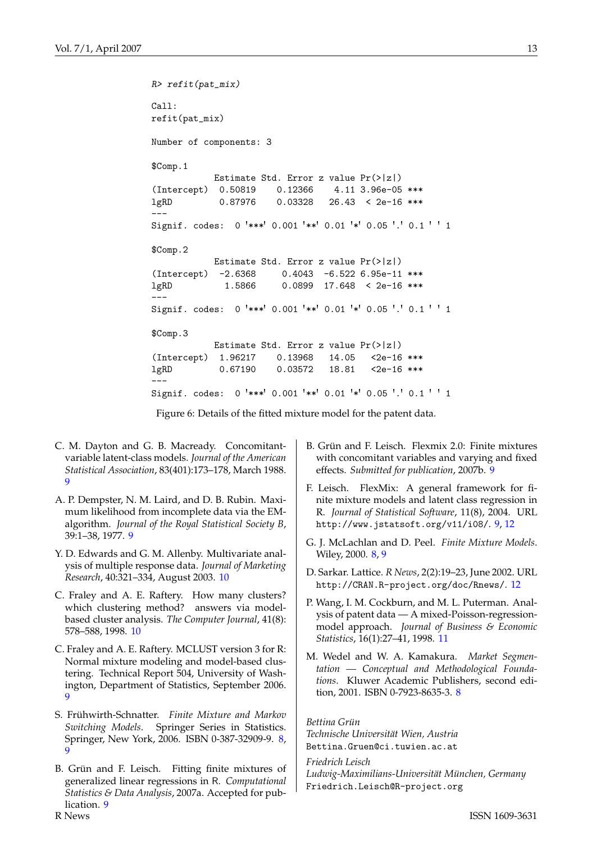```
R> refit(pat_mix)
Call:
refit(pat_mix)
Number of components: 3
$Comp.1
           Estimate Std. Error z value Pr(>|z|)
(Intercept) 0.50819 0.12366 4.11 3.96e-05 ***
lgRD 0.87976 0.03328 26.43 < 2e-16 ***
---
Signif. codes: 0 '***' 0.001 '**' 0.01 '*' 0.05 '.' 0.1 ' ' 1
$Comp.2
           Estimate Std. Error z value Pr(>|z|)
(Intercept) -2.6368 0.4043 -6.522 6.95e-11 ***
lgRD 1.5866 0.0899 17.648 < 2e-16 ***
---
Signif. codes: 0 '***' 0.001 '**' 0.01 '*' 0.05 '.' 0.1 ' ' 1
$Comp.3
           Estimate Std. Error z value Pr(>|z|)
(Intercept) 1.96217 0.13968 14.05 <2e-16 ***
lgRD 0.67190 0.03572 18.81 <2e-16 ***
---
Signif. codes: 0 '***' 0.001 '**' 0.01 '*' 0.05 '.' 0.1 ' ' 1
```
<span id="page-12-13"></span>Figure 6: Details of the fitted mixture model for the patent data.

- <span id="page-12-3"></span>C. M. Dayton and G. B. Macready. Concomitantvariable latent-class models. *Journal of the American Statistical Association*, 83(401):173–178, March 1988. [9](#page-8-0)
- <span id="page-12-4"></span>A. P. Dempster, N. M. Laird, and D. B. Rubin. Maximum likelihood from incomplete data via the EMalgorithm. *Journal of the Royal Statistical Society B*, 39:1–38, 1977. [9](#page-8-0)
- <span id="page-12-9"></span>Y. D. Edwards and G. M. Allenby. Multivariate analysis of multiple response data. *Journal of Marketing Research*, 40:321–334, August 2003. [10](#page-9-1)
- <span id="page-12-10"></span>C. Fraley and A. E. Raftery. How many clusters? which clustering method? answers via modelbased cluster analysis. *The Computer Journal*, 41(8): 578–588, 1998. [10](#page-9-1)
- <span id="page-12-6"></span>C. Fraley and A. E. Raftery. MCLUST version 3 for R: Normal mixture modeling and model-based clustering. Technical Report 504, University of Washington, Department of Statistics, September 2006. [9](#page-8-0)
- <span id="page-12-1"></span>S. Frühwirth-Schnatter. *Finite Mixture and Markov Switching Models*. Springer Series in Statistics. Springer, New York, 2006. ISBN 0-387-32909-9. [8,](#page-7-6) [9](#page-8-0)
- <span id="page-12-8"></span>B. Grün and F. Leisch. Fitting finite mixtures of generalized linear regressions in R. *Computational Statistics & Data Analysis*, 2007a. Accepted for publication. [9](#page-8-0)
- <span id="page-12-5"></span>B. Grün and F. Leisch. Flexmix 2.0: Finite mixtures with concomitant variables and varying and fixed effects. *Submitted for publication*, 2007b. [9](#page-8-0)
- <span id="page-12-7"></span>F. Leisch. FlexMix: A general framework for finite mixture models and latent class regression in R. *Journal of Statistical Software*, 11(8), 2004. URL <http://www.jstatsoft.org/v11/i08/>. [9,](#page-8-0) [12](#page-11-3)
- <span id="page-12-0"></span>G. J. McLachlan and D. Peel. *Finite Mixture Models*. Wiley, 2000. [8,](#page-7-6) [9](#page-8-0)
- <span id="page-12-12"></span>D. Sarkar. Lattice. *R News*, 2(2):19–23, June 2002. URL <http://CRAN.R-project.org/doc/Rnews/>. [12](#page-11-3)
- <span id="page-12-11"></span>P. Wang, I. M. Cockburn, and M. L. Puterman. Analysis of patent data — A mixed-Poisson-regressionmodel approach. *Journal of Business & Economic Statistics*, 16(1):27–41, 1998. [11](#page-10-3)
- <span id="page-12-2"></span>M. Wedel and W. A. Kamakura. *Market Segmentation — Conceptual and Methodological Foundations*. Kluwer Academic Publishers, second edition, 2001. ISBN 0-7923-8635-3. [8](#page-7-6)

*Bettina Grün Technische Universität Wien, Austria* [Bettina.Gruen@ci.tuwien.ac.at](mailto:Bettina.Gruen@ci.tuwien.ac.at)

*Friedrich Leisch Ludwig-Maximilians-Universität München, Germany* [Friedrich.Leisch@R-project.org](mailto:Friedrich.Leisch@R-project.org)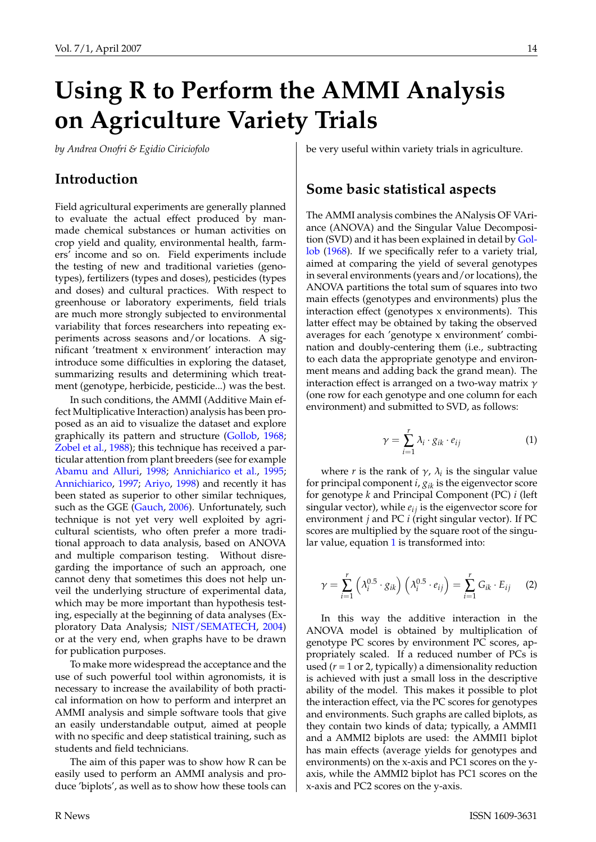# <span id="page-13-2"></span>**Using R to Perform the AMMI Analysis on Agriculture Variety Trials**

<span id="page-13-0"></span>*by Andrea Onofri & Egidio Ciriciofolo*

## **Introduction**

Field agricultural experiments are generally planned to evaluate the actual effect produced by manmade chemical substances or human activities on crop yield and quality, environmental health, farmers' income and so on. Field experiments include the testing of new and traditional varieties (genotypes), fertilizers (types and doses), pesticides (types and doses) and cultural practices. With respect to greenhouse or laboratory experiments, field trials are much more strongly subjected to environmental variability that forces researchers into repeating experiments across seasons and/or locations. A significant 'treatment x environment' interaction may introduce some difficulties in exploring the dataset, summarizing results and determining which treatment (genotype, herbicide, pesticide...) was the best.

In such conditions, the AMMI (Additive Main effect Multiplicative Interaction) analysis has been proposed as an aid to visualize the dataset and explore graphically its pattern and structure [\(Gollob,](#page-18-0) [1968;](#page-18-0) [Zobel et al.,](#page-18-1) [1988\)](#page-18-1); this technique has received a particular attention from plant breeders (see for example [Abamu and Alluri,](#page-18-2) [1998;](#page-18-2) [Annichiarico et al.,](#page-18-3) [1995;](#page-18-3) [Annichiarico,](#page-18-4) [1997;](#page-18-4) [Ariyo,](#page-18-5) [1998\)](#page-18-5) and recently it has been stated as superior to other similar techniques, such as the GGE [\(Gauch,](#page-18-6) [2006\)](#page-18-6). Unfortunately, such technique is not yet very well exploited by agricultural scientists, who often prefer a more traditional approach to data analysis, based on ANOVA and multiple comparison testing. Without disregarding the importance of such an approach, one cannot deny that sometimes this does not help unveil the underlying structure of experimental data, which may be more important than hypothesis testing, especially at the beginning of data analyses (Exploratory Data Analysis; [NIST/SEMATECH,](#page-18-7) [2004\)](#page-18-7) or at the very end, when graphs have to be drawn for publication purposes.

To make more widespread the acceptance and the use of such powerful tool within agronomists, it is necessary to increase the availability of both practical information on how to perform and interpret an AMMI analysis and simple software tools that give an easily understandable output, aimed at people with no specific and deep statistical training, such as students and field technicians.

The aim of this paper was to show how R can be easily used to perform an AMMI analysis and produce 'biplots', as well as to show how these tools can be very useful within variety trials in agriculture.

## **Some basic statistical aspects**

The AMMI analysis combines the ANalysis OF VAriance (ANOVA) and the Singular Value Decomposition (SVD) and it has been explained in detail by [Gol](#page-18-0)[lob](#page-18-0) [\(1968\)](#page-18-0). If we specifically refer to a variety trial, aimed at comparing the yield of several genotypes in several environments (years and/or locations), the ANOVA partitions the total sum of squares into two main effects (genotypes and environments) plus the interaction effect (genotypes x environments). This latter effect may be obtained by taking the observed averages for each 'genotype x environment' combination and doubly-centering them (i.e., subtracting to each data the appropriate genotype and environment means and adding back the grand mean). The interaction effect is arranged on a two-way matrix  $\gamma$ (one row for each genotype and one column for each environment) and submitted to SVD, as follows:

$$
\gamma = \sum_{i=1}^{r} \lambda_i \cdot g_{ik} \cdot e_{ij} \tag{1}
$$

<span id="page-13-1"></span>where *r* is the rank of  $\gamma$ ,  $\lambda_i$  is the singular value for principal component *i*, *gik* is the eigenvector score for genotype *k* and Principal Component (PC) *i* (left singular vector), while  $e_{ij}$  is the eigenvector score for environment *j* and PC *i* (right singular vector). If PC scores are multiplied by the square root of the singu-lar value, equation [1](#page-13-1) is transformed into:

$$
\gamma = \sum_{i=1}^{r} \left( \lambda_i^{0.5} \cdot g_{ik} \right) \left( \lambda_i^{0.5} \cdot e_{ij} \right) = \sum_{i=1}^{r} G_{ik} \cdot E_{ij} \qquad (2)
$$

In this way the additive interaction in the ANOVA model is obtained by multiplication of genotype PC scores by environment PC scores, appropriately scaled. If a reduced number of PCs is used  $(r = 1 \text{ or } 2$ , typically) a dimensionality reduction is achieved with just a small loss in the descriptive ability of the model. This makes it possible to plot the interaction effect, via the PC scores for genotypes and environments. Such graphs are called biplots, as they contain two kinds of data; typically, a AMMI1 and a AMMI2 biplots are used: the AMMI1 biplot has main effects (average yields for genotypes and environments) on the x-axis and PC1 scores on the yaxis, while the AMMI2 biplot has PC1 scores on the x-axis and PC2 scores on the y-axis.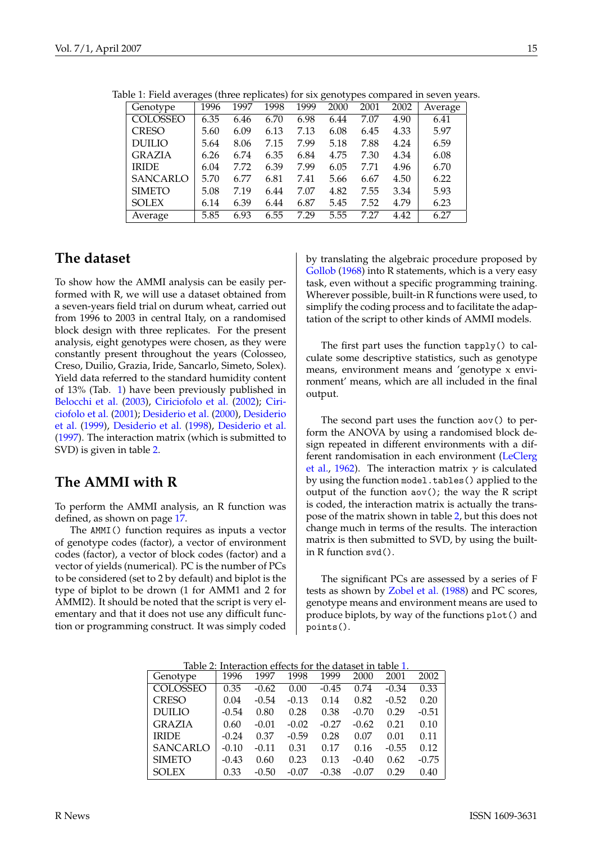<span id="page-14-0"></span>

|                 | ັ    |      |      |      | $\overline{ }$<br>╯ |      |      |         |
|-----------------|------|------|------|------|---------------------|------|------|---------|
| Genotype        | 1996 | 1997 | 1998 | 1999 | 2000                | 2001 | 2002 | Average |
| <b>COLOSSEO</b> | 6.35 | 6.46 | 6.70 | 6.98 | 6.44                | 7.07 | 4.90 | 6.41    |
| <b>CRESO</b>    | 5.60 | 6.09 | 6.13 | 7.13 | 6.08                | 6.45 | 4.33 | 5.97    |
| <b>DUILIO</b>   | 5.64 | 8.06 | 7.15 | 7.99 | 5.18                | 7.88 | 4.24 | 6.59    |
| GRAZIA          | 6.26 | 6.74 | 6.35 | 6.84 | 4.75                | 7.30 | 4.34 | 6.08    |
| <b>IRIDE</b>    | 6.04 | 7.72 | 6.39 | 7.99 | 6.05                | 7.71 | 4.96 | 6.70    |
| <b>SANCARLO</b> | 5.70 | 6.77 | 6.81 | 7.41 | 5.66                | 6.67 | 4.50 | 6.22    |
| <b>SIMETO</b>   | 5.08 | 7.19 | 6.44 | 7.07 | 4.82                | 7.55 | 3.34 | 5.93    |
| <b>SOLEX</b>    | 6.14 | 6.39 | 6.44 | 6.87 | 5.45                | 7.52 | 4.79 | 6.23    |
| Average         | 5.85 | 6.93 | 6.55 | 7.29 | 5.55                | 7.27 | 4.42 | 6.27    |

<span id="page-14-3"></span>Table 1: Field averages (three replicates) for six genotypes compared in seven years.

### **The dataset**

To show how the AMMI analysis can be easily performed with R, we will use a dataset obtained from a seven-years field trial on durum wheat, carried out from 1996 to 2003 in central Italy, on a randomised block design with three replicates. For the present analysis, eight genotypes were chosen, as they were constantly present throughout the years (Colosseo, Creso, Duilio, Grazia, Iride, Sancarlo, Simeto, Solex). Yield data referred to the standard humidity content of 13% (Tab. [1\)](#page-14-0) have been previously published in [Belocchi et al.](#page-18-8) [\(2003\)](#page-18-8), [Ciriciofolo et al.](#page-18-9) [\(2002\)](#page-18-9); [Ciri](#page-18-10)[ciofolo et al.](#page-18-10) [\(2001\)](#page-18-10); [Desiderio et al.](#page-18-11) [\(2000\)](#page-18-11), [Desiderio](#page-18-12) [et al.](#page-18-12) [\(1999\)](#page-18-12), [Desiderio et al.](#page-18-13) [\(1998\)](#page-18-13), [Desiderio et al.](#page-18-14) [\(1997\)](#page-18-14). The interaction matrix (which is submitted to SVD) is given in table [2.](#page-14-1)

### **The AMMI with R**

<span id="page-14-2"></span>To perform the AMMI analysis, an R function was defined, as shown on page [17.](#page-14-2)

The AMMI() function requires as inputs a vector of genotype codes (factor), a vector of environment codes (factor), a vector of block codes (factor) and a vector of yields (numerical). PC is the number of PCs to be considered (set to 2 by default) and biplot is the type of biplot to be drown (1 for AMM1 and 2 for AMMI2). It should be noted that the script is very elementary and that it does not use any difficult function or programming construct. It was simply coded

by translating the algebraic procedure proposed by [Gollob](#page-18-0) [\(1968\)](#page-18-0) into R statements, which is a very easy task, even without a specific programming training. Wherever possible, built-in R functions were used, to simplify the coding process and to facilitate the adaptation of the script to other kinds of AMMI models.

The first part uses the function tapply() to calculate some descriptive statistics, such as genotype means, environment means and 'genotype x environment' means, which are all included in the final output.

The second part uses the function aov() to perform the ANOVA by using a randomised block design repeated in different environments with a different randomisation in each environment [\(LeClerg](#page-18-15) [et al.,](#page-18-15) [1962\)](#page-18-15). The interaction matrix  $\gamma$  is calculated by using the function model.tables() applied to the output of the function  $aov()$ ; the way the R script is coded, the interaction matrix is actually the transpose of the matrix shown in table [2,](#page-14-1) but this does not change much in terms of the results. The interaction matrix is then submitted to SVD, by using the builtin R function svd().

The significant PCs are assessed by a series of F tests as shown by [Zobel et al.](#page-18-1) [\(1988\)](#page-18-1) and PC scores, genotype means and environment means are used to produce biplots, by way of the functions plot() and points().

|                 | Table 2: Interaction effects for the dataset in table 1. |         |         |         |         |         |         |  |
|-----------------|----------------------------------------------------------|---------|---------|---------|---------|---------|---------|--|
| Genotype        | 1996                                                     | 1997    | 1998    | 1999    | 2000    | 2001    | 2002    |  |
| <b>COLOSSEO</b> | 0.35                                                     | $-0.62$ | 0.00    | $-0.45$ | 0.74    | $-0.34$ | 0.33    |  |
| <b>CRESO</b>    | 0.04                                                     | $-0.54$ | $-0.13$ | 0.14    | 0.82    | $-0.52$ | 0.20    |  |
| <b>DUILIO</b>   | $-0.54$                                                  | 0.80    | 0.28    | 0.38    | $-0.70$ | 0.29    | $-0.51$ |  |
| <b>GRAZIA</b>   | 0.60                                                     | $-0.01$ | $-0.02$ | $-0.27$ | $-0.62$ | 0.21    | 0.10    |  |
| <b>IRIDE</b>    | $-0.24$                                                  | 0.37    | $-0.59$ | 0.28    | 0.07    | 0.01    | 0.11    |  |
| SANCARLO        | $-0.10$                                                  | $-0.11$ | 0.31    | 0.17    | 0.16    | $-0.55$ | 0.12    |  |
| <b>SIMETO</b>   | $-0.43$                                                  | 0.60    | 0.23    | 0.13    | $-0.40$ | 0.62    | $-0.75$ |  |
| <b>SOLEX</b>    | 0.33                                                     | $-0.50$ | $-0.07$ | $-0.38$ | -0.07   | 0.29    | 0.40    |  |

<span id="page-14-1"></span>Table 2: Interaction effects for the dataset in table [1.](#page-14-0)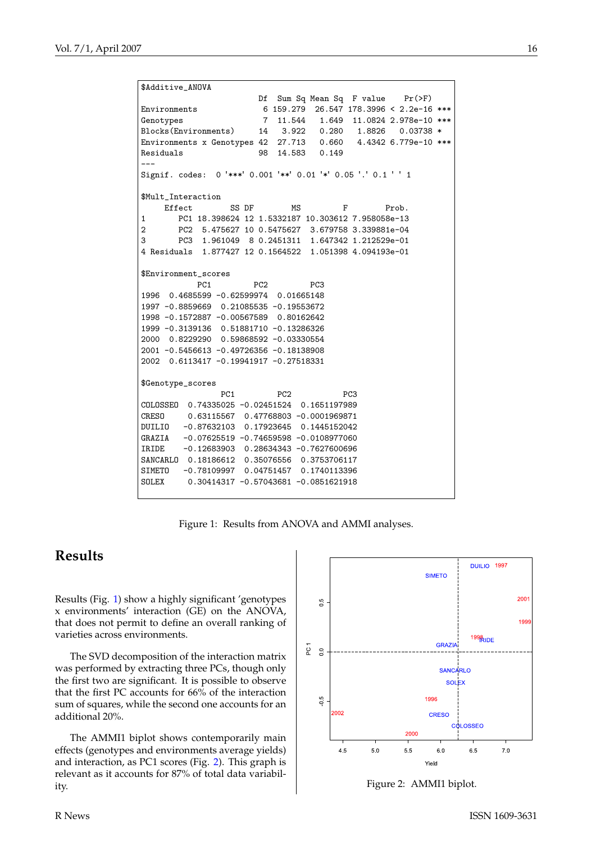```
$Additive_ANOVA
                      Df Sum Sq Mean Sq F value Pr(>F)
Environments 6 159.279 26.547 178.3996 < 2.2e-16 ***
Genotypes 7 11.544 1.649 11.0824 2.978e-10 ***
Blocks(Environments) 14 3.922 0.280 1.8826 0.03738 *
Environments x Genotypes 42 27.713 0.660 4.4342 6.779e-10 ***
Residuals 98 14.583 0.149
---
Signif. codes: 0 '***' 0.001 '**' 0.01 '*' 0.05 '.' 0.1 ' ' 1
$Mult_Interaction
    Effect SS DF MS F Prob.
1 PC1 18.398624 12 1.5332187 10.303612 7.958058e-13
2 PC2 5.475627 10 0.5475627 3.679758 3.339881e-04
3 PC3 1.961049 8 0.2451311 1.647342 1.212529e-01
4 Residuals 1.877427 12 0.1564522 1.051398 4.094193e-01
$Environment_scores
          PC1 PC2 PC3
1996 0.4685599 -0.62599974 0.01665148
1997 -0.8859669 0.21085535 -0.19553672
1998 -0.1572887 -0.00567589 0.80162642
1999 -0.3139136 0.51881710 -0.13286326
2000 0.8229290 0.59868592 -0.03330554
2001 -0.5456613 -0.49726356 -0.18138908
2002 0.6113417 -0.19941917 -0.27518331
$Genotype_scores
               PC1 PC2 PC3
COLOSSEO 0.74335025 -0.02451524 0.1651197989
CRESO 0.63115567 0.47768803 -0.0001969871
DUILIO -0.87632103 0.17923645 0.1445152042
GRAZIA -0.07625519 -0.74659598 -0.0108977060
IRIDE -0.12683903 0.28634343 -0.7627600696
SANCARLO 0.18186612 0.35076556 0.3753706117
SIMETO -0.78109997 0.04751457 0.1740113396
SOLEX 0.30414317 -0.57043681 -0.0851621918
```
<span id="page-15-0"></span>Figure 1: Results from ANOVA and AMMI analyses.

## **Results**

Results (Fig. [1\)](#page-15-0) show a highly significant 'genotypes x environments' interaction (GE) on the ANOVA, that does not permit to define an overall ranking of varieties across environments.

The SVD decomposition of the interaction matrix was performed by extracting three PCs, though only the first two are significant. It is possible to observe that the first PC accounts for 66% of the interaction sum of squares, while the second one accounts for an additional 20%.

The AMMI1 biplot shows contemporarily main effects (genotypes and environments average yields) and interaction, as PC1 scores (Fig. [2\)](#page-15-1). This graph is relevant as it accounts for 87% of total data variability. Figure 2: AMMI1 biplot.



<span id="page-15-1"></span>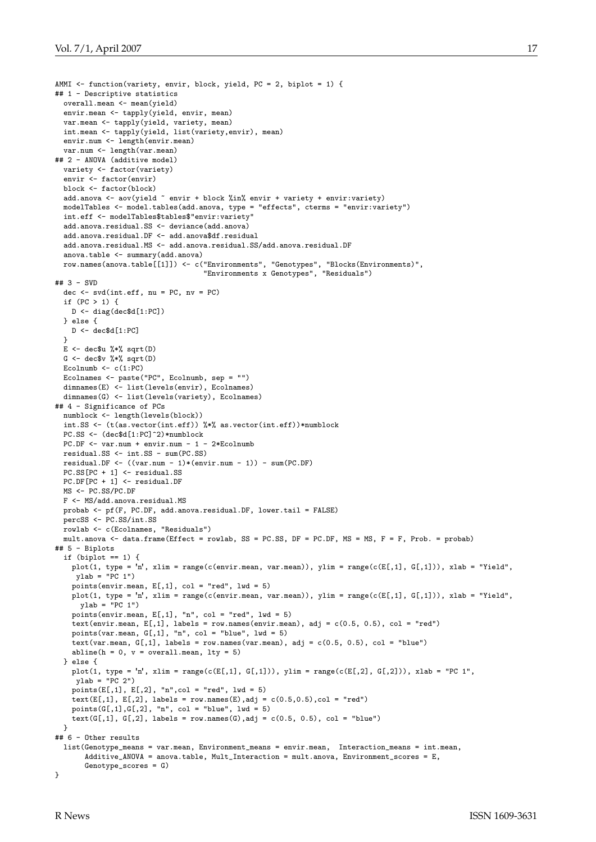```
AMMI \leq function(variety, envir, block, yield, PC = 2, biplot = 1) {
## 1 - Descriptive statistics
 overall.mean <- mean(yield)
 envir.mean <- tapply(yield, envir, mean)
 var.mean <- tapply(yield, variety, mean)
 int.mean <- tapply(yield, list(variety,envir), mean)
 envir.num <- length(envir.mean)
 var.num <- length(var.mean)
## 2 - ANOVA (additive model)
 variety <- factor(variety)
  envir <- factor(envir)
 block <- factor(block)
  add.anova <- aov(yield ~ envir + block %in% envir + variety + envir:variety)
 modelTables <- model.tables(add.anova, type = "effects", cterms = "envir:variety")
 int.eff <- modelTables$tables$"envir:variety"
  add.anova.residual.SS <- deviance(add.anova)
  add.anova.residual.DF <- add.anova$df.residual
 add.anova.residual.MS <- add.anova.residual.SS/add.anova.residual.DF
  anova.table <- summary(add.anova)
  row.names(anova.table[[1]]) <- c("Environments", "Genotypes", "Blocks(Environments)",
                                    "Environments x Genotypes", "Residuals")
## 3 - SVD
 dec \leq svd(int.eff, nu = PC, nv = PC)
  if (PC > 1) {
   D <- diag(dec$d[1:PC])
  } else {
   D <- dec$d[1:PC]
  }
 E \leftarrow dec$u %*% sqrt(D)G \leftarrow dec$v %*% sqrt(D)Ecolnumb \leq c(1:PC)
 Ecolnames <- paste("PC", Ecolnumb, sep = "")
 dimnames(E) <- list(levels(envir), Ecolnames)
 dimnames(G) <- list(levels(variety), Ecolnames)
## 4 - Significance of PCs
 numblock <- length(levels(block))
 int.SS <- (t(as.vector(int.eff)) %*% as.vector(int.eff))*numblock
 PC.SS <- (dec$d[1:PC]^2)*numblock
 PC.DF <- var.num + envir.num - 1 - 2*Ecolnumb
 residual.SS <- int.SS - sum(PC.SS)
 residual.DF \leftarrow ((var.num - 1)*(envir.num - 1)) - sum(PC.DF)
 PC.SS[PC + 1] <- residual.SS
 PC.DF[PC + 1] <- residual.DF
 MS <- PC.SS/PC.DF
 F <- MS/add.anova.residual.MS
 probab <- pf(F, PC.DF, add.anova.residual.DF, lower.tail = FALSE)
 percSS <- PC.SS/int.SS
 rowlab <- c(Ecolnames, "Residuals")
 mult.anova <- data.frame(Effect = rowlab, SS = PC.SS, DF = PC.DF, MS = MS, F = F, Prob. = probab)
## 5 - Biplots
  if (biplot == 1) {
   plot(1, type = 'n', xlim = range(c(envir.mean, var.mean)), ylim = range(c(E[,1], G[,1])), xlab = "Yield",
    ylab = "PC 1")
   points(envir.mean, E[,1], col = "red", lwd = 5)
   plot(1, type = 'n', xlim = range(c(envir.mean, var.mean)), ylim = range(c(E[,1], G[,1])), xlab = "Yield",
     vlab = "PC 1")points(envir.mean, E[,1], "n", col = "red", lwd = 5)
   text(envir.mean, E[,1], labels = row.names(envir.mean), adj = c(0.5, 0.5), col = "red")
   points(var.mean, G[,1], "n", col = "blue", lwd = 5)
   text(var.mean, G[,1], labels = row.names(var.mean), adj = c(0.5, 0.5), col = "blue")
   abline(h = 0, v = overallmean, lty = 5)
  } else {
   plot(1, type = 'n', xlim = range(c(E[,1], G[,1])), ylim = range(c(E[,2], G[,2])), xlab = "PC 1",
    ylab = "PC 2")
   points(E[,1], E[,2], "n", col = "red", lwd = 5)text(E[,1], E[,2], labels = row.names(E),adj = c(0.5, 0.5),col = "red")
   points(G[,1],G[,2], 'n", col = "blue", lwd = 5)text(G[,1], G[,2], labels = row.names(G), adj = c(0.5, 0.5), col = "blue")
 \lambda## 6 - Other results
 list(Genotype_means = var.mean, Environment_means = envir.mean, Interaction_means = int.mean,
       Additive_ANOVA = anova.table, Mult_Interaction = mult.anova, Environment_scores = E,
       Genotype_scores = G)
}
```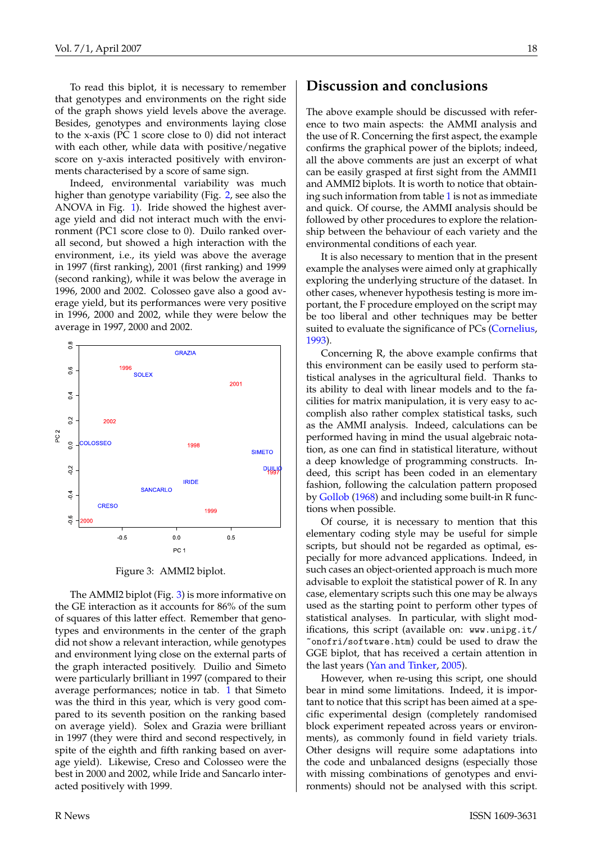<span id="page-17-1"></span>To read this biplot, it is necessary to remember that genotypes and environments on the right side of the graph shows yield levels above the average. Besides, genotypes and environments laying close to the x-axis (PC 1 score close to 0) did not interact with each other, while data with positive/negative score on y-axis interacted positively with environments characterised by a score of same sign.

Indeed, environmental variability was much higher than genotype variability (Fig. [2,](#page-15-1) see also the ANOVA in Fig. [1\)](#page-15-0). Iride showed the highest average yield and did not interact much with the environment (PC1 score close to 0). Duilo ranked overall second, but showed a high interaction with the environment, i.e., its yield was above the average in 1997 (first ranking), 2001 (first ranking) and 1999 (second ranking), while it was below the average in 1996, 2000 and 2002. Colosseo gave also a good average yield, but its performances were very positive in 1996, 2000 and 2002, while they were below the average in 1997, 2000 and 2002.



<span id="page-17-0"></span>Figure 3: AMMI2 biplot.

The AMMI2 biplot (Fig. [3\)](#page-17-0) is more informative on the GE interaction as it accounts for 86% of the sum of squares of this latter effect. Remember that genotypes and environments in the center of the graph did not show a relevant interaction, while genotypes and environment lying close on the external parts of the graph interacted positively. Duilio and Simeto were particularly brilliant in 1997 (compared to their average performances; notice in tab. [1](#page-14-0) that Simeto was the third in this year, which is very good compared to its seventh position on the ranking based on average yield). Solex and Grazia were brilliant in 1997 (they were third and second respectively, in spite of the eighth and fifth ranking based on average yield). Likewise, Creso and Colosseo were the best in 2000 and 2002, while Iride and Sancarlo interacted positively with 1999.

## **Discussion and conclusions**

The above example should be discussed with reference to two main aspects: the AMMI analysis and the use of R. Concerning the first aspect, the example confirms the graphical power of the biplots; indeed, all the above comments are just an excerpt of what can be easily grasped at first sight from the AMMI1 and AMMI2 biplots. It is worth to notice that obtaining such information from table [1](#page-14-0) is not as immediate and quick. Of course, the AMMI analysis should be followed by other procedures to explore the relationship between the behaviour of each variety and the environmental conditions of each year.

It is also necessary to mention that in the present example the analyses were aimed only at graphically exploring the underlying structure of the dataset. In other cases, whenever hypothesis testing is more important, the F procedure employed on the script may be too liberal and other techniques may be better suited to evaluate the significance of PCs [\(Cornelius,](#page-18-16) [1993\)](#page-18-16).

Concerning R, the above example confirms that this environment can be easily used to perform statistical analyses in the agricultural field. Thanks to its ability to deal with linear models and to the facilities for matrix manipulation, it is very easy to accomplish also rather complex statistical tasks, such as the AMMI analysis. Indeed, calculations can be performed having in mind the usual algebraic notation, as one can find in statistical literature, without a deep knowledge of programming constructs. Indeed, this script has been coded in an elementary fashion, following the calculation pattern proposed by [Gollob](#page-18-0) [\(1968\)](#page-18-0) and including some built-in R functions when possible.

Of course, it is necessary to mention that this elementary coding style may be useful for simple scripts, but should not be regarded as optimal, especially for more advanced applications. Indeed, in such cases an object-oriented approach is much more advisable to exploit the statistical power of R. In any case, elementary scripts such this one may be always used as the starting point to perform other types of statistical analyses. In particular, with slight modifications, this script (available on: [www.unipg.it/](www.unipg.it/~onofri/software.htm) [~onofri/software.htm](www.unipg.it/~onofri/software.htm)) could be used to draw the GGE biplot, that has received a certain attention in the last years [\(Yan and Tinker,](#page-18-17) [2005\)](#page-18-17).

However, when re-using this script, one should bear in mind some limitations. Indeed, it is important to notice that this script has been aimed at a specific experimental design (completely randomised block experiment repeated across years or environments), as commonly found in field variety trials. Other designs will require some adaptations into the code and unbalanced designs (especially those with missing combinations of genotypes and environments) should not be analysed with this script.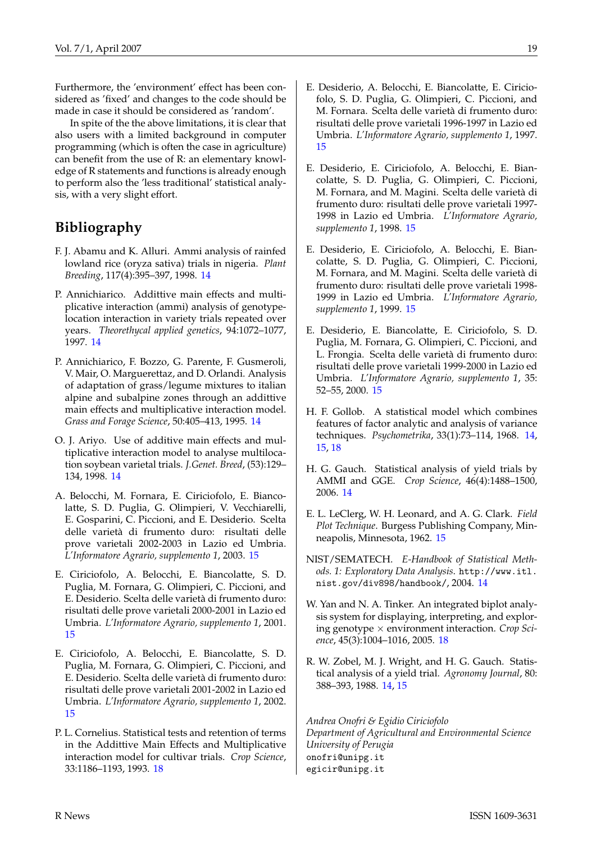Furthermore, the 'environment' effect has been considered as 'fixed' and changes to the code should be made in case it should be considered as 'random'.

In spite of the the above limitations, it is clear that also users with a limited background in computer programming (which is often the case in agriculture) can benefit from the use of R: an elementary knowledge of R statements and functions is already enough to perform also the 'less traditional' statistical analysis, with a very slight effort.

## **Bibliography**

- <span id="page-18-2"></span>F. J. Abamu and K. Alluri. Ammi analysis of rainfed lowland rice (oryza sativa) trials in nigeria. *Plant Breeding*, 117(4):395–397, 1998. [14](#page-13-2)
- <span id="page-18-4"></span>P. Annichiarico. Addittive main effects and multiplicative interaction (ammi) analysis of genotypelocation interaction in variety trials repeated over years. *Theorethycal applied genetics*, 94:1072–1077, 1997. [14](#page-13-2)
- <span id="page-18-3"></span>P. Annichiarico, F. Bozzo, G. Parente, F. Gusmeroli, V. Mair, O. Marguerettaz, and D. Orlandi. Analysis of adaptation of grass/legume mixtures to italian alpine and subalpine zones through an addittive main effects and multiplicative interaction model. *Grass and Forage Science*, 50:405–413, 1995. [14](#page-13-2)
- <span id="page-18-5"></span>O. J. Ariyo. Use of additive main effects and multiplicative interaction model to analyse multilocation soybean varietal trials. *J.Genet. Breed*, (53):129– 134, 1998. [14](#page-13-2)
- <span id="page-18-8"></span>A. Belocchi, M. Fornara, E. Ciriciofolo, E. Biancolatte, S. D. Puglia, G. Olimpieri, V. Vecchiarelli, E. Gosparini, C. Piccioni, and E. Desiderio. Scelta delle varietà di frumento duro: risultati delle prove varietali 2002-2003 in Lazio ed Umbria. *L'Informatore Agrario, supplemento 1*, 2003. [15](#page-14-3)
- <span id="page-18-10"></span>E. Ciriciofolo, A. Belocchi, E. Biancolatte, S. D. Puglia, M. Fornara, G. Olimpieri, C. Piccioni, and E. Desiderio. Scelta delle varietà di frumento duro: risultati delle prove varietali 2000-2001 in Lazio ed Umbria. *L'Informatore Agrario, supplemento 1*, 2001. [15](#page-14-3)
- <span id="page-18-9"></span>E. Ciriciofolo, A. Belocchi, E. Biancolatte, S. D. Puglia, M. Fornara, G. Olimpieri, C. Piccioni, and E. Desiderio. Scelta delle varietà di frumento duro: risultati delle prove varietali 2001-2002 in Lazio ed Umbria. *L'Informatore Agrario, supplemento 1*, 2002. [15](#page-14-3)
- <span id="page-18-16"></span>P. L. Cornelius. Statistical tests and retention of terms in the Addittive Main Effects and Multiplicative interaction model for cultivar trials. *Crop Science*, 33:1186–1193, 1993. [18](#page-17-1)
- <span id="page-18-14"></span>E. Desiderio, A. Belocchi, E. Biancolatte, E. Ciriciofolo, S. D. Puglia, G. Olimpieri, C. Piccioni, and M. Fornara. Scelta delle varietà di frumento duro: risultati delle prove varietali 1996-1997 in Lazio ed Umbria. *L'Informatore Agrario, supplemento 1*, 1997. [15](#page-14-3)
- <span id="page-18-13"></span>E. Desiderio, E. Ciriciofolo, A. Belocchi, E. Biancolatte, S. D. Puglia, G. Olimpieri, C. Piccioni, M. Fornara, and M. Magini. Scelta delle varietà di frumento duro: risultati delle prove varietali 1997- 1998 in Lazio ed Umbria. *L'Informatore Agrario, supplemento 1*, 1998. [15](#page-14-3)
- <span id="page-18-12"></span>E. Desiderio, E. Ciriciofolo, A. Belocchi, E. Biancolatte, S. D. Puglia, G. Olimpieri, C. Piccioni, M. Fornara, and M. Magini. Scelta delle varietà di frumento duro: risultati delle prove varietali 1998- 1999 in Lazio ed Umbria. *L'Informatore Agrario, supplemento 1*, 1999. [15](#page-14-3)
- <span id="page-18-11"></span>E. Desiderio, E. Biancolatte, E. Ciriciofolo, S. D. Puglia, M. Fornara, G. Olimpieri, C. Piccioni, and L. Frongia. Scelta delle varietà di frumento duro: risultati delle prove varietali 1999-2000 in Lazio ed Umbria. *L'Informatore Agrario, supplemento 1*, 35: 52–55, 2000. [15](#page-14-3)
- <span id="page-18-0"></span>H. F. Gollob. A statistical model which combines features of factor analytic and analysis of variance techniques. *Psychometrika*, 33(1):73–114, 1968. [14,](#page-13-2) [15,](#page-14-3) [18](#page-17-1)
- <span id="page-18-6"></span>H. G. Gauch. Statistical analysis of yield trials by AMMI and GGE. *Crop Science*, 46(4):1488–1500, 2006. [14](#page-13-2)
- <span id="page-18-15"></span>E. L. LeClerg, W. H. Leonard, and A. G. Clark. *Field Plot Technique*. Burgess Publishing Company, Minneapolis, Minnesota, 1962. [15](#page-14-3)
- <span id="page-18-7"></span>NIST/SEMATECH. *E-Handbook of Statistical Methods. 1: Exploratory Data Analysis*. [http://www.itl.](http://www.itl.nist.gov/div898/handbook/) [nist.gov/div898/handbook/](http://www.itl.nist.gov/div898/handbook/), 2004. [14](#page-13-2)
- <span id="page-18-17"></span>W. Yan and N. A. Tinker. An integrated biplot analysis system for displaying, interpreting, and exploring genotype × environment interaction. *Crop Science*, 45(3):1004–1016, 2005. [18](#page-17-1)
- <span id="page-18-1"></span>R. W. Zobel, M. J. Wright, and H. G. Gauch. Statistical analysis of a yield trial. *Agronomy Journal*, 80: 388–393, 1988. [14,](#page-13-2) [15](#page-14-3)

*Andrea Onofri & Egidio Ciriciofolo Department of Agricultural and Environmental Science University of Perugia* [onofri@unipg.it](mailto:onofri@unipg.it) [egicir@unipg.it](mailto:egicir@unipg.it)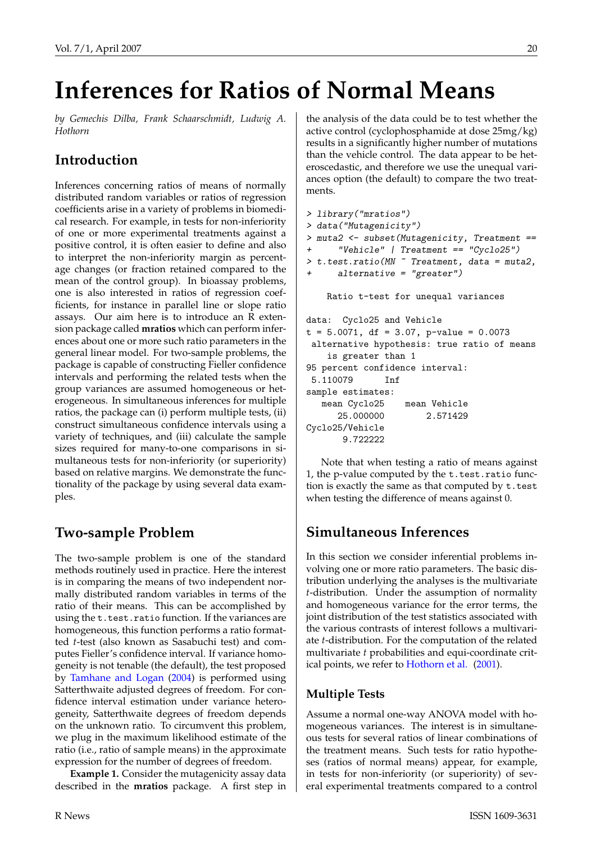# <span id="page-19-1"></span>**Inferences for Ratios of Normal Means**

<span id="page-19-0"></span>*by Gemechis Dilba, Frank Schaarschmidt, Ludwig A. Hothorn*

# **Introduction**

Inferences concerning ratios of means of normally distributed random variables or ratios of regression coefficients arise in a variety of problems in biomedical research. For example, in tests for non-inferiority of one or more experimental treatments against a positive control, it is often easier to define and also to interpret the non-inferiority margin as percentage changes (or fraction retained compared to the mean of the control group). In bioassay problems, one is also interested in ratios of regression coefficients, for instance in parallel line or slope ratio assays. Our aim here is to introduce an R extension package called **mratios** which can perform inferences about one or more such ratio parameters in the general linear model. For two-sample problems, the package is capable of constructing Fieller confidence intervals and performing the related tests when the group variances are assumed homogeneous or heterogeneous. In simultaneous inferences for multiple ratios, the package can (i) perform multiple tests, (ii) construct simultaneous confidence intervals using a variety of techniques, and (iii) calculate the sample sizes required for many-to-one comparisons in simultaneous tests for non-inferiority (or superiority) based on relative margins. We demonstrate the functionality of the package by using several data examples.

# **Two-sample Problem**

The two-sample problem is one of the standard methods routinely used in practice. Here the interest is in comparing the means of two independent normally distributed random variables in terms of the ratio of their means. This can be accomplished by using the t.test.ratio function. If the variances are homogeneous, this function performs a ratio formatted *t*-test (also known as Sasabuchi test) and computes Fieller's confidence interval. If variance homogeneity is not tenable (the default), the test proposed by [Tamhane and Logan](#page-22-0) [\(2004\)](#page-22-0) is performed using Satterthwaite adjusted degrees of freedom. For confidence interval estimation under variance heterogeneity, Satterthwaite degrees of freedom depends on the unknown ratio. To circumvent this problem, we plug in the maximum likelihood estimate of the ratio (i.e., ratio of sample means) in the approximate expression for the number of degrees of freedom.

**Example 1.** Consider the mutagenicity assay data described in the **mratios** package. A first step in the analysis of the data could be to test whether the active control (cyclophosphamide at dose 25mg/kg) results in a significantly higher number of mutations than the vehicle control. The data appear to be heteroscedastic, and therefore we use the unequal variances option (the default) to compare the two treatments.

```
> library("mratios")
> data("Mutagenicity")
> muta2 <- subset(Mutagenicity, Treatment ==
      "Vehicle" | Treatment == "Cyclo25")
> t.test.ratio(MN ~ Treatment, data = muta2,
     alternative = "greater")Ratio t-test for unequal variances
data: Cyclo25 and Vehicle
t = 5.0071, df = 3.07, p-value = 0.0073
 alternative hypothesis: true ratio of means
    is greater than 1
95 percent confidence interval:
5.110079 Inf
sample estimates:
  mean Cyclo25 mean Vehicle
     25.000000 2.571429
Cyclo25/Vehicle
      9.722222
```
Note that when testing a ratio of means against 1, the p-value computed by the t.test.ratio function is exactly the same as that computed by t.test when testing the difference of means against 0.

# **Simultaneous Inferences**

In this section we consider inferential problems involving one or more ratio parameters. The basic distribution underlying the analyses is the multivariate *t*-distribution. Under the assumption of normality and homogeneous variance for the error terms, the joint distribution of the test statistics associated with the various contrasts of interest follows a multivariate *t*-distribution. For the computation of the related multivariate *t* probabilities and equi-coordinate critical points, we refer to [Hothorn et al.](#page-22-1) [\(2001\)](#page-22-1).

### **Multiple Tests**

Assume a normal one-way ANOVA model with homogeneous variances. The interest is in simultaneous tests for several ratios of linear combinations of the treatment means. Such tests for ratio hypotheses (ratios of normal means) appear, for example, in tests for non-inferiority (or superiority) of several experimental treatments compared to a control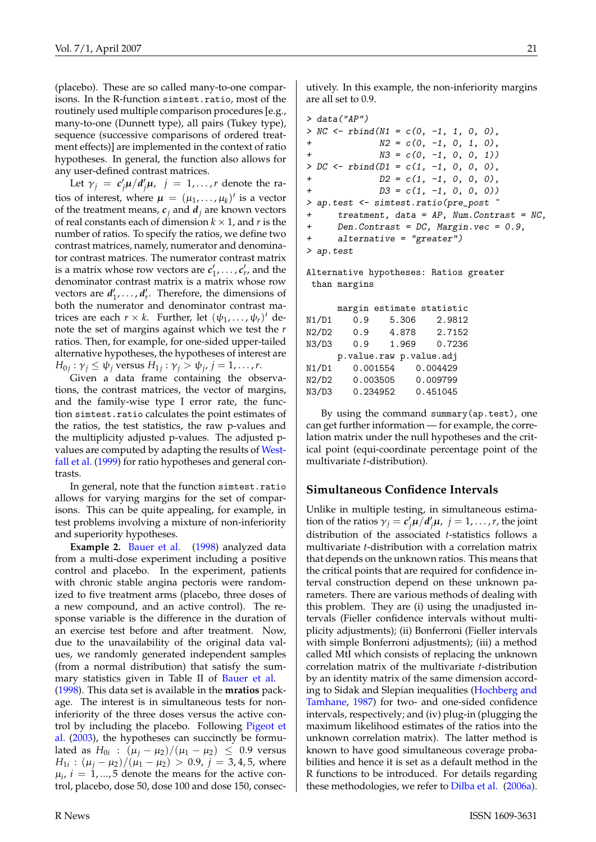<span id="page-20-0"></span>(placebo). These are so called many-to-one comparisons. In the R-function simtest.ratio, most of the routinely used multiple comparison procedures [e.g., many-to-one (Dunnett type), all pairs (Tukey type), sequence (successive comparisons of ordered treatment effects)] are implemented in the context of ratio hypotheses. In general, the function also allows for any user-defined contrast matrices.

Let  $\gamma_j = c'_j \mu / d'_j \mu$ ,  $j = 1, ..., r$  denote the ratios of interest, where  $\mu = (\mu_1, ..., \mu_k)'$  is a vector of the treatment means,  $c_j$  and  $d_j$  are known vectors of real constants each of dimension  $k \times 1$ , and r is the number of ratios. To specify the ratios, we define two contrast matrices, namely, numerator and denominator contrast matrices. The numerator contrast matrix is a matrix whose row vectors are  $c'_1$ , ...,  $c'_r$ , and the denominator contrast matrix is a matrix whose row vectors are  $d'_1, \ldots, d'_r$ . Therefore, the dimensions of both the numerator and denominator contrast matrices are each  $r \times k$ . Further, let  $(\psi_1, \ldots, \psi_r)'$  denote the set of margins against which we test the *r* ratios. Then, for example, for one-sided upper-tailed alternative hypotheses, the hypotheses of interest are  $H_{0j}$ :  $\gamma_j \leq \psi_j$  versus  $H_{1j}$ :  $\gamma_j > \psi_j$ ,  $j = 1, \ldots, r$ .

Given a data frame containing the observations, the contrast matrices, the vector of margins, and the family-wise type I error rate, the function simtest.ratio calculates the point estimates of the ratios, the test statistics, the raw p-values and the multiplicity adjusted p-values. The adjusted pvalues are computed by adapting the results of [West](#page-22-2)[fall et al.](#page-22-2) [\(1999\)](#page-22-2) for ratio hypotheses and general contrasts.

In general, note that the function simtest.ratio allows for varying margins for the set of comparisons. This can be quite appealing, for example, in test problems involving a mixture of non-inferiority and superiority hypotheses.

**Example 2.** [Bauer et al.](#page-22-3) [\(1998\)](#page-22-3) analyzed data from a multi-dose experiment including a positive control and placebo. In the experiment, patients with chronic stable angina pectoris were randomized to five treatment arms (placebo, three doses of a new compound, and an active control). The response variable is the difference in the duration of an exercise test before and after treatment. Now, due to the unavailability of the original data values, we randomly generated independent samples (from a normal distribution) that satisfy the sum-mary statistics given in Table II of [Bauer et al.](#page-22-3) [\(1998\)](#page-22-3). This data set is available in the **mratios** package. The interest is in simultaneous tests for noninferiority of the three doses versus the active control by including the placebo. Following [Pigeot et](#page-22-4) [al.](#page-22-4) [\(2003\)](#page-22-4), the hypotheses can succinctly be formulated as  $H_{0i}$  :  $(μ_j - μ_2)/(μ_1 - μ_2) ≤ 0.9$  versus *H*<sub>1*i*</sub> : (μ<sub>*j*</sub> − μ<sub>2</sub>)/(μ<sub>1</sub> − μ<sub>2</sub>) > 0.9, *j* = 3,4,5, where  $\mu_i$ ,  $i = 1, ..., 5$  denote the means for the active control, placebo, dose 50, dose 100 and dose 150, consecutively. In this example, the non-inferiority margins are all set to 0.9.

> data("AP")  $> NC \leftarrow rbind(N1 = c(0, -1, 1, 0, 0),$  $N2 = c(0, -1, 0, 1, 0)$ ,  $N3 = c(0, -1, 0, 0, 1)$ >  $DC \leftarrow$   $rbind(D1 = c(1, -1, 0, 0, 0)$ , +  $D2 = c(1, -1, 0, 0, 0)$ , +  $D3 = c(1, -1, 0, 0, 0)$ > ap.test <- simtest.ratio(pre\_post ~ + treatment, data = AP, Num.Contrast = NC, + Den.Contrast = DC, Margin.vec = 0.9, + alternative = "greater") > ap.test

Alternative hypotheses: Ratios greater than margins

|       |     |                         | margin estimate statistic |
|-------|-----|-------------------------|---------------------------|
| N1/D1 | 0.9 | 5.306                   | 2.9812                    |
| N2/D2 | 0.9 | 4.878                   | 2.7152                    |
| N3/D3 | 0.9 | 1.969                   | 0.7236                    |
|       |     | p.value.raw p.value.adj |                           |
| N1/D1 |     | 0.001554                | 0.004429                  |
| N2/D2 |     | 0.003505                | 0.009799                  |
| N3/D3 |     | 0.234952                | 0.451045                  |

By using the command summary(ap.test), one can get further information — for example, the correlation matrix under the null hypotheses and the critical point (equi-coordinate percentage point of the multivariate *t*-distribution).

#### **Simultaneous Confidence Intervals**

Unlike in multiple testing, in simultaneous estimation of the ratios  $\gamma_j = c'_j \mu / d'_j \mu$ ,  $j = 1, ..., r$ , the joint distribution of the associated *t*-statistics follows a multivariate *t*-distribution with a correlation matrix that depends on the unknown ratios. This means that the critical points that are required for confidence interval construction depend on these unknown parameters. There are various methods of dealing with this problem. They are (i) using the unadjusted intervals (Fieller confidence intervals without multiplicity adjustments); (ii) Bonferroni (Fieller intervals with simple Bonferroni adjustments); (iii) a method called MtI which consists of replacing the unknown correlation matrix of the multivariate *t*-distribution by an identity matrix of the same dimension according to Sidak and Slepian inequalities [\(Hochberg and](#page-22-5) [Tamhane,](#page-22-5) [1987\)](#page-22-5) for two- and one-sided confidence intervals, respectively; and (iv) plug-in (plugging the maximum likelihood estimates of the ratios into the unknown correlation matrix). The latter method is known to have good simultaneous coverage probabilities and hence it is set as a default method in the R functions to be introduced. For details regarding these methodologies, we refer to [Dilba et al.](#page-22-6) [\(2006a\)](#page-22-6).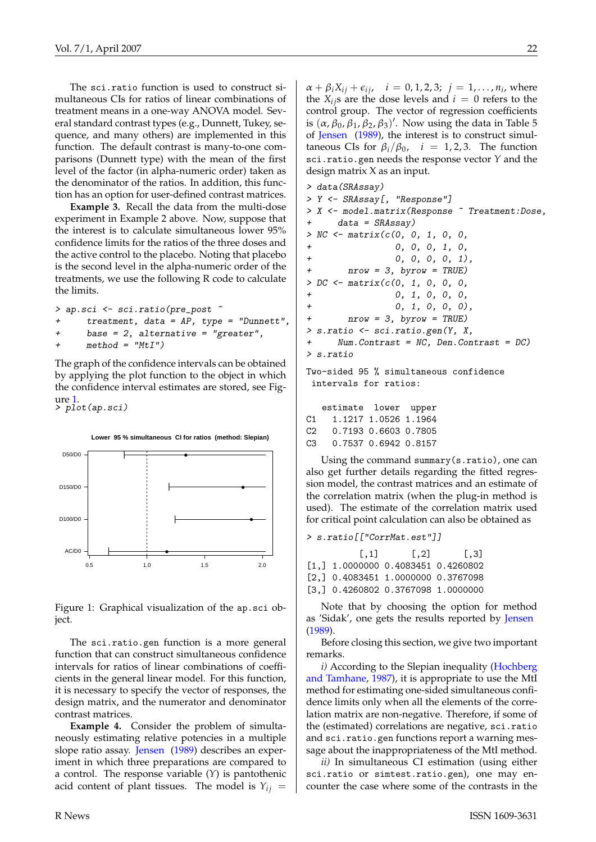<span id="page-21-1"></span>The sci.ratio function is used to construct simultaneous CIs for ratios of linear combinations of treatment means in a one-way ANOVA model. Several standard contrast types (e.g., Dunnett, Tukey, sequence, and many others) are implemented in this function. The default contrast is many-to-one comparisons (Dunnett type) with the mean of the first level of the factor (in alpha-numeric order) taken as the denominator of the ratios. In addition, this function has an option for user-defined contrast matrices.

**Example 3.** Recall the data from the multi-dose experiment in Example 2 above. Now, suppose that the interest is to calculate simultaneous lower 95% confidence limits for the ratios of the three doses and the active control to the placebo. Noting that placebo is the second level in the alpha-numeric order of the treatments, we use the following R code to calculate the limits.

```
> ap.sci <- sci.ratio(pre_post ~
+ treatment, data = AP, type = "Dunnett",
+ base = 2, alternative = "greater",
+ method = "MtI")
```
The graph of the confidence intervals can be obtained by applying the plot function to the object in which the confidence interval estimates are stored, see Figure [1.](#page-21-0) > plot(ap.sci)



**Lower 95 % simultaneous CI for ratios (method: Slepian)**

<span id="page-21-0"></span>Figure 1: Graphical visualization of the ap.sci object.

The sci.ratio.gen function is a more general function that can construct simultaneous confidence intervals for ratios of linear combinations of coefficients in the general linear model. For this function, it is necessary to specify the vector of responses, the design matrix, and the numerator and denominator contrast matrices.

**Example 4.** Consider the problem of simultaneously estimating relative potencies in a multiple slope ratio assay. [Jensen](#page-22-7) [\(1989\)](#page-22-7) describes an experiment in which three preparations are compared to a control. The response variable (*Y*) is pantothenic acid content of plant tissues. The model is  $Y_{ij}$  =

 $\alpha + \beta_i X_{ij} + \epsilon_{ij}, \quad i = 0, 1, 2, 3; \; j = 1, ..., n_i$ , where the  $X_{ij}$ s are the dose levels and  $i = 0$  refers to the control group. The vector of regression coefficients is  $(\alpha, \beta_0, \beta_1, \beta_2, \beta_3)'$ . Now using the data in Table 5 of [Jensen](#page-22-7) [\(1989\)](#page-22-7), the interest is to construct simultaneous CIs for  $\beta_i/\beta_0$ ,  $i = 1, 2, 3$ . The function sci.ratio.gen needs the response vector *Y* and the design matrix X as an input.

```
> data(SRAssay)
> Y <- SRAssay[, "Response"]
> X <- model.matrix(Response ~ Treatment:Dose,
     data = SRASSay)> NC \leftarrow matrix(c(0, 0, 1, 0, 0,+ 0, 0, 0, 1, 0,
+ 0, 0, 0, 0, 1),
+ nrow = 3, byrow = TRUE)
> DC < - matrix(c(0, 1, 0, 0, 0, 0)+ 0, 1, 0, 0, 0,
+ 0, 1, 0, 0, 0),
+ nrow = 3, byrow = TRUE)
> s.ratio <- sci.ratio.gen(Y, X,
+ Num.Contrast = NC, Den.Contrast = DC)
> s.ratio
Two-sided 95 % simultaneous confidence
 intervals for ratios:
```
estimate lower upper

| C1. |                      | 1.1217 1.0526 1.1964 |  |
|-----|----------------------|----------------------|--|
| C2. | 0.7193 0.6603 0.7805 |                      |  |
| C3. |                      | 0.7537 0.6942 0.8157 |  |

Using the command summary(s.ratio), one can also get further details regarding the fitted regression model, the contrast matrices and an estimate of the correlation matrix (when the plug-in method is used). The estimate of the correlation matrix used for critical point calculation can also be obtained as

> s.ratio[["CorrMat.est"]]

| $\left[ 1,1\right]$                         | $\lceil .2 \rceil$ | $\left[ 1,3\right]$ |
|---------------------------------------------|--------------------|---------------------|
| [1,] 1,0000000 0.4083451 0.4260802          |                    |                     |
| $[2.1 \ 0.4083451 \ 1.0000000 \ 0.3767098]$ |                    |                     |
| [3,] 0.4260802 0.3767098 1.0000000          |                    |                     |

Note that by choosing the option for method as 'Sidak', one gets the results reported by [Jensen](#page-22-7) [\(1989\)](#page-22-7).

Before closing this section, we give two important remarks.

*i)* According to the Slepian inequality [\(Hochberg](#page-22-5) [and Tamhane,](#page-22-5) [1987\)](#page-22-5), it is appropriate to use the MtI method for estimating one-sided simultaneous confidence limits only when all the elements of the correlation matrix are non-negative. Therefore, if some of the (estimated) correlations are negative, sci.ratio and sci.ratio.gen functions report a warning message about the inappropriateness of the MtI method.

*ii)* In simultaneous CI estimation (using either sci.ratio or simtest.ratio.gen), one may encounter the case where some of the contrasts in the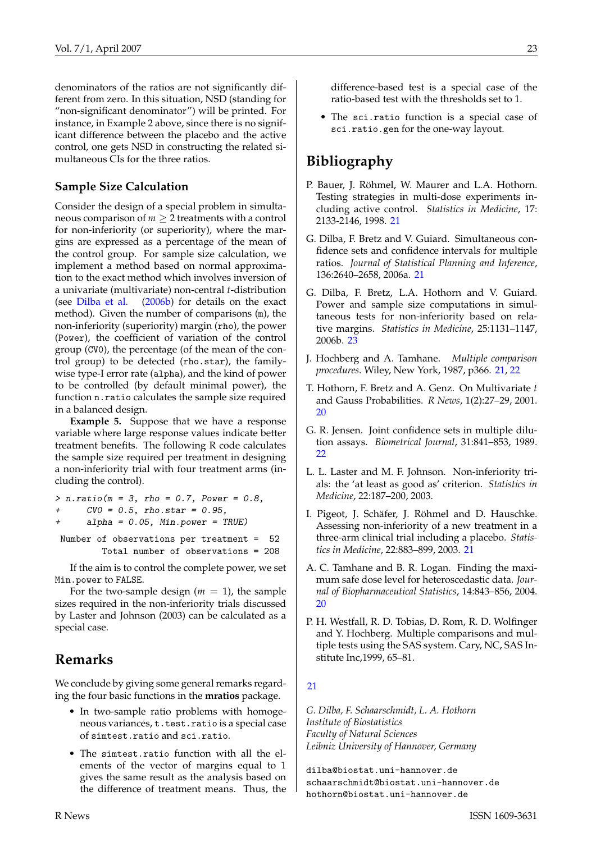<span id="page-22-9"></span>denominators of the ratios are not significantly different from zero. In this situation, NSD (standing for "non-significant denominator") will be printed. For instance, in Example 2 above, since there is no significant difference between the placebo and the active control, one gets NSD in constructing the related simultaneous CIs for the three ratios.

### **Sample Size Calculation**

Consider the design of a special problem in simultaneous comparison of  $m \geq 2$  treatments with a control for non-inferiority (or superiority), where the margins are expressed as a percentage of the mean of the control group. For sample size calculation, we implement a method based on normal approximation to the exact method which involves inversion of a univariate (multivariate) non-central *t*-distribution (see [Dilba et al.](#page-22-8) [\(2006b\)](#page-22-8) for details on the exact method). Given the number of comparisons (m), the non-inferiority (superiority) margin (rho), the power (Power), the coefficient of variation of the control group (CV0), the percentage (of the mean of the control group) to be detected (rho.star), the familywise type-I error rate (alpha), and the kind of power to be controlled (by default minimal power), the function n.ratio calculates the sample size required in a balanced design.

**Example 5.** Suppose that we have a response variable where large response values indicate better treatment benefits. The following R code calculates the sample size required per treatment in designing a non-inferiority trial with four treatment arms (including the control).

- $> n. \text{ratio}(m = 3, \text{rho} = 0.7, \text{Power} = 0.8,$
- $CVO = 0.5$ , rho.star = 0.95,
- $alpha = 0.05$ , Min.power = TRUE)

Number of observations per treatment = 52 Total number of observations = 208

If the aim is to control the complete power, we set Min.power to FALSE.

For the two-sample design  $(m = 1)$ , the sample sizes required in the non-inferiority trials discussed by Laster and Johnson (2003) can be calculated as a special case.

# **Remarks**

We conclude by giving some general remarks regarding the four basic functions in the **mratios** package.

- In two-sample ratio problems with homogeneous variances, t.test.ratio is a special case of simtest.ratio and sci.ratio.
- The simtest.ratio function with all the elements of the vector of margins equal to 1 gives the same result as the analysis based on the difference of treatment means. Thus, the

difference-based test is a special case of the ratio-based test with the thresholds set to 1.

• The sci.ratio function is a special case of sci.ratio.gen for the one-way layout.

# **Bibliography**

- <span id="page-22-3"></span>P. Bauer, J. Röhmel, W. Maurer and L.A. Hothorn. Testing strategies in multi-dose experiments including active control. *Statistics in Medicine*, 17: 2133-2146, 1998. [21](#page-20-0)
- <span id="page-22-6"></span>G. Dilba, F. Bretz and V. Guiard. Simultaneous confidence sets and confidence intervals for multiple ratios. *Journal of Statistical Planning and Inference*, 136:2640–2658, 2006a. [21](#page-20-0)
- <span id="page-22-8"></span>G. Dilba, F. Bretz, L.A. Hothorn and V. Guiard. Power and sample size computations in simultaneous tests for non-inferiority based on relative margins. *Statistics in Medicine*, 25:1131–1147, 2006b. [23](#page-22-9)
- <span id="page-22-5"></span>J. Hochberg and A. Tamhane. *Multiple comparison procedures.* Wiley, New York, 1987, p366. [21,](#page-20-0) [22](#page-21-1)
- <span id="page-22-1"></span>T. Hothorn, F. Bretz and A. Genz. On Multivariate *t* and Gauss Probabilities. *R News*, 1(2):27–29, 2001. [20](#page-19-1)
- <span id="page-22-7"></span>G. R. Jensen. Joint confidence sets in multiple dilution assays. *Biometrical Journal*, 31:841–853, 1989. [22](#page-21-1)
- L. L. Laster and M. F. Johnson. Non-inferiority trials: the 'at least as good as' criterion. *Statistics in Medicine*, 22:187–200, 2003.
- <span id="page-22-4"></span>I. Pigeot, J. Schäfer, J. Röhmel and D. Hauschke. Assessing non-inferiority of a new treatment in a three-arm clinical trial including a placebo. *Statistics in Medicine*, 22:883–899, 2003. [21](#page-20-0)
- <span id="page-22-0"></span>A. C. Tamhane and B. R. Logan. Finding the maximum safe dose level for heteroscedastic data. *Journal of Biopharmaceutical Statistics*, 14:843–856, 2004. [20](#page-19-1)
- <span id="page-22-2"></span>P. H. Westfall, R. D. Tobias, D. Rom, R. D. Wolfinger and Y. Hochberg. Multiple comparisons and multiple tests using the SAS system. Cary, NC, SAS Institute Inc,1999, 65–81.

#### [21](#page-20-0)

*G. Dilba, F. Schaarschmidt, L. A. Hothorn Institute of Biostatistics Faculty of Natural Sciences Leibniz University of Hannover, Germany*

[dilba@biostat.uni-hannover.de](mailto:dilba@biostat.uni-hannover.de) [schaarschmidt@biostat.uni-hannover.de](mailto:schaarschmidt@biostat.uni-hannover.de) [hothorn@biostat.uni-hannover.de](mailto:hothorn@biostat.uni-hannover.de)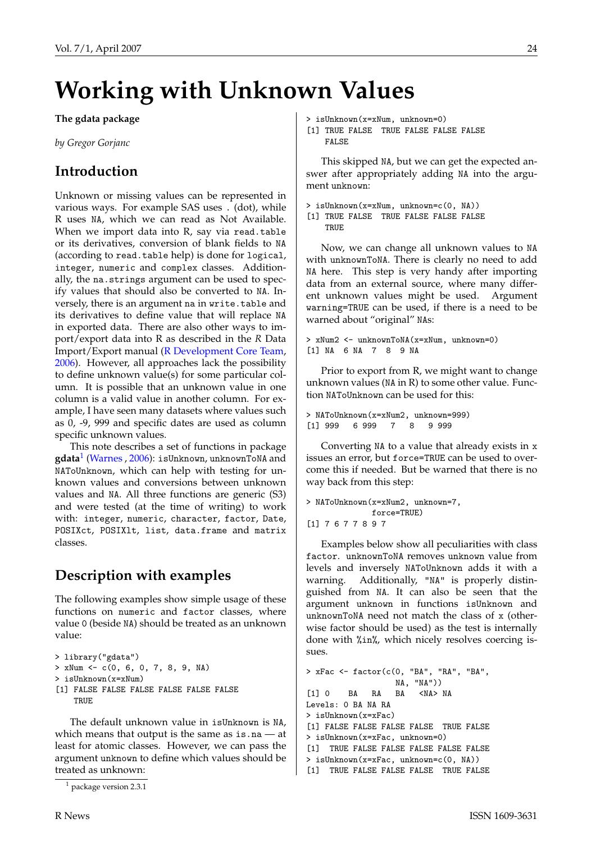# <span id="page-23-2"></span>**Working with Unknown Values**

#### <span id="page-23-0"></span>**The gdata package**

*by Gregor Gorjanc*

# **Introduction**

Unknown or missing values can be represented in various ways. For example SAS uses . (dot), while R uses NA, which we can read as Not Available. When we import data into R, say via read.table or its derivatives, conversion of blank fields to NA (according to read.table help) is done for logical, integer, numeric and complex classes. Additionally, the na.strings argument can be used to specify values that should also be converted to NA. Inversely, there is an argument na in write.table and its derivatives to define value that will replace NA in exported data. There are also other ways to import/export data into R as described in the *R* Data Import/Export manual [\(R Development Core Team,](#page-25-1) [2006\)](#page-25-1). However, all approaches lack the possibility to define unknown value(s) for some particular column. It is possible that an unknown value in one column is a valid value in another column. For example, I have seen many datasets where values such as 0, -9, 999 and specific dates are used as column specific unknown values.

This note describes a set of functions in package **gdata**[1](#page-23-1) [\(Warnes](#page-25-2) , [2006\)](#page-25-2): isUnknown, unknownToNA and NAToUnknown, which can help with testing for unknown values and conversions between unknown values and NA. All three functions are generic (S3) and were tested (at the time of writing) to work with: integer, numeric, character, factor, Date, POSIXct, POSIXlt, list, data.frame and matrix classes.

# **Description with examples**

The following examples show simple usage of these functions on numeric and factor classes, where value 0 (beside NA) should be treated as an unknown value:

```
> library("gdata")
> xNum <- c(0, 6, 0, 7, 8, 9, NA)
> isUnknown(x=xNum)
[1] FALSE FALSE FALSE FALSE FALSE FALSE
    TRUE
```
The default unknown value in isUnknown is NA, which means that output is the same as is.na — at least for atomic classes. However, we can pass the argument unknown to define which values should be treated as unknown:

- > isUnknown(x=xNum, unknown=0)
- [1] TRUE FALSE TRUE FALSE FALSE FALSE FALSE

This skipped NA, but we can get the expected answer after appropriately adding NA into the argument unknown:

```
> isUnknown(x=xNum, unknown=c(0, NA))
```

```
[1] TRUE FALSE TRUE FALSE FALSE FALSE
   TRUE
```
Now, we can change all unknown values to NA with unknownToNA. There is clearly no need to add NA here. This step is very handy after importing data from an external source, where many different unknown values might be used. Argument warning=TRUE can be used, if there is a need to be warned about "original" NAs:

```
> xNum2 <- unknownToNA(x=xNum, unknown=0)
[1] NA 6 NA 7 8 9 NA
```
Prior to export from R, we might want to change unknown values (NA in R) to some other value. Function NAToUnknown can be used for this:

> NAToUnknown(x=xNum2, unknown=999) [1] 999 6 999 7 8 9 999

Converting NA to a value that already exists in x issues an error, but force=TRUE can be used to overcome this if needed. But be warned that there is no way back from this step:

```
> NAToUnknown(x=xNum2, unknown=7,
              force=TRUE)
[1] 7 6 7 7 8 9 7
```
Examples below show all peculiarities with class factor. unknownToNA removes unknown value from levels and inversely NAToUnknown adds it with a warning. Additionally, "NA" is properly distinguished from NA. It can also be seen that the argument unknown in functions isUnknown and unknownToNA need not match the class of x (otherwise factor should be used) as the test is internally done with %in%, which nicely resolves coercing issues.

```
> xFac <- factor(c(0, "BA", "RA", "BA",
                  NA, "NA"))
[1] 0 BA RA BA <NA> NA
Levels: 0 BA NA RA
> isUnknown(x=xFac)
[1] FALSE FALSE FALSE FALSE TRUE FALSE
> isUnknown(x=xFac, unknown=0)
[1] TRUE FALSE FALSE FALSE FALSE FALSE
> isUnknown(x=xFac, unknown=c(0, NA))
[1] TRUE FALSE FALSE FALSE TRUE FALSE
```
<span id="page-23-1"></span><sup>1</sup> package version 2.3.1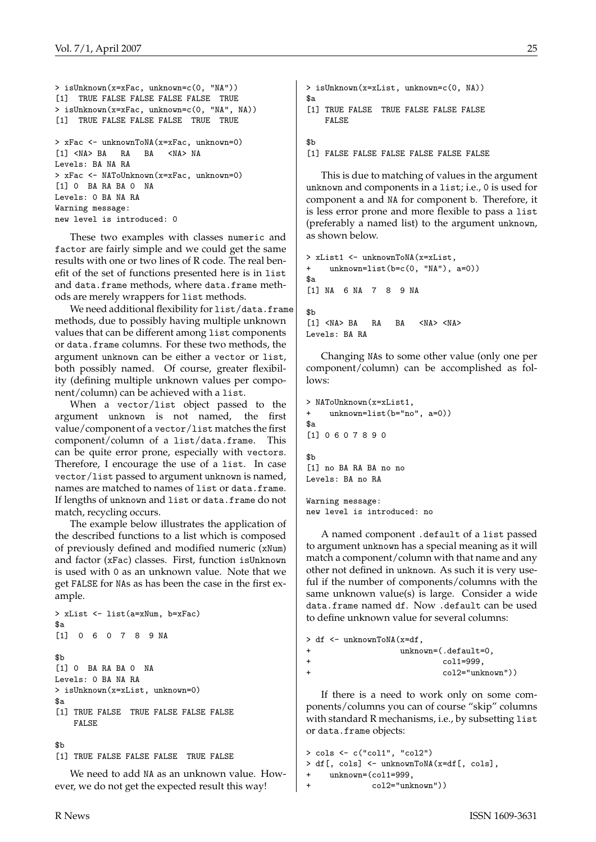```
> isUnknown(x=xFac, unknown=c(0, "NA"))
[1] TRUE FALSE FALSE FALSE FALSE TRUE
> isUnknown(x=xFac, unknown=c(0, "NA", NA))
[1] TRUE FALSE FALSE FALSE TRUE TRUE
> xFac <- unknownToNA(x=xFac, unknown=0)
[1] <NA> BA RA BA <NA> NA
Levels: BA NA RA
> xFac <- NAToUnknown(x=xFac, unknown=0)
[1] 0 BA RA BA 0 NA
Levels: 0 BA NA RA
Warning message:
new level is introduced: 0
```
These two examples with classes numeric and factor are fairly simple and we could get the same results with one or two lines of R code. The real benefit of the set of functions presented here is in list and data.frame methods, where data.frame methods are merely wrappers for list methods.

We need additional flexibility for list/data.frame methods, due to possibly having multiple unknown values that can be different among list components or data.frame columns. For these two methods, the argument unknown can be either a vector or list, both possibly named. Of course, greater flexibility (defining multiple unknown values per component/column) can be achieved with a list.

When a vector/list object passed to the argument unknown is not named, the first value/component of a vector/list matches the first component/column of a list/data.frame. This can be quite error prone, especially with vectors. Therefore, I encourage the use of a list. In case vector/list passed to argument unknown is named, names are matched to names of list or data.frame. If lengths of unknown and list or data.frame do not match, recycling occurs.

The example below illustrates the application of the described functions to a list which is composed of previously defined and modified numeric (xNum) and factor (xFac) classes. First, function isUnknown is used with 0 as an unknown value. Note that we get FALSE for NAs as has been the case in the first example.

```
> xList <- list(a=xNum, b=xFac)
$a[1] 0 6 0 7 8 9 NA
$<sub>b</sub>[1] 0 BA RA BA 0 NA
Levels: 0 BA NA RA
> isUnknown(x=xList, unknown=0)
$a
[1] TRUE FALSE TRUE FALSE FALSE FALSE
    FALSE
```
#### \$b

[1] TRUE FALSE FALSE FALSE TRUE FALSE

We need to add NA as an unknown value. However, we do not get the expected result this way!

```
> isUnknown(x=xList, unknown=c(0, NA))
\hat{R}a
[1] TRUE FALSE TRUE FALSE FALSE FALSE
    FALSE
```
#### \$b

[1] FALSE FALSE FALSE FALSE FALSE FALSE

This is due to matching of values in the argument unknown and components in a list; i.e., 0 is used for component a and NA for component b. Therefore, it is less error prone and more flexible to pass a list (preferably a named list) to the argument unknown, as shown below.

```
> xList1 <- unknownToNA(x=xList,
+ unknown=list(b=c(0, "NA"), a=0))
$a[1] NA 6 NA 7 8 9 NA
$<sub>b</sub>[1] <NA> BA RA BA <NA> <NA>
Levels: BA RA
```
Changing NAs to some other value (only one per component/column) can be accomplished as fol $l$ ows:

```
> NAToUnknown(x=xList1
+ unknown=list(b="no", a=0))
$a[1] 0 6 0 7 8 9 0
$h[1] no BA RA BA no no
Levels: BA no RA
```
Warning message: new level is introduced: no

A named component .default of a list passed to argument unknown has a special meaning as it will match a component/column with that name and any other not defined in unknown. As such it is very useful if the number of components/columns with the same unknown value(s) is large. Consider a wide data.frame named df. Now .default can be used to define unknown value for several columns:

```
> df <- unknownToNA(x=df,
+ unknown=(.default=0,
+ col1=999,
+ col2="unknown"))
```
If there is a need to work only on some components/columns you can of course "skip" columns with standard R mechanisms, i.e., by subsetting list or data.frame objects:

```
> cols <- c("col1", "col2")
> df[, cols] <- unknownToNA(x=df[, cols],
    unknown = (col1=999,+ col2="unknown"))
```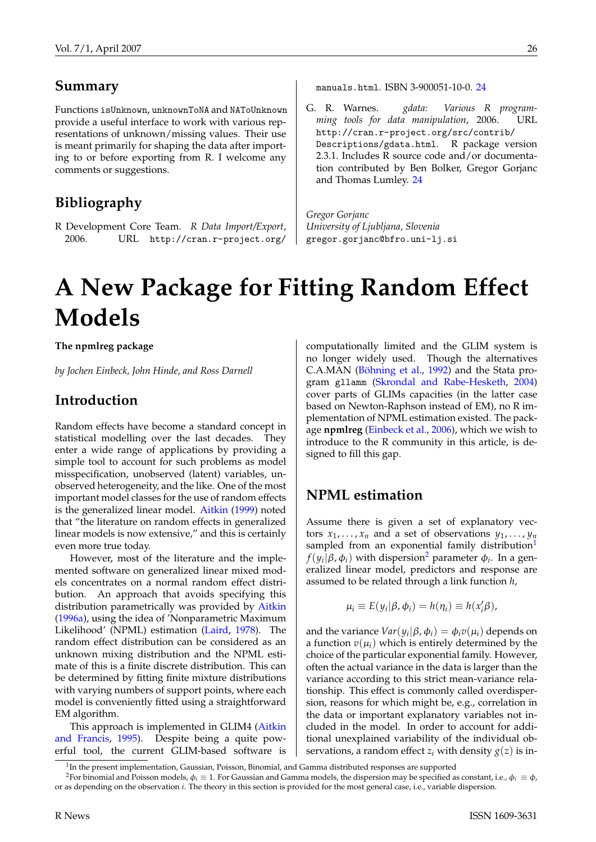### <span id="page-25-5"></span>**Summary**

Functions isUnknown, unknownToNA and NAToUnknown provide a useful interface to work with various representations of unknown/missing values. Their use is meant primarily for shaping the data after importing to or before exporting from R. I welcome any comments or suggestions.

### **Bibliography**

<span id="page-25-1"></span>R Development Core Team. *R Data Import/Export*, 2006. URL [http://cran.r-project.org/](http://cran.r-project.org/manuals.html) [manuals.html](http://cran.r-project.org/manuals.html). ISBN 3-900051-10-0. [24](#page-23-2)

<span id="page-25-2"></span>G. R. Warnes. *gdata: Various R programming tools for data manipulation*, 2006. URL [http://cran.r-project.org/src/contrib/](http://cran.r-project.org/src/contrib/Descriptions/gdata.html) [Descriptions/gdata.html](http://cran.r-project.org/src/contrib/Descriptions/gdata.html). R package version 2.3.1. Includes R source code and/or documentation contributed by Ben Bolker, Gregor Gorjanc and Thomas Lumley. [24](#page-23-2)

*Gregor Gorjanc University of Ljubljana, Slovenia* [gregor.gorjanc@bfro.uni-lj.si](mailto:gregor.gorjanc@bfro.uni-lj.si)

# **A New Package for Fitting Random Effect Models**

<span id="page-25-0"></span>**The npmlreg package**

*by Jochen Einbeck, John Hinde, and Ross Darnell*

### **Introduction**

Random effects have become a standard concept in statistical modelling over the last decades. They enter a wide range of applications by providing a simple tool to account for such problems as model misspecification, unobserved (latent) variables, unobserved heterogeneity, and the like. One of the most important model classes for the use of random effects is the generalized linear model. [Aitkin](#page-28-0) [\(1999\)](#page-28-0) noted that "the literature on random effects in generalized linear models is now extensive," and this is certainly even more true today.

However, most of the literature and the implemented software on generalized linear mixed models concentrates on a normal random effect distribution. An approach that avoids specifying this distribution parametrically was provided by [Aitkin](#page-28-1) [\(1996a\)](#page-28-1), using the idea of 'Nonparametric Maximum Likelihood' (NPML) estimation [\(Laird,](#page-29-1) [1978\)](#page-29-1). The random effect distribution can be considered as an unknown mixing distribution and the NPML estimate of this is a finite discrete distribution. This can be determined by fitting finite mixture distributions with varying numbers of support points, where each model is conveniently fitted using a straightforward EM algorithm.

This approach is implemented in GLIM4 [\(Aitkin](#page-28-2) [and Francis,](#page-28-2) [1995\)](#page-28-2). Despite being a quite powerful tool, the current GLIM-based software is computationally limited and the GLIM system is no longer widely used. Though the alternatives C.A.MAN [\(Böhning et al.,](#page-29-2) [1992\)](#page-29-2) and the Stata program gllamm [\(Skrondal and Rabe-Hesketh,](#page-29-3) [2004\)](#page-29-3) cover parts of GLIMs capacities (in the latter case based on Newton-Raphson instead of EM), no R implementation of NPML estimation existed. The package **npmlreg** [\(Einbeck et al.,](#page-29-4) [2006\)](#page-29-4), which we wish to introduce to the R community in this article, is designed to fill this gap.

### **NPML estimation**

Assume there is given a set of explanatory vectors  $x_1, \ldots, x_n$  and a set of observations  $y_1, \ldots, y_n$ sampled from an exponential family distribution<sup>[1](#page-25-3)</sup> *f*( $y_i | β, φ_i$ ) with dispersion<sup>[2](#page-25-4)</sup> parameter  $φ_i$ . In a generalized linear model, predictors and response are assumed to be related through a link function *h*,

$$
\mu_i \equiv E(y_i | \beta, \phi_i) = h(\eta_i) \equiv h(x_i' \beta),
$$

and the variance  $Var(y_i|\beta, \phi_i) = \phi_i v(\mu_i)$  depends on a function  $v(\mu_i)$  which is entirely determined by the choice of the particular exponential family. However, often the actual variance in the data is larger than the variance according to this strict mean-variance relationship. This effect is commonly called overdispersion, reasons for which might be, e.g., correlation in the data or important explanatory variables not included in the model. In order to account for additional unexplained variability of the individual observations, a random effect  $z_i$  with density  $g(z)$  is in-

<span id="page-25-3"></span><sup>&</sup>lt;sup>1</sup>In the present implementation, Gaussian, Poisson, Binomial, and Gamma distributed responses are supported

<span id="page-25-4"></span><sup>&</sup>lt;sup>2</sup>For binomial and Poisson models,  $\phi_i \equiv 1$ . For Gaussian and Gamma models, the dispersion may be specified as constant, i.e.,  $\phi_i \equiv \phi$ , or as depending on the observation *i*. The theory in this section is provided for the most general case, i.e., variable dispersion.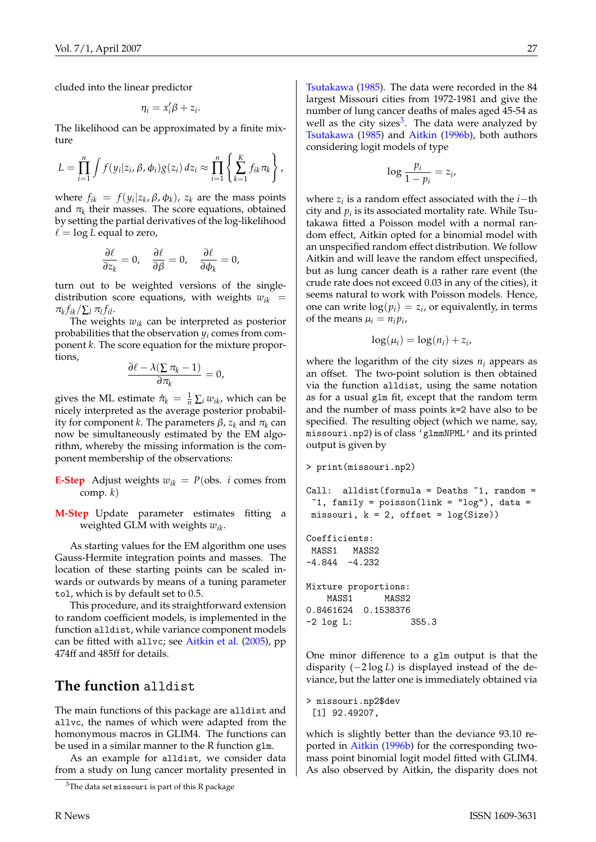<span id="page-26-1"></span>cluded into the linear predictor

$$
\eta_i = x_i' \beta + z_i.
$$

The likelihood can be approximated by a finite mixture

$$
L = \prod_{i=1}^n \int f(y_i|z_i, \beta, \phi_i) g(z_i) dz_i \approx \prod_{i=1}^n \left\{ \sum_{k=1}^K f_{ik} \pi_k \right\},
$$

where  $f_{ik} = f(y_i|z_k, \beta, \phi_k)$ ,  $z_k$  are the mass points and  $\pi_k$  their masses. The score equations, obtained by setting the partial derivatives of the log-likelihood  $\ell = \log L$  equal to zero,

$$
\frac{\partial \ell}{\partial z_k} = 0, \quad \frac{\partial \ell}{\partial \beta} = 0, \quad \frac{\partial \ell}{\partial \phi_k} = 0,
$$

turn out to be weighted versions of the singledistribution score equations, with weights  $w_{ik}$  =  $\pi_k f_{ik}/\sum_l \pi_l f_{il}.$ 

The weights *wik* can be interpreted as posterior probabilities that the observation  $y_i$  comes from component *k*. The score equation for the mixture proportions,

$$
\frac{\partial \ell - \lambda (\sum \pi_k - 1)}{\partial \pi_k} = 0,
$$

gives the ML estimate  $\hat{\pi}_k = \frac{1}{n} \sum_i w_{ik}$ , which can be nicely interpreted as the average posterior probability for component *k*. The parameters β, *z<sup>k</sup>* and π*<sup>k</sup>* can now be simultaneously estimated by the EM algorithm, whereby the missing information is the component membership of the observations:

**E-Step** Adjust weights  $w_{ik} = P(\text{obs. } i \text{ comes from})$ comp. *k*)

**M-Step** Update parameter estimates fitting a weighted GLM with weights *wik*.

As starting values for the EM algorithm one uses Gauss-Hermite integration points and masses. The location of these starting points can be scaled inwards or outwards by means of a tuning parameter tol, which is by default set to 0.5.

This procedure, and its straightforward extension to random coefficient models, is implemented in the function alldist, while variance component models can be fitted with allvc; see [Aitkin et al.](#page-28-3) [\(2005\)](#page-28-3), pp 474ff and 485ff for details.

### **The function** alldist

The main functions of this package are alldist and allvc, the names of which were adapted from the homonymous macros in GLIM4. The functions can be used in a similar manner to the R function glm.

As an example for alldist, we consider data from a study on lung cancer mortality presented in

[Tsutakawa](#page-29-5) [\(1985\)](#page-29-5). The data were recorded in the 84 largest Missouri cities from 1972-1981 and give the number of lung cancer deaths of males aged 45-54 as well as the city sizes<sup>[3](#page-26-0)</sup>. The data were analyzed by [Tsutakawa](#page-29-5) [\(1985\)](#page-29-5) and [Aitkin](#page-28-4) [\(1996b\)](#page-28-4), both authors considering logit models of type

$$
\log \frac{p_i}{1-p_i} = z_i,
$$

where *z<sup>i</sup>* is a random effect associated with the *i*−th city and  $p_i$  is its associated mortality rate. While Tsutakawa fitted a Poisson model with a normal random effect, Aitkin opted for a binomial model with an unspecified random effect distribution. We follow Aitkin and will leave the random effect unspecified, but as lung cancer death is a rather rare event (the crude rate does not exceed 0.03 in any of the cities), it seems natural to work with Poisson models. Hence, one can write  $log(p_i) = z_i$ , or equivalently, in terms of the means  $\mu_i = n_i p_i$ 

$$
\log(\mu_i) = \log(n_i) + z_i,
$$

where the logarithm of the city sizes  $n_i$  appears as an offset. The two-point solution is then obtained via the function alldist, using the same notation as for a usual glm fit, except that the random term and the number of mass points k=2 have also to be specified. The resulting object (which we name, say, missouri.np2) is of class 'glmmNPML' and its printed output is given by

```
> print(missouri.np2)
Call: alldist(formula = Deaths ~1, random =
 1, family = poisson(link = "log"), data =
missouri, k = 2, offset = log(Size))
Coefficients:
MASS1 MASS2
-4.844 -4.232Mixture proportions:
   MASS1 MASS2
0.8461624 0.1538376
-2 log L: 355.3
```
One minor difference to a glm output is that the disparity (−2 log *L*) is displayed instead of the deviance, but the latter one is immediately obtained via

```
> missouri.np2$dev
 [1] 92.49207,
```
which is slightly better than the deviance 93.10 reported in [Aitkin](#page-28-4) [\(1996b\)](#page-28-4) for the corresponding twomass point binomial logit model fitted with GLIM4. As also observed by Aitkin, the disparity does not

<span id="page-26-0"></span> $3$ The data set missouri is part of this R package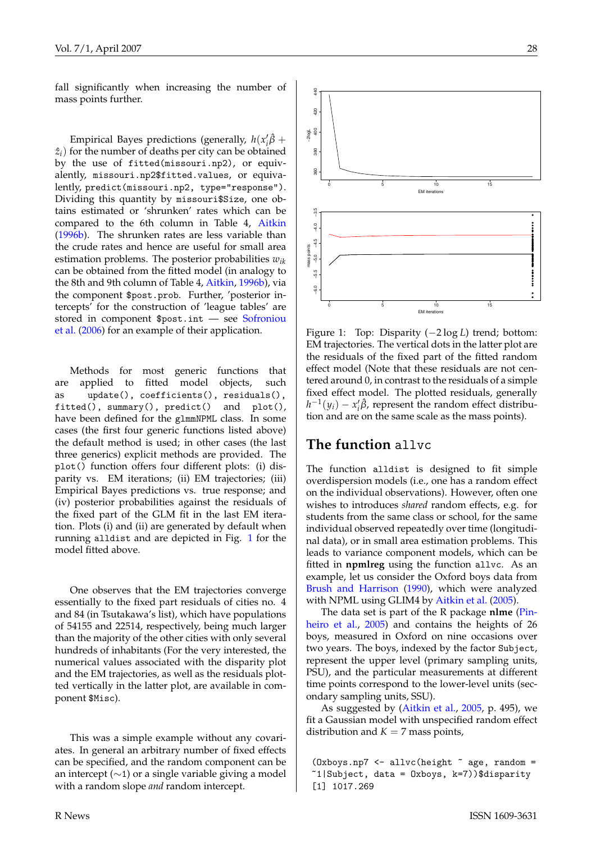<span id="page-27-1"></span>Empirical Bayes predictions (generally,  $h(x_i^{\prime} \hat{\beta} +$  $\hat{z}_i$ ) for the number of deaths per city can be obtained by the use of fitted(missouri.np2), or equivalently, missouri.np2\$fitted.values, or equivalently, predict(missouri.np2, type="response"). Dividing this quantity by missouri\$Size, one obtains estimated or 'shrunken' rates which can be compared to the 6th column in Table 4, [Aitkin](#page-28-4) [\(1996b\)](#page-28-4). The shrunken rates are less variable than the crude rates and hence are useful for small area estimation problems. The posterior probabilities *wik* can be obtained from the fitted model (in analogy to the 8th and 9th column of Table 4, [Aitkin,](#page-28-4) [1996b\)](#page-28-4), via the component \$post.prob. Further, 'posterior intercepts' for the construction of 'league tables' are stored in component \$post.int — see [Sofroniou](#page-29-6) [et al.](#page-29-6) [\(2006\)](#page-29-6) for an example of their application.

Methods for most generic functions that are applied to fitted model objects, such as update(), coefficients(), residuals(), fitted(), summary(), predict() and plot(), have been defined for the glmmNPML class. In some cases (the first four generic functions listed above) the default method is used; in other cases (the last three generics) explicit methods are provided. The plot() function offers four different plots: (i) disparity vs. EM iterations; (ii) EM trajectories; (iii) Empirical Bayes predictions vs. true response; and (iv) posterior probabilities against the residuals of the fixed part of the GLM fit in the last EM iteration. Plots (i) and (ii) are generated by default when running alldist and are depicted in Fig. [1](#page-27-0) for the model fitted above.

One observes that the EM trajectories converge essentially to the fixed part residuals of cities no. 4 and 84 (in Tsutakawa's list), which have populations of 54155 and 22514, respectively, being much larger than the majority of the other cities with only several hundreds of inhabitants (For the very interested, the numerical values associated with the disparity plot and the EM trajectories, as well as the residuals plotted vertically in the latter plot, are available in component \$Misc).

This was a simple example without any covariates. In general an arbitrary number of fixed effects can be specified, and the random component can be an intercept  $(\sim 1)$  or a single variable giving a model with a random slope *and* random intercept.



<span id="page-27-0"></span>Figure 1: Top: Disparity (−2 log *L*) trend; bottom: EM trajectories. The vertical dots in the latter plot are the residuals of the fixed part of the fitted random effect model (Note that these residuals are not centered around 0, in contrast to the residuals of a simple fixed effect model. The plotted residuals, generally  $h^{-1}(y_i) - x_i' \hat{\beta}$ , represent the random effect distribution and are on the same scale as the mass points).

### **The function** allvc

The function alldist is designed to fit simple overdispersion models (i.e., one has a random effect on the individual observations). However, often one wishes to introduces *shared* random effects, e.g. for students from the same class or school, for the same individual observed repeatedly over time (longitudinal data), or in small area estimation problems. This leads to variance component models, which can be fitted in **npmlreg** using the function allvc. As an example, let us consider the Oxford boys data from [Brush and Harrison](#page-29-7) [\(1990\)](#page-29-7), which were analyzed with NPML using GLIM4 by [Aitkin et al.](#page-28-3) [\(2005\)](#page-28-3).

The data set is part of the R package **nlme** [\(Pin](#page-29-8)[heiro et al.,](#page-29-8) [2005\)](#page-29-8) and contains the heights of 26 boys, measured in Oxford on nine occasions over two years. The boys, indexed by the factor Subject, represent the upper level (primary sampling units, PSU), and the particular measurements at different time points correspond to the lower-level units (secondary sampling units, SSU).

As suggested by [\(Aitkin et al.,](#page-28-3) [2005,](#page-28-3) p. 495), we fit a Gaussian model with unspecified random effect distribution and  $K = 7$  mass points,

```
(0x boys.np7 \leq allvc(height \leq age, random =~1|Subject, data = Oxboys, k=7))$disparity
[1] 1017.269
```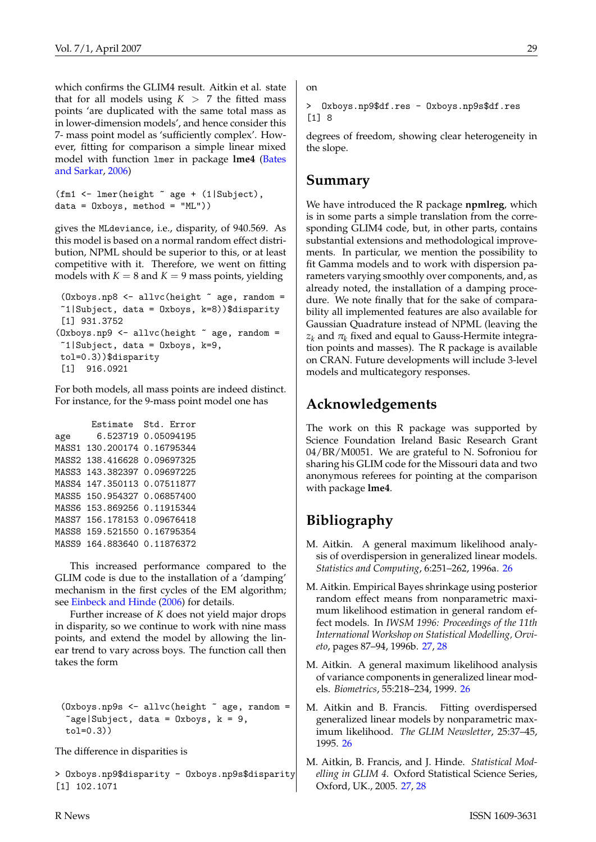<span id="page-28-5"></span>which confirms the GLIM4 result. Aitkin et al. state that for all models using  $K > 7$  the fitted mass points 'are duplicated with the same total mass as in lower-dimension models', and hence consider this 7- mass point model as 'sufficiently complex'. However, fitting for comparison a simple linear mixed model with function lmer in package **lme4** [\(Bates](#page-29-9) [and Sarkar,](#page-29-9) [2006\)](#page-29-9)

```
(fm1 <- lmer(height ~ age + (1|Subject),
data = 0xboys, method = "ML")
```
gives the MLdeviance, i.e., disparity, of 940.569. As this model is based on a normal random effect distribution, NPML should be superior to this, or at least competitive with it. Therefore, we went on fitting models with  $K = 8$  and  $K = 9$  mass points, yielding

```
(0xboys.np8 <- allvc(height \text{ }} z age, random =
1|Subject, data = 0xboys, k=8)\$disparity
 [1] 931.3752
(0x boys.np9 \leq allvc(height \leq age, random ="1|Subject, data = 0xboys, k=9,tol=0.3))$disparity
 [1] 916.0921
```
For both models, all mass points are indeed distinct. For instance, for the 9-mass point model one has

```
Estimate Std. Error
age 6.523719 0.05094195
MASS1 130.200174 0.16795344
MASS2 138.416628 0.09697325
MASS3 143.382397 0.09697225
MASS4 147.350113 0.07511877
MASS5 150.954327 0.06857400
MASS6 153.869256 0.11915344
MASS7 156.178153 0.09676418
MASS8 159.521550 0.16795354
MASS9 164.883640 0.11876372
```
This increased performance compared to the GLIM code is due to the installation of a 'damping' mechanism in the first cycles of the EM algorithm; see [Einbeck and Hinde](#page-29-10) [\(2006\)](#page-29-10) for details.

Further increase of *K* does not yield major drops in disparity, so we continue to work with nine mass points, and extend the model by allowing the linear trend to vary across boys. The function call then takes the form

```
(0x boys.np9s \leftarrow allvc(height \tilde{\neg} age, random =\text{Kage}}|Subject, data = Oxboys, k = 9,
 tol=0.3))
```
The difference in disparities is

> Oxboys.np9\$disparity - Oxboys.np9s\$disparity [1] 102.1071

on

> Oxboys.np9\$df.res - Oxboys.np9s\$df.res  $[1]$  8

degrees of freedom, showing clear heterogeneity in the slope.

### **Summary**

We have introduced the R package **npmlreg**, which is in some parts a simple translation from the corresponding GLIM4 code, but, in other parts, contains substantial extensions and methodological improvements. In particular, we mention the possibility to fit Gamma models and to work with dispersion parameters varying smoothly over components, and, as already noted, the installation of a damping procedure. We note finally that for the sake of comparability all implemented features are also available for Gaussian Quadrature instead of NPML (leaving the  $z_k$  and  $\pi_k$  fixed and equal to Gauss-Hermite integration points and masses). The R package is available on CRAN. Future developments will include 3-level models and multicategory responses.

## **Acknowledgements**

The work on this R package was supported by Science Foundation Ireland Basic Research Grant 04/BR/M0051. We are grateful to N. Sofroniou for sharing his GLIM code for the Missouri data and two anonymous referees for pointing at the comparison with package **lme4**.

# **Bibliography**

- <span id="page-28-1"></span>M. Aitkin. A general maximum likelihood analysis of overdispersion in generalized linear models. *Statistics and Computing*, 6:251–262, 1996a. [26](#page-25-5)
- <span id="page-28-4"></span>M. Aitkin. Empirical Bayes shrinkage using posterior random effect means from nonparametric maximum likelihood estimation in general random effect models. In *IWSM 1996: Proceedings of the 11th International Workshop on Statistical Modelling, Orvieto*, pages 87–94, 1996b. [27,](#page-26-1) [28](#page-27-1)
- <span id="page-28-0"></span>M. Aitkin. A general maximum likelihood analysis of variance components in generalized linear models. *Biometrics*, 55:218–234, 1999. [26](#page-25-5)
- <span id="page-28-2"></span>M. Aitkin and B. Francis. Fitting overdispersed generalized linear models by nonparametric maximum likelihood. *The GLIM Newsletter*, 25:37–45, 1995. [26](#page-25-5)
- <span id="page-28-3"></span>M. Aitkin, B. Francis, and J. Hinde. *Statistical Modelling in GLIM 4*. Oxford Statistical Science Series, Oxford, UK., 2005. [27,](#page-26-1) [28](#page-27-1)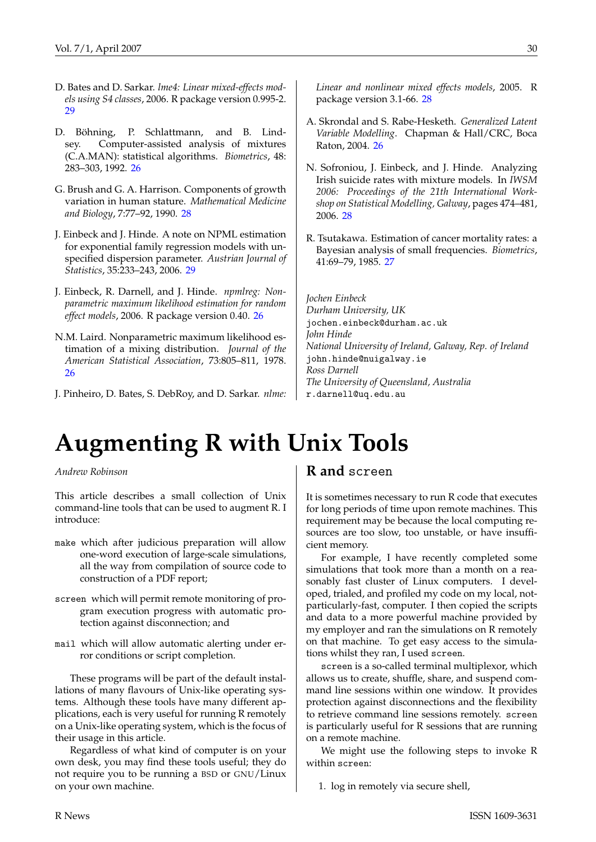- <span id="page-29-9"></span>D. Bates and D. Sarkar. *lme4: Linear mixed-effects models using S4 classes*, 2006. R package version 0.995-2. [29](#page-28-5)
- <span id="page-29-2"></span>D. Böhning, P. Schlattmann, and B. Lindsey. Computer-assisted analysis of mixtures (C.A.MAN): statistical algorithms. *Biometrics*, 48: 283–303, 1992. [26](#page-25-5)
- <span id="page-29-7"></span>G. Brush and G. A. Harrison. Components of growth variation in human stature. *Mathematical Medicine and Biology*, 7:77–92, 1990. [28](#page-27-1)
- <span id="page-29-10"></span>J. Einbeck and J. Hinde. A note on NPML estimation for exponential family regression models with unspecified dispersion parameter. *Austrian Journal of Statistics*, 35:233–243, 2006. [29](#page-28-5)
- <span id="page-29-4"></span>J. Einbeck, R. Darnell, and J. Hinde. *npmlreg: Nonparametric maximum likelihood estimation for random effect models*, 2006. R package version 0.40. [26](#page-25-5)
- <span id="page-29-1"></span>N.M. Laird. Nonparametric maximum likelihood estimation of a mixing distribution. *Journal of the American Statistical Association*, 73:805–811, 1978. [26](#page-25-5)
- <span id="page-29-8"></span>J. Pinheiro, D. Bates, S. DebRoy, and D. Sarkar. *nlme:*

*Linear and nonlinear mixed effects models*, 2005. R package version 3.1-66. [28](#page-27-1)

- <span id="page-29-3"></span>A. Skrondal and S. Rabe-Hesketh. *Generalized Latent Variable Modelling*. Chapman & Hall/CRC, Boca Raton, 2004. [26](#page-25-5)
- <span id="page-29-6"></span>N. Sofroniou, J. Einbeck, and J. Hinde. Analyzing Irish suicide rates with mixture models. In *IWSM 2006: Proceedings of the 21th International Workshop on Statistical Modelling, Galway*, pages 474–481, 2006. [28](#page-27-1)
- <span id="page-29-5"></span>R. Tsutakawa. Estimation of cancer mortality rates: a Bayesian analysis of small frequencies. *Biometrics*, 41:69–79, 1985. [27](#page-26-1)

*Jochen Einbeck Durham University, UK* [jochen.einbeck@durham.ac.uk](mailto:jochen.einbeck@durham.ac.uk) *John Hinde National University of Ireland, Galway, Rep. of Ireland* [john.hinde@nuigalway.ie](mailto:john.hinde@nuigalway.ie) *Ross Darnell The University of Queensland, Australia* [r.darnell@uq.edu.au](mailto:r.darnell@uq.edu.au)

# **Augmenting R with Unix Tools**

#### <span id="page-29-0"></span>*Andrew Robinson*

This article describes a small collection of Unix command-line tools that can be used to augment R. I introduce:

- make which after judicious preparation will allow one-word execution of large-scale simulations, all the way from compilation of source code to construction of a PDF report;
- screen which will permit remote monitoring of program execution progress with automatic protection against disconnection; and
- mail which will allow automatic alerting under error conditions or script completion.

These programs will be part of the default installations of many flavours of Unix-like operating systems. Although these tools have many different applications, each is very useful for running R remotely on a Unix-like operating system, which is the focus of their usage in this article.

Regardless of what kind of computer is on your own desk, you may find these tools useful; they do not require you to be running a BSD or GNU/Linux on your own machine.

### **R and** screen

It is sometimes necessary to run R code that executes for long periods of time upon remote machines. This requirement may be because the local computing resources are too slow, too unstable, or have insufficient memory.

For example, I have recently completed some simulations that took more than a month on a reasonably fast cluster of Linux computers. I developed, trialed, and profiled my code on my local, notparticularly-fast, computer. I then copied the scripts and data to a more powerful machine provided by my employer and ran the simulations on R remotely on that machine. To get easy access to the simulations whilst they ran, I used screen.

screen is a so-called terminal multiplexor, which allows us to create, shuffle, share, and suspend command line sessions within one window. It provides protection against disconnections and the flexibility to retrieve command line sessions remotely. screen is particularly useful for R sessions that are running on a remote machine.

We might use the following steps to invoke R within screen:

1. log in remotely via secure shell,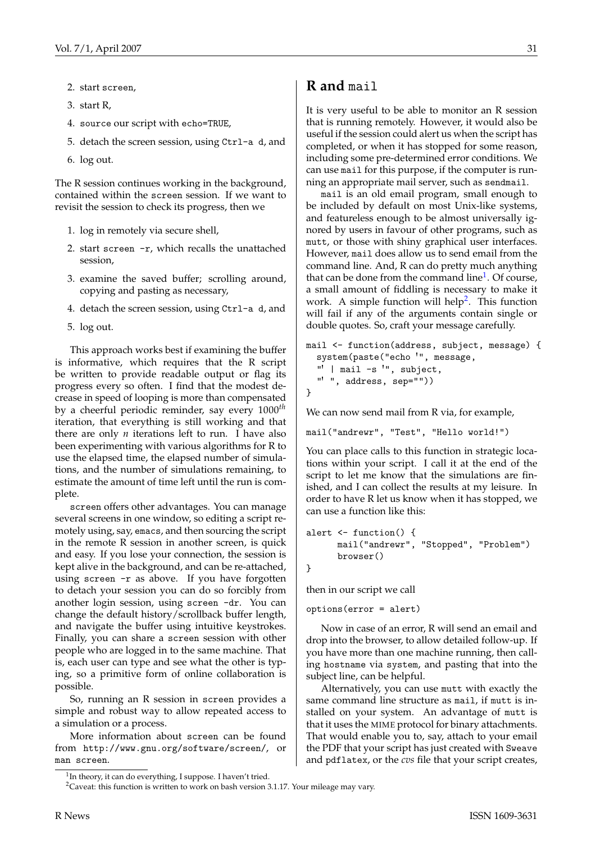- 2. start screen,
- 3. start R,
- 4. source our script with echo=TRUE,
- 5. detach the screen session, using Ctrl-a d, and
- 6. log out.

The R session continues working in the background, contained within the screen session. If we want to revisit the session to check its progress, then we

- 1. log in remotely via secure shell,
- 2. start screen -r, which recalls the unattached session,
- 3. examine the saved buffer; scrolling around, copying and pasting as necessary,
- 4. detach the screen session, using Ctrl-a d, and
- 5. log out.

This approach works best if examining the buffer is informative, which requires that the R script be written to provide readable output or flag its progress every so often. I find that the modest decrease in speed of looping is more than compensated by a cheerful periodic reminder, say every 1000*th* iteration, that everything is still working and that there are only *n* iterations left to run. I have also been experimenting with various algorithms for R to use the elapsed time, the elapsed number of simulations, and the number of simulations remaining, to estimate the amount of time left until the run is complete.

screen offers other advantages. You can manage several screens in one window, so editing a script remotely using, say, emacs, and then sourcing the script in the remote R session in another screen, is quick and easy. If you lose your connection, the session is kept alive in the background, and can be re-attached, using screen -r as above. If you have forgotten to detach your session you can do so forcibly from another login session, using screen -dr. You can change the default history/scrollback buffer length, and navigate the buffer using intuitive keystrokes. Finally, you can share a screen session with other people who are logged in to the same machine. That is, each user can type and see what the other is typing, so a primitive form of online collaboration is possible.

So, running an R session in screen provides a simple and robust way to allow repeated access to a simulation or a process.

More information about screen can be found from <http://www.gnu.org/software/screen/>, or man screen.

It is very useful to be able to monitor an R session that is running remotely. However, it would also be useful if the session could alert us when the script has completed, or when it has stopped for some reason, including some pre-determined error conditions. We can use mail for this purpose, if the computer is running an appropriate mail server, such as sendmail.

mail is an old email program, small enough to be included by default on most Unix-like systems, and featureless enough to be almost universally ignored by users in favour of other programs, such as mutt, or those with shiny graphical user interfaces. However, mail does allow us to send email from the command line. And, R can do pretty much anything that can be done from the command line<sup>[1](#page-30-0)</sup>. Of course, a small amount of fiddling is necessary to make it work. A simple function will help<sup>[2](#page-30-1)</sup>. This function will fail if any of the arguments contain single or double quotes. So, craft your message carefully.

```
mail <- function(address, subject, message) {
  system(paste("echo '", message,
  "' | mail -s '", subject,
  "' ", address, sep=""))
}
```
We can now send mail from R via, for example,

mail("andrewr", "Test", "Hello world!")

You can place calls to this function in strategic locations within your script. I call it at the end of the script to let me know that the simulations are finished, and I can collect the results at my leisure. In order to have R let us know when it has stopped, we can use a function like this:

```
alert <- function() {
      mail("andrewr", "Stopped", "Problem")
      browser()
}
```
then in our script we call

options(error = alert)

Now in case of an error, R will send an email and drop into the browser, to allow detailed follow-up. If you have more than one machine running, then calling hostname via system, and pasting that into the subject line, can be helpful.

Alternatively, you can use mutt with exactly the same command line structure as mail, if mutt is installed on your system. An advantage of mutt is that it uses the MIME protocol for binary attachments. That would enable you to, say, attach to your email the PDF that your script has just created with Sweave and pdflatex, or the *cvs* file that your script creates,

<span id="page-30-0"></span><sup>&</sup>lt;sup>1</sup>In theory, it can do everything, I suppose. I haven't tried.

<span id="page-30-1"></span><sup>&</sup>lt;sup>2</sup>Caveat: this function is written to work on bash version 3.1.17. Your mileage may vary.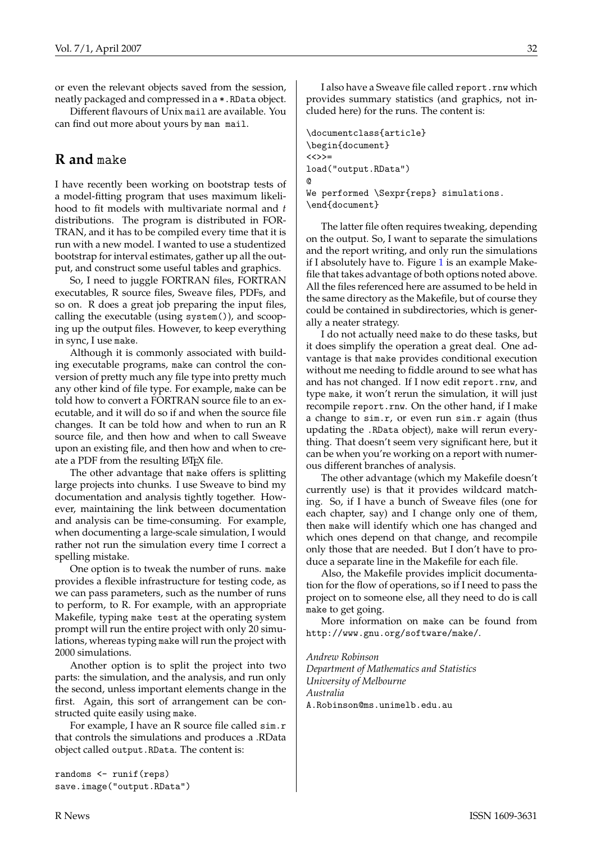or even the relevant objects saved from the session, neatly packaged and compressed in a \*.RData object.

Different flavours of Unix mail are available. You can find out more about yours by man mail.

## **R and** make

I have recently been working on bootstrap tests of a model-fitting program that uses maximum likelihood to fit models with multivariate normal and *t* distributions. The program is distributed in FOR-TRAN, and it has to be compiled every time that it is run with a new model. I wanted to use a studentized bootstrap for interval estimates, gather up all the output, and construct some useful tables and graphics.

So, I need to juggle FORTRAN files, FORTRAN executables, R source files, Sweave files, PDFs, and so on. R does a great job preparing the input files, calling the executable (using system()), and scooping up the output files. However, to keep everything in sync, I use make.

Although it is commonly associated with building executable programs, make can control the conversion of pretty much any file type into pretty much any other kind of file type. For example, make can be told how to convert a FORTRAN source file to an executable, and it will do so if and when the source file changes. It can be told how and when to run an R source file, and then how and when to call Sweave upon an existing file, and then how and when to create a PDF from the resulting LATEX file.

The other advantage that make offers is splitting large projects into chunks. I use Sweave to bind my documentation and analysis tightly together. However, maintaining the link between documentation and analysis can be time-consuming. For example, when documenting a large-scale simulation, I would rather not run the simulation every time I correct a spelling mistake.

One option is to tweak the number of runs. make provides a flexible infrastructure for testing code, as we can pass parameters, such as the number of runs to perform, to R. For example, with an appropriate Makefile, typing make test at the operating system prompt will run the entire project with only 20 simulations, whereas typing make will run the project with 2000 simulations.

Another option is to split the project into two parts: the simulation, and the analysis, and run only the second, unless important elements change in the first. Again, this sort of arrangement can be constructed quite easily using make.

For example, I have an R source file called sim.r that controls the simulations and produces a .RData object called output.RData. The content is:

randoms <- runif(reps) save.image("output.RData")

I also have a Sweave file called report.rnw which provides summary statistics (and graphics, not included here) for the runs. The content is:

\documentclass{article} \begin{document}  $\langle \langle \rangle \rangle$ = load("output.RData") @ We performed \Sexpr{reps} simulations. \end{document}

The latter file often requires tweaking, depending on the output. So, I want to separate the simulations and the report writing, and only run the simulations if I absolutely have to. Figure  $1$  is an example Makefile that takes advantage of both options noted above. All the files referenced here are assumed to be held in the same directory as the Makefile, but of course they could be contained in subdirectories, which is generally a neater strategy.

I do not actually need make to do these tasks, but it does simplify the operation a great deal. One advantage is that make provides conditional execution without me needing to fiddle around to see what has and has not changed. If I now edit report.rnw, and type make, it won't rerun the simulation, it will just recompile report.rnw. On the other hand, if I make a change to sim.r, or even run sim.r again (thus updating the .RData object), make will rerun everything. That doesn't seem very significant here, but it can be when you're working on a report with numerous different branches of analysis.

The other advantage (which my Makefile doesn't currently use) is that it provides wildcard matching. So, if I have a bunch of Sweave files (one for each chapter, say) and I change only one of them, then make will identify which one has changed and which ones depend on that change, and recompile only those that are needed. But I don't have to produce a separate line in the Makefile for each file.

Also, the Makefile provides implicit documentation for the flow of operations, so if I need to pass the project on to someone else, all they need to do is call make to get going.

More information on make can be found from <http://www.gnu.org/software/make/>.

*Andrew Robinson Department of Mathematics and Statistics University of Melbourne Australia* [A.Robinson@ms.unimelb.edu.au](mailto:A.Robinson@ms.unimelb.edu.au)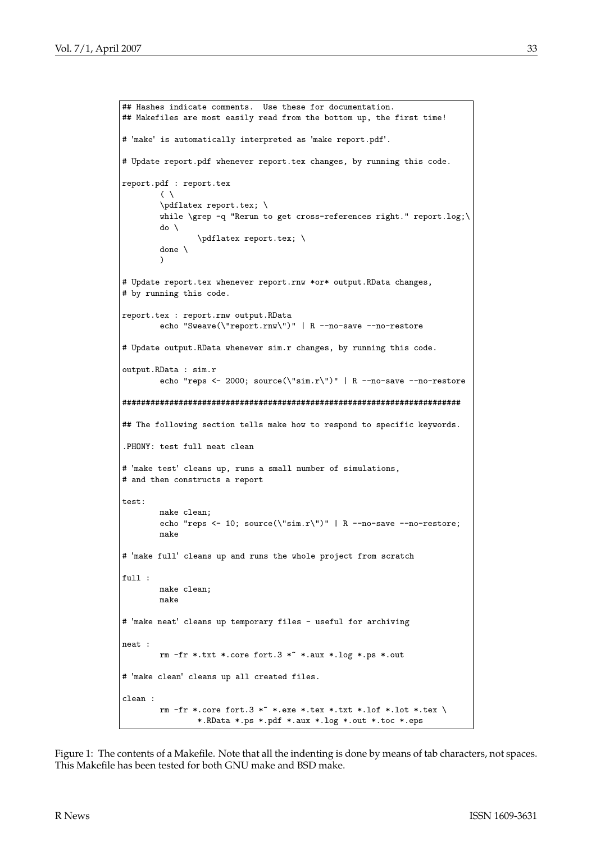```
## Hashes indicate comments. Use these for documentation.
## Makefiles are most easily read from the bottom up, the first time!
# 'make' is automatically interpreted as 'make report.pdf'.
# Update report.pdf whenever report.tex changes, by running this code.
report.pdf : report.tex
        ( \ \ )\pdflatex report.tex; \
        while \grep -q "Rerun to get cross-references right." report.log;\
        d \circ \lambda\pdflatex report.tex; \
        done \
        \lambda# Update report.tex whenever report.rnw *or* output.RData changes,
# by running this code.
report.tex : report.rnw output.RData
        echo "Sweave(\"report.rnw\")" | R --no-save --no-restore
# Update output.RData whenever sim.r changes, by running this code.
output.RData : sim.r
        echo "reps <- 2000; source(\"sim.r\")" | R --no-save --no-restore
########################################################################
## The following section tells make how to respond to specific keywords.
.PHONY: test full neat clean
# 'make test' cleans up, runs a small number of simulations,
# and then constructs a report
test:make clean;
        echo "reps <- 10; source(\"sim.r\")" | R --no-save --no-restore;
        make
# 'make full' cleans up and runs the whole project from scratch
full :
        make clean;
        make
# 'make neat' cleans up temporary files - useful for archiving
neat :
        rm -fr *.txt *.core fort.3 * *.aux *.log *.ps *.out
# 'make clean' cleans up all created files.
clean :
        rm -fr *.core fort.3 * *.exe *.tex *.txt *.lof *.lot *.tex \
                *.RData *.ps *.pdf *.aux *.log *.out *.toc *.eps
```
<span id="page-32-0"></span>Figure 1: The contents of a Makefile. Note that all the indenting is done by means of tab characters, not spaces. This Makefile has been tested for both GNU make and BSD make.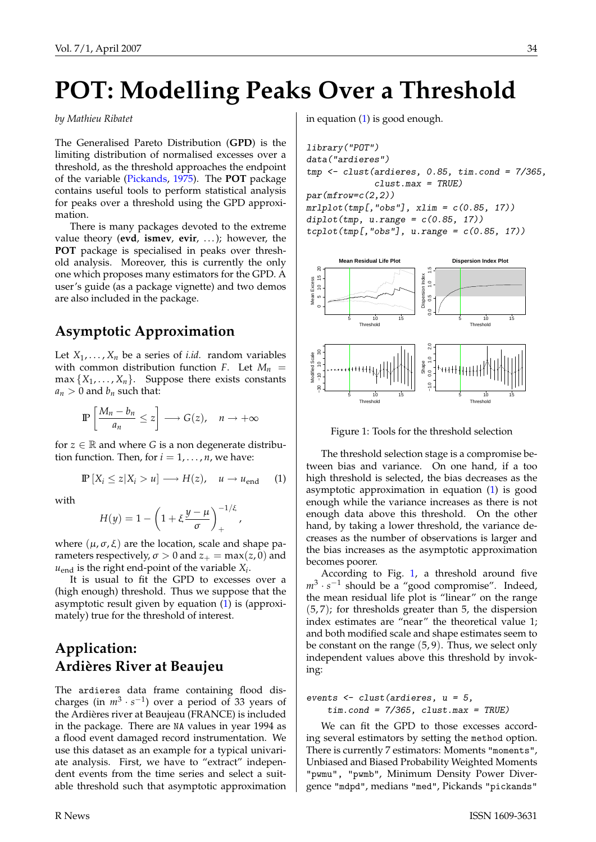# <span id="page-33-2"></span>**POT: Modelling Peaks Over a Threshold**

#### <span id="page-33-0"></span>*by Mathieu Ribatet*

The Generalised Pareto Distribution (**GPD**) is the limiting distribution of normalised excesses over a threshold, as the threshold approaches the endpoint of the variable [\(Pickands,](#page-35-1) [1975\)](#page-35-1). The **POT** package contains useful tools to perform statistical analysis for peaks over a threshold using the GPD approximation.

There is many packages devoted to the extreme value theory (**evd**, **ismev**, **evir**, . . . ); however, the **POT** package is specialised in peaks over threshold analysis. Moreover, this is currently the only one which proposes many estimators for the GPD. A user's guide (as a package vignette) and two demos are also included in the package.

## **Asymptotic Approximation**

Let  $X_1, \ldots, X_n$  be a series of *i.id.* random variables with common distribution function *F*. Let  $M_n$  =  $max\{X_1, \ldots, X_n\}$ . Suppose there exists constants  $a_n > 0$  and  $b_n$  such that:

$$
\mathbb{P}\left[\frac{M_n-b_n}{a_n}\leq z\right]\longrightarrow G(z),\quad n\to+\infty
$$

for  $z \in \mathbb{R}$  and where *G* is a non degenerate distribution function. Then, for  $i = 1, \ldots, n$ , we have:

$$
\mathbb{P}\left[X_i \leq z | X_i > u\right] \longrightarrow H(z), \quad u \to u_{\text{end}} \tag{1}
$$

with

$$
H(y) = 1 - \left(1 + \xi \frac{y - \mu}{\sigma}\right)_+^{-1/\xi},
$$

where  $(μ, σ, ξ)$  are the location, scale and shape parameters respectively,  $\sigma > 0$  and  $z_+ = \max(z, 0)$  and  $u_{\text{end}}$  is the right end-point of the variable  $X_i$ .

It is usual to fit the GPD to excesses over a (high enough) threshold. Thus we suppose that the asymptotic result given by equation [\(1\)](#page-13-1) is (approximately) true for the threshold of interest.

## **Application: Ardières River at Beaujeu**

The ardieres data frame containing flood discharges (in  $m^3 \cdot s^{-1}$ ) over a period of 33 years of the Ardières river at Beaujeau (FRANCE) is included in the package. There are NA values in year 1994 as a flood event damaged record instrumentation. We use this dataset as an example for a typical univariate analysis. First, we have to "extract" independent events from the time series and select a suitable threshold such that asymptotic approximation in equation [\(1\)](#page-13-1) is good enough.

```
library("POT")
data("ardieres")
tmp \leftarrow cluster(ardières, 0.85, tim.cond = 7/365,clust.max = TRUE)par(mfrow=c(2,2))mrlplot(tmp[, "obs"], xlim = c(0.85, 17))diplot(tmp, u.random = c(0.85, 17))tcplot(tmp[, "obs"], u.random = c(0.85, 17))
```


<span id="page-33-1"></span>Figure 1: Tools for the threshold selection

The threshold selection stage is a compromise between bias and variance. On one hand, if a too high threshold is selected, the bias decreases as the asymptotic approximation in equation [\(1\)](#page-13-1) is good enough while the variance increases as there is not enough data above this threshold. On the other hand, by taking a lower threshold, the variance decreases as the number of observations is larger and the bias increases as the asymptotic approximation becomes poorer.

According to Fig. [1,](#page-33-1) a threshold around five  $m^3 \cdot s^{-1}$  should be a "good compromise". Indeed, the mean residual life plot is "linear" on the range (5, 7); for thresholds greater than 5, the dispersion index estimates are "near" the theoretical value 1; and both modified scale and shape estimates seem to be constant on the range (5, 9). Thus, we select only independent values above this threshold by invoking:

events <- clust(ardieres, u = 5,  $tim.cond = 7/365$ ,  $clust.max = TRUE$ )

We can fit the GPD to those excesses according several estimators by setting the method option. There is currently 7 estimators: Moments "moments", Unbiased and Biased Probability Weighted Moments "pwmu", "pwmb", Minimum Density Power Divergence "mdpd", medians "med", Pickands "pickands"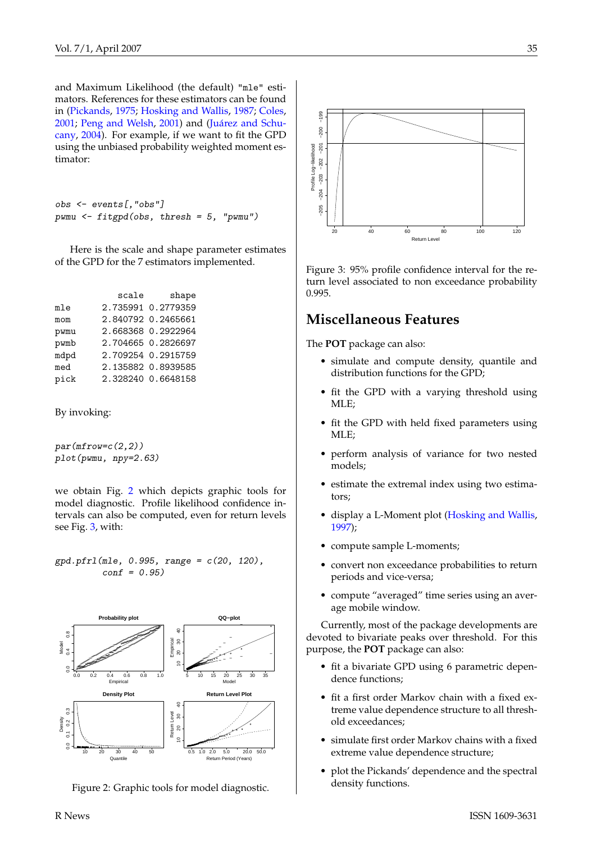<span id="page-34-2"></span>and Maximum Likelihood (the default) "mle" estimators. References for these estimators can be found in [\(Pickands,](#page-35-1) [1975;](#page-35-1) [Hosking and Wallis,](#page-35-2) [1987;](#page-35-2) [Coles,](#page-35-3) [2001;](#page-35-3) [Peng and Welsh,](#page-35-4) [2001\)](#page-35-4) and [\(Juárez and Schu](#page-35-5)[cany,](#page-35-5) [2004\)](#page-35-5). For example, if we want to fit the GPD using the unbiased probability weighted moment estimator:

```
obs <- events[,"obs"]
pwmu <- fitgpd(obs, thresh = 5, "pwmu")
```
Here is the scale and shape parameter estimates of the GPD for the 7 estimators implemented.

|      | scale | shape              |
|------|-------|--------------------|
| mle  |       | 2.735991 0.2779359 |
| mom  |       | 2.840792 0.2465661 |
| pwmu |       | 2.668368 0.2922964 |
| pwmb |       | 2.704665 0.2826697 |
| mdpd |       | 2.709254 0.2915759 |
| med  |       | 2.135882 0.8939585 |
| pick |       | 2.328240 0.6648158 |
|      |       |                    |

By invoking:

 $par(mfrow=c(2,2))$ plot(pwmu, npy=2.63)

we obtain Fig. [2](#page-34-0) which depicts graphic tools for model diagnostic. Profile likelihood confidence intervals can also be computed, even for return levels see Fig. [3,](#page-34-1) with:

 $gpd.pfr1(mle, 0.995, range = c(20, 120),$  $conf = 0.95$ 



<span id="page-34-0"></span>Figure 2: Graphic tools for model diagnostic.



<span id="page-34-1"></span>Figure 3: 95% profile confidence interval for the return level associated to non exceedance probability 0.995.

### **Miscellaneous Features**

The **POT** package can also:

- simulate and compute density, quantile and distribution functions for the GPD;
- fit the GPD with a varying threshold using MLE;
- fit the GPD with held fixed parameters using MLE;
- perform analysis of variance for two nested models;
- estimate the extremal index using two estimators;
- display a L-Moment plot [\(Hosking and Wallis,](#page-35-6) [1997\)](#page-35-6);
- compute sample L-moments;
- convert non exceedance probabilities to return periods and vice-versa;
- compute "averaged" time series using an average mobile window.

Currently, most of the package developments are devoted to bivariate peaks over threshold. For this purpose, the **POT** package can also:

- fit a bivariate GPD using 6 parametric dependence functions;
- fit a first order Markov chain with a fixed extreme value dependence structure to all threshold exceedances;
- simulate first order Markov chains with a fixed extreme value dependence structure;
- plot the Pickands' dependence and the spectral density functions.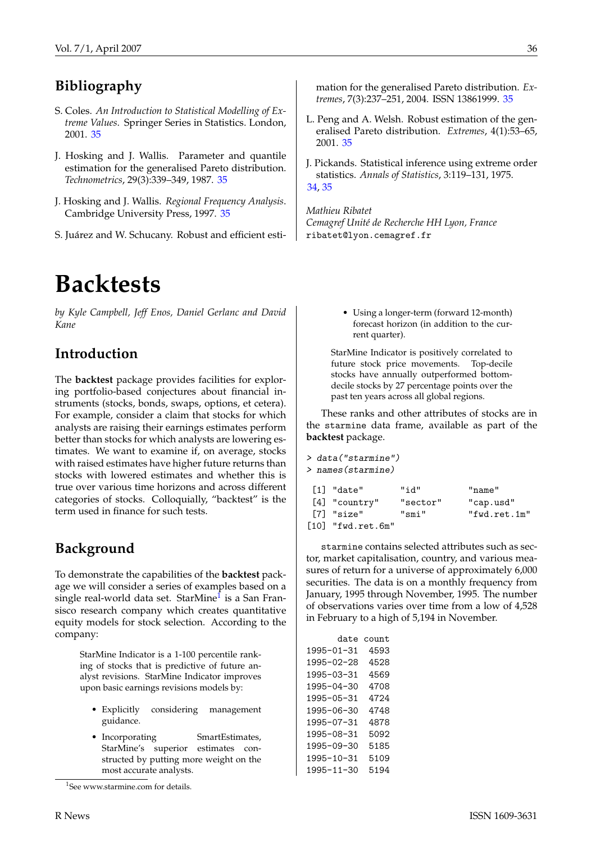# **Bibliography**

- <span id="page-35-3"></span>S. Coles. *An Introduction to Statistical Modelling of Extreme Values*. Springer Series in Statistics. London, 2001. [35](#page-34-2)
- <span id="page-35-2"></span>J. Hosking and J. Wallis. Parameter and quantile estimation for the generalised Pareto distribution. *Technometrics*, 29(3):339–349, 1987. [35](#page-34-2)
- <span id="page-35-6"></span>J. Hosking and J. Wallis. *Regional Frequency Analysis*. Cambridge University Press, 1997. [35](#page-34-2)
- <span id="page-35-5"></span>S. Juárez and W. Schucany. Robust and efficient esti-

# **Backtests**

<span id="page-35-0"></span>*by Kyle Campbell, Jeff Enos, Daniel Gerlanc and David Kane*

## **Introduction**

The **backtest** package provides facilities for exploring portfolio-based conjectures about financial instruments (stocks, bonds, swaps, options, et cetera). For example, consider a claim that stocks for which analysts are raising their earnings estimates perform better than stocks for which analysts are lowering estimates. We want to examine if, on average, stocks with raised estimates have higher future returns than stocks with lowered estimates and whether this is true over various time horizons and across different categories of stocks. Colloquially, "backtest" is the term used in finance for such tests.

# **Background**

To demonstrate the capabilities of the **backtest** package we will consider a series of examples based on a single real-world data set. StarMine<sup>I</sup> is a San Fransisco research company which creates quantitative equity models for stock selection. According to the company:

> StarMine Indicator is a 1-100 percentile ranking of stocks that is predictive of future analyst revisions. StarMine Indicator improves upon basic earnings revisions models by:

- Explicitly considering management guidance.
- Incorporating SmartEstimates, StarMine's superior estimates constructed by putting more weight on the most accurate analysts.

mation for the generalised Pareto distribution. *Extremes*, 7(3):237–251, 2004. ISSN 13861999. [35](#page-34-2)

- <span id="page-35-4"></span>L. Peng and A. Welsh. Robust estimation of the generalised Pareto distribution. *Extremes*, 4(1):53–65, 2001. [35](#page-34-2)
- <span id="page-35-1"></span>J. Pickands. Statistical inference using extreme order statistics. *Annals of Statistics*, 3:119–131, 1975. [34,](#page-33-2) [35](#page-34-2)

*Mathieu Ribatet Cemagref Unité de Recherche HH Lyon, France* [ribatet@lyon.cemagref.fr](mailto:ribatet@lyon.cemagref.fr)

> • Using a longer-term (forward 12-month) forecast horizon (in addition to the current quarter).

StarMine Indicator is positively correlated to future stock price movements. Top-decile stocks have annually outperformed bottomdecile stocks by 27 percentage points over the past ten years across all global regions.

These ranks and other attributes of stocks are in the starmine data frame, available as part of the **backtest** package.

| > data("starmine")       |          |              |
|--------------------------|----------|--------------|
| > names(starmine)        |          |              |
| $\lceil 1 \rceil$ "date" | "id"     | "name"       |
| [4] "country"            | "sector" | "cap.usd"    |
| [7] "size"               | "smi"    | "fwd.ret.1m" |
| $[10]$ "fwd.ret.6m"      |          |              |

starmine contains selected attributes such as sector, market capitalisation, country, and various measures of return for a universe of approximately 6,000 securities. The data is on a monthly frequency from January, 1995 through November, 1995. The number of observations varies over time from a low of 4,528 in February to a high of 5,194 in November.

| date       | count |
|------------|-------|
| 1995-01-31 | 4593  |
| 1995-02-28 | 4528  |
| 1995-03-31 | 4569  |
| 1995-04-30 | 4708  |
| 1995-05-31 | 4724  |
| 1995-06-30 | 4748  |
| 1995-07-31 | 4878  |
| 1995-08-31 | 5092  |
| 1995-09-30 | 5185  |
| 1995-10-31 | 5109  |
| 1995-11-30 | 5194  |

<span id="page-35-7"></span><sup>&</sup>lt;sup>1</sup>See www.starmine.com for details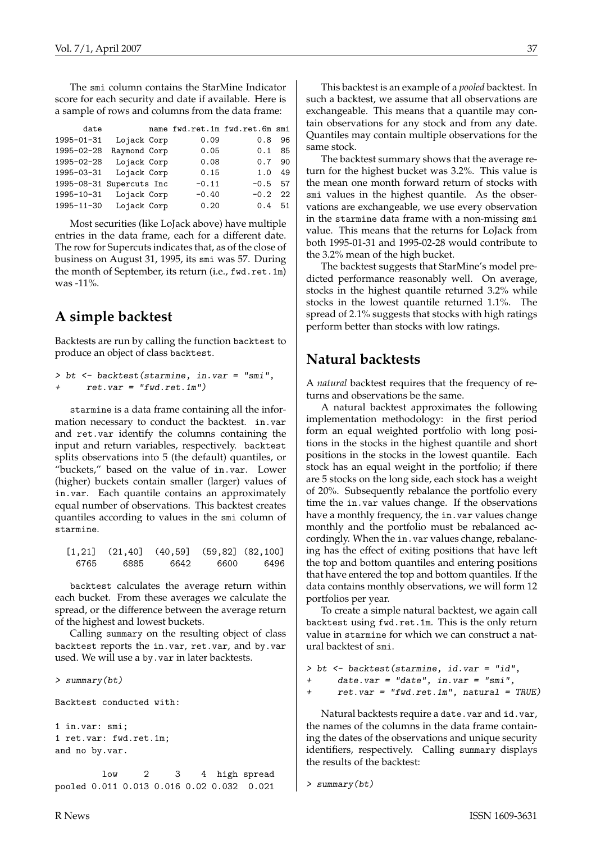The smi column contains the StarMine Indicator score for each security and date if available. Here is a sample of rows and columns from the data frame:

| date                     |              | name fwd.ret.1m fwd.ret.6m smi |        |    |
|--------------------------|--------------|--------------------------------|--------|----|
| $1995 - 01 - 31$         | Lojack Corp  | 0.09                           | 0.8    | 96 |
| 1995-02-28               | Raymond Corp | 0.05                           | 0.1    | 85 |
| 1995-02-28               | Lojack Corp  | 0.08                           | 0.7    | 90 |
| 1995-03-31               | Lojack Corp  | 0.15                           | 1.0    | 49 |
| 1995-08-31 Supercuts Inc |              | $-0.11$                        | $-0.5$ | 57 |
| 1995-10-31               | Lojack Corp  | $-0.40$                        | $-0.2$ | 22 |
| 1995-11-30               | Lojack Corp  | 0.20                           | 0.4    | 51 |

Most securities (like LoJack above) have multiple entries in the data frame, each for a different date. The row for Supercuts indicates that, as of the close of business on August 31, 1995, its smi was 57. During the month of September, its return (i.e., fwd.ret.1m)  $was -11\%$ 

## **A simple backtest**

Backtests are run by calling the function backtest to produce an object of class backtest.

```
> bt <- backtest(starmine, in.var = "smi",
     ret.var = "fwd.ret.lm")
```
starmine is a data frame containing all the information necessary to conduct the backtest. in.var and ret.var identify the columns containing the input and return variables, respectively. backtest splits observations into 5 (the default) quantiles, or "buckets," based on the value of in.var. Lower (higher) buckets contain smaller (larger) values of in.var. Each quantile contains an approximately equal number of observations. This backtest creates quantiles according to values in the smi column of starmine.

|      |      | $\begin{bmatrix} 1,21 \end{bmatrix}$ (21,40] (40,59] (59,82] (82,100] |      |      |
|------|------|-----------------------------------------------------------------------|------|------|
| 6765 | 6885 | 6642                                                                  | 6600 | 6496 |

backtest calculates the average return within each bucket. From these averages we calculate the spread, or the difference between the average return of the highest and lowest buckets.

Calling summary on the resulting object of class backtest reports the in.var, ret.var, and by.var used. We will use a by.var in later backtests.

```
> summary(bt)
Backtest conducted with:
1 in.var: smi;
1 ret.var: fwd.ret.1m;
and no by.var.
        low 2 3 4 high spread
```
pooled 0.011 0.013 0.016 0.02 0.032 0.021

This backtest is an example of a *pooled* backtest. In such a backtest, we assume that all observations are exchangeable. This means that a quantile may contain observations for any stock and from any date. Quantiles may contain multiple observations for the same stock.

The backtest summary shows that the average return for the highest bucket was 3.2%. This value is the mean one month forward return of stocks with smi values in the highest quantile. As the observations are exchangeable, we use every observation in the starmine data frame with a non-missing smi value. This means that the returns for LoJack from both 1995-01-31 and 1995-02-28 would contribute to the 3.2% mean of the high bucket.

The backtest suggests that StarMine's model predicted performance reasonably well. On average, stocks in the highest quantile returned 3.2% while stocks in the lowest quantile returned 1.1%. The spread of 2.1% suggests that stocks with high ratings perform better than stocks with low ratings.

## **Natural backtests**

A *natural* backtest requires that the frequency of returns and observations be the same.

A natural backtest approximates the following implementation methodology: in the first period form an equal weighted portfolio with long positions in the stocks in the highest quantile and short positions in the stocks in the lowest quantile. Each stock has an equal weight in the portfolio; if there are 5 stocks on the long side, each stock has a weight of 20%. Subsequently rebalance the portfolio every time the in.var values change. If the observations have a monthly frequency, the in. var values change monthly and the portfolio must be rebalanced accordingly. When the in.var values change, rebalancing has the effect of exiting positions that have left the top and bottom quantiles and entering positions that have entered the top and bottom quantiles. If the data contains monthly observations, we will form 12 portfolios per year.

To create a simple natural backtest, we again call backtest using fwd.ret.1m. This is the only return value in starmine for which we can construct a natural backtest of smi.

```
> bt <- backtest(starmine, id.var = "id",
+ date.var = "date", in.var = "smi",
     ret.var = "fwd.ret.lm", natural = TRUE)
```
Natural backtests require a date.var and id.var, the names of the columns in the data frame containing the dates of the observations and unique security identifiers, respectively. Calling summary displays the results of the backtest:

```
> summary(bt)
```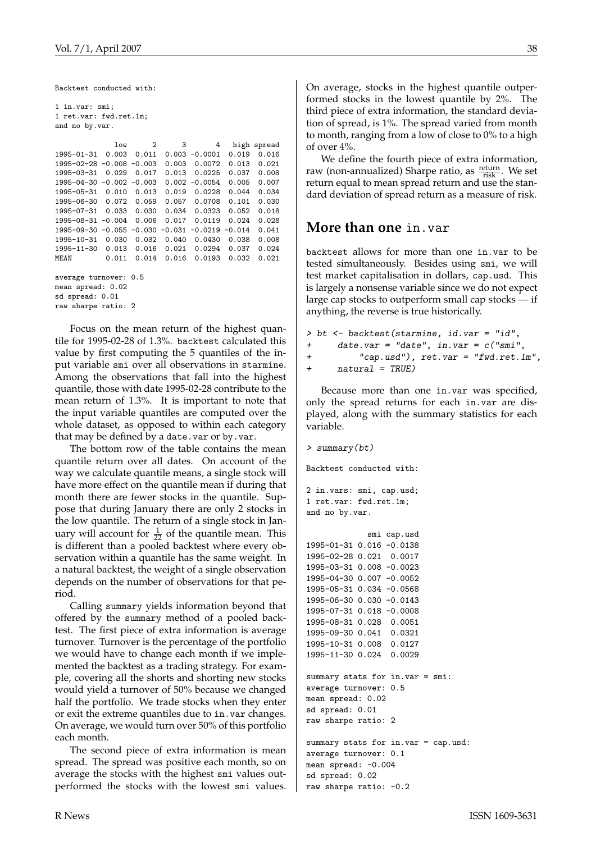Backtest conducted with:

1 in.var: smi; 1 ret.var: fwd.ret.1m; and no by.var. low 2 3 4 high spread 1995-01-31 0.003 0.011 0.003 -0.0001 0.019 0.016 1995-02-28 -0.008 -0.003 0.003 0.0072 0.013 0.021 1995-03-31 0.029 0.017 0.013 0.0225 0.037 0.008 1995-04-30 -0.002 -0.003 0.002 -0.0054 0.005 0.007 1995-05-31 0.010 0.013 0.019 0.0228 0.044 0.034 1995-06-30 0.072 0.059 0.057 0.0708 0.101 0.030 1995-07-31 0.033 0.030 0.034 0.0323 0.052 0.018 1995-08-31 -0.004 0.006 0.017 0.0119 0.024 0.028 1995-09-30 -0.055 -0.030 -0.031 -0.0219 -0.014 0.041 1995-10-31 0.030 0.032 0.040 0.0430 0.038 0.008 1995-11-30 0.013 0.016 0.021 0.0294 0.037 0.024 MEAN 0.011 0.014 0.016 0.0193 0.032 0.021 average turnover: 0.5 mean spread: 0.02 sd spread: 0.01 raw sharpe ratio: 2

Focus on the mean return of the highest quantile for 1995-02-28 of 1.3%. backtest calculated this value by first computing the 5 quantiles of the input variable smi over all observations in starmine. Among the observations that fall into the highest quantile, those with date 1995-02-28 contribute to the mean return of 1.3%. It is important to note that the input variable quantiles are computed over the whole dataset, as opposed to within each category that may be defined by a date.var or by.var.

The bottom row of the table contains the mean quantile return over all dates. On account of the way we calculate quantile means, a single stock will have more effect on the quantile mean if during that month there are fewer stocks in the quantile. Suppose that during January there are only 2 stocks in the low quantile. The return of a single stock in January will account for  $\frac{1}{22}$  of the quantile mean. This is different than a pooled backtest where every observation within a quantile has the same weight. In a natural backtest, the weight of a single observation depends on the number of observations for that period.

Calling summary yields information beyond that offered by the summary method of a pooled backtest. The first piece of extra information is average turnover. Turnover is the percentage of the portfolio we would have to change each month if we implemented the backtest as a trading strategy. For example, covering all the shorts and shorting new stocks would yield a turnover of 50% because we changed half the portfolio. We trade stocks when they enter or exit the extreme quantiles due to in.var changes. On average, we would turn over 50% of this portfolio each month.

The second piece of extra information is mean spread. The spread was positive each month, so on average the stocks with the highest smi values outperformed the stocks with the lowest smi values.

On average, stocks in the highest quantile outperformed stocks in the lowest quantile by 2%. The third piece of extra information, the standard deviation of spread, is 1%. The spread varied from month to month, ranging from a low of close to 0% to a high of over 4%.

We define the fourth piece of extra information, raw (non-annualized) Sharpe ratio, as  $\frac{\text{return}}{\text{risk}}$ . We set return equal to mean spread return and use the standard deviation of spread return as a measure of risk.

#### **More than one** in.var

backtest allows for more than one in.var to be tested simultaneously. Besides using smi, we will test market capitalisation in dollars, cap.usd. This is largely a nonsense variable since we do not expect large cap stocks to outperform small cap stocks — if anything, the reverse is true historically.

```
> bt <- backtest(starmine, id.var = "id",
+ date.var = "date", in.var = c("smi",+ "cap.usd"), ret.var = "fwd.ret.1m",
+ natural = TRUE)
```
Because more than one in.var was specified, only the spread returns for each in.var are displayed, along with the summary statistics for each variable.

```
> summary(bt)
```
Backtest conducted with:

```
2 in.vars: smi, cap.usd;
1 ret.var: fwd.ret.1m;
and no by.var.
```
smi cap.usd 1995-01-31 0.016 -0.0138 1995-02-28 0.021 0.0017 1995-03-31 0.008 -0.0023 1995-04-30 0.007 -0.0052 1995-05-31 0.034 -0.0568 1995-06-30 0.030 -0.0143 1995-07-31 0.018 -0.0008 1995-08-31 0.028 0.0051 1995-09-30 0.041 0.0321 1995-10-31 0.008 0.0127 1995-11-30 0.024 0.0029 summary stats for in.var = smi: average turnover: 0.5 mean spread: 0.02 sd spread: 0.01 raw sharpe ratio: 2 summary stats for in.var = cap.usd:

average turnover: 0.1 mean spread: -0.004 sd spread: 0.02 raw sharpe ratio: -0.2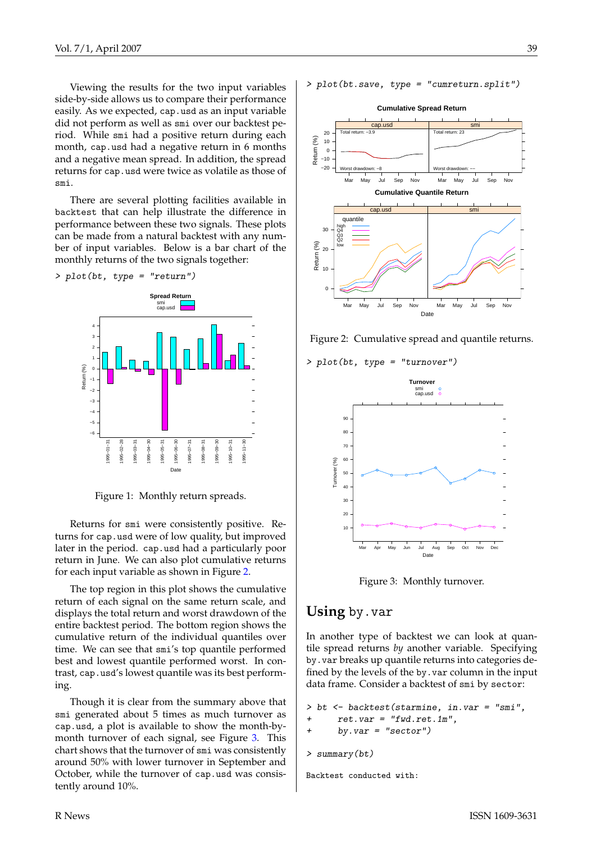Viewing the results for the two input variables side-by-side allows us to compare their performance easily. As we expected, cap.usd as an input variable did not perform as well as smi over our backtest period. While smi had a positive return during each month, cap.usd had a negative return in 6 months and a negative mean spread. In addition, the spread returns for cap.usd were twice as volatile as those of smi.

There are several plotting facilities available in backtest that can help illustrate the difference in performance between these two signals. These plots can be made from a natural backtest with any number of input variables. Below is a bar chart of the monthly returns of the two signals together:

> plot(bt, type = "return")



Figure 1: Monthly return spreads.

Returns for smi were consistently positive. Returns for cap.usd were of low quality, but improved later in the period. cap.usd had a particularly poor return in June. We can also plot cumulative returns for each input variable as shown in Figure [2.](#page-38-0)

The top region in this plot shows the cumulative return of each signal on the same return scale, and displays the total return and worst drawdown of the entire backtest period. The bottom region shows the cumulative return of the individual quantiles over time. We can see that smi's top quantile performed best and lowest quantile performed worst. In contrast, cap.usd's lowest quantile was its best performing.

Though it is clear from the summary above that smi generated about 5 times as much turnover as cap.usd, a plot is available to show the month-bymonth turnover of each signal, see Figure [3.](#page-38-1) This chart shows that the turnover of smi was consistently around 50% with lower turnover in September and October, while the turnover of cap.usd was consistently around 10%.

> plot(bt.save, type = "cumreturn.split")



<span id="page-38-0"></span>Figure 2: Cumulative spread and quantile returns.

> plot(bt, type = "turnover")



<span id="page-38-1"></span>

### **Using** by.var

In another type of backtest we can look at quantile spread returns *by* another variable. Specifying by.var breaks up quantile returns into categories defined by the levels of the by.var column in the input data frame. Consider a backtest of smi by sector:

```
> bt <- backtest(starmine, in.var = "smi",
      ret.var = "fwd.ret.1m".by. var = "sector")> summary(bt)
```
Backtest conducted with: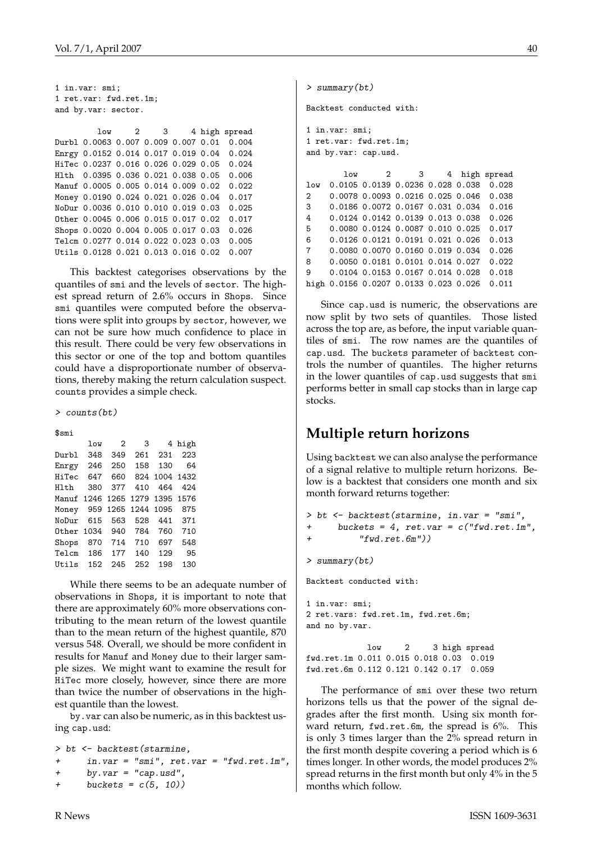1 in.var: smi; 1 ret.var: fwd.ret.1m; and by.var: sector.

low 2 3 4 high spread Durbl 0.0063 0.007 0.009 0.007 0.01 0.004 Enrgy 0.0152 0.014 0.017 0.019 0.04 0.024 HiTec 0.0237 0.016 0.026 0.029 0.05 0.024 Hlth 0.0395 0.036 0.021 0.038 0.05 0.006 Manuf 0.0005 0.005 0.014 0.009 0.02 0.022 Money 0.0190 0.024 0.021 0.026 0.04 0.017 NoDur 0.0036 0.010 0.010 0.019 0.03 0.025 Other 0.0045 0.006 0.015 0.017 0.02 0.017 Shops 0.0020 0.004 0.005 0.017 0.03 0.026 Telcm 0.0277 0.014 0.022 0.023 0.03 0.005 Utils 0.0128 0.021 0.013 0.016 0.02 0.007

This backtest categorises observations by the quantiles of smi and the levels of sector. The highest spread return of 2.6% occurs in Shops. Since smi quantiles were computed before the observations were split into groups by sector, however, we can not be sure how much confidence to place in this result. There could be very few observations in this sector or one of the top and bottom quantiles could have a disproportionate number of observations, thereby making the return calculation suspect. counts provides a simple check.

> counts(bt)

#### \$smi

| low          | $\overline{2}$ |                |     | 4 high                                                                                  |
|--------------|----------------|----------------|-----|-----------------------------------------------------------------------------------------|
| 348          | 349            | 261            | 231 | 223                                                                                     |
| 246          | 250            | 158            | 130 | 64                                                                                      |
| 647          | 660            |                |     |                                                                                         |
| 380          | 377            |                | 464 | 424                                                                                     |
|              |                |                |     |                                                                                         |
|              |                |                |     | 875                                                                                     |
| 615          | 563            | 528            | 441 | 371                                                                                     |
|              |                | 784            | 760 | 710                                                                                     |
| 870          | 714            | 710            | 697 | 548                                                                                     |
| 186          | 177            | 140            | 129 | 95                                                                                      |
| 152<br>Utils | 245            | 252            | 198 | 130                                                                                     |
|              |                | Other 1034 940 |     | 3<br>824 1004 1432<br>410<br>Manuf 1246 1265 1279 1395 1576<br>Money 959 1265 1244 1095 |

While there seems to be an adequate number of observations in Shops, it is important to note that there are approximately 60% more observations contributing to the mean return of the lowest quantile than to the mean return of the highest quantile, 870 versus 548. Overall, we should be more confident in results for Manuf and Money due to their larger sample sizes. We might want to examine the result for HiTec more closely, however, since there are more than twice the number of observations in the highest quantile than the lowest.

by.var can also be numeric, as in this backtest using cap.usd:

```
> bt <- backtest(starmine,
+ in.var = "smi", ret.var = "fwd.ret.1m",
+ by.var = "cap.usd",
     buckets = c(5, 10))
```
> summary(bt)

Backtest conducted with:

```
1 in.var: smi;
1 ret.var: fwd.ret.1m;
and by.var: cap.usd.
```
low 2 3 4 high spread low 0.0105 0.0139 0.0236 0.028 0.038 0.028 2 0.0078 0.0093 0.0216 0.025 0.046 0.038 3 0.0186 0.0072 0.0167 0.031 0.034 0.016 4 0.0124 0.0142 0.0139 0.013 0.038 0.026 5 0.0080 0.0124 0.0087 0.010 0.025 0.017 6 0.0126 0.0121 0.0191 0.021 0.026 0.013 7 0.0080 0.0070 0.0160 0.019 0.034 0.026 8 0.0050 0.0181 0.0101 0.014 0.027 0.022 9 0.0104 0.0153 0.0167 0.014 0.028 0.018 high 0.0156 0.0207 0.0133 0.023 0.026 0.011

Since cap.usd is numeric, the observations are now split by two sets of quantiles. Those listed across the top are, as before, the input variable quantiles of smi. The row names are the quantiles of cap.usd. The buckets parameter of backtest controls the number of quantiles. The higher returns in the lower quantiles of cap.usd suggests that smi performs better in small cap stocks than in large cap stocks.

## **Multiple return horizons**

Using backtest we can also analyse the performance of a signal relative to multiple return horizons. Below is a backtest that considers one month and six month forward returns together:

```
> bt <- backtest(starmine, in.var = "smi",
      buckets = 4, ret.var = c("fwd.ret.1m","fwd.ret.Gm"))
```
> summary(bt)

Backtest conducted with:

1 in.var: smi; 2 ret.vars: fwd.ret.1m, fwd.ret.6m; and no by.var.

low 2 3 high spread fwd.ret.1m 0.011 0.015 0.018 0.03 0.019 fwd.ret.6m 0.112 0.121 0.142 0.17 0.059

The performance of smi over these two return horizons tells us that the power of the signal degrades after the first month. Using six month forward return, fwd.ret.6m, the spread is 6%. This is only 3 times larger than the 2% spread return in the first month despite covering a period which is 6 times longer. In other words, the model produces 2% spread returns in the first month but only 4% in the 5 months which follow.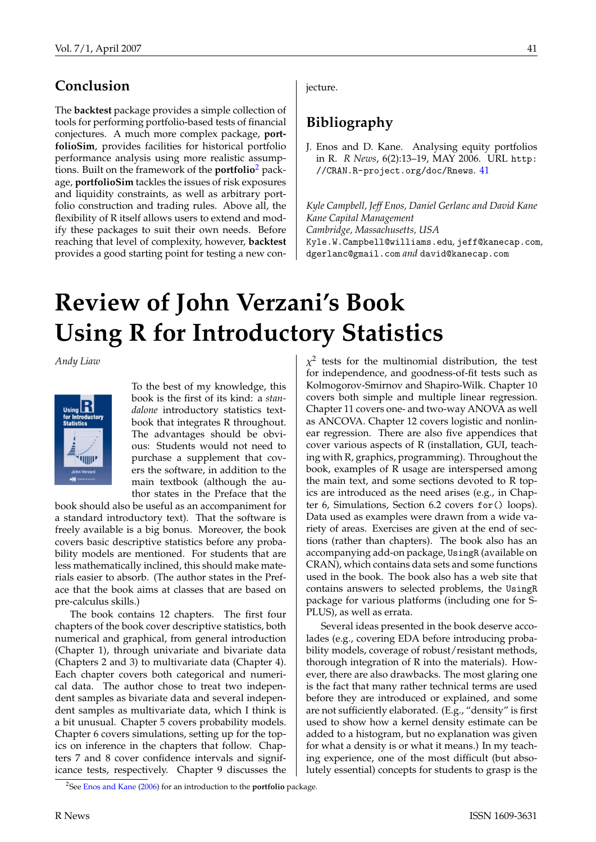# <span id="page-40-2"></span>**Conclusion**

The **backtest** package provides a simple collection of tools for performing portfolio-based tests of financial conjectures. A much more complex package, **portfolioSim**, provides facilities for historical portfolio performance analysis using more realistic assumptions. Built on the framework of the **portfolio**[2](#page-40-1) package, **portfolioSim** tackles the issues of risk exposures and liquidity constraints, as well as arbitrary portfolio construction and trading rules. Above all, the flexibility of R itself allows users to extend and modify these packages to suit their own needs. Before reaching that level of complexity, however, **backtest** provides a good starting point for testing a new conjecture.

# **Bibliography**

<span id="page-40-3"></span>J. Enos and D. Kane. Analysing equity portfolios in R. *R News*, 6(2):13–19, MAY 2006. URL [http:](http://CRAN.R-project.org/doc/Rnews) [//CRAN.R-project.org/doc/Rnews](http://CRAN.R-project.org/doc/Rnews). [41](#page-40-2)

*Kyle Campbell, Jeff Enos, Daniel Gerlanc and David Kane Kane Capital Management Cambridge, Massachusetts, USA* [Kyle.W.Campbell@williams.edu](mailto:Kyle.W.Campbell@williams.edu)*,* [jeff@kanecap.com](mailto:jeff@kanecap.com)*,*

[dgerlanc@gmail.com](mailto:dgerlanc@gmail.com) *and* [david@kanecap.com](mailto:david@kanecap.com)

**Review of John Verzani's Book Using R for Introductory Statistics**

<span id="page-40-0"></span>*Andy Liaw*



To the best of my knowledge, this book is the first of its kind: a *standalone* introductory statistics textbook that integrates R throughout. The advantages should be obvious: Students would not need to purchase a supplement that covers the software, in addition to the main textbook (although the author states in the Preface that the

book should also be useful as an accompaniment for a standard introductory text). That the software is freely available is a big bonus. Moreover, the book covers basic descriptive statistics before any probability models are mentioned. For students that are less mathematically inclined, this should make materials easier to absorb. (The author states in the Preface that the book aims at classes that are based on pre-calculus skills.)

The book contains 12 chapters. The first four chapters of the book cover descriptive statistics, both numerical and graphical, from general introduction (Chapter 1), through univariate and bivariate data (Chapters 2 and 3) to multivariate data (Chapter 4). Each chapter covers both categorical and numerical data. The author chose to treat two independent samples as bivariate data and several independent samples as multivariate data, which I think is a bit unusual. Chapter 5 covers probability models. Chapter 6 covers simulations, setting up for the topics on inference in the chapters that follow. Chapters 7 and 8 cover confidence intervals and significance tests, respectively. Chapter 9 discusses the

 $\chi^2$  tests for the multinomial distribution, the test for independence, and goodness-of-fit tests such as Kolmogorov-Smirnov and Shapiro-Wilk. Chapter 10 covers both simple and multiple linear regression. Chapter 11 covers one- and two-way ANOVA as well as ANCOVA. Chapter 12 covers logistic and nonlinear regression. There are also five appendices that cover various aspects of R (installation, GUI, teaching with R, graphics, programming). Throughout the book, examples of R usage are interspersed among the main text, and some sections devoted to R topics are introduced as the need arises (e.g., in Chapter 6, Simulations, Section 6.2 covers for() loops). Data used as examples were drawn from a wide variety of areas. Exercises are given at the end of sections (rather than chapters). The book also has an accompanying add-on package, UsingR (available on CRAN), which contains data sets and some functions used in the book. The book also has a web site that contains answers to selected problems, the UsingR package for various platforms (including one for S-PLUS), as well as errata.

Several ideas presented in the book deserve accolades (e.g., covering EDA before introducing probability models, coverage of robust/resistant methods, thorough integration of R into the materials). However, there are also drawbacks. The most glaring one is the fact that many rather technical terms are used before they are introduced or explained, and some are not sufficiently elaborated. (E.g., "density" is first used to show how a kernel density estimate can be added to a histogram, but no explanation was given for what a density is or what it means.) In my teaching experience, one of the most difficult (but absolutely essential) concepts for students to grasp is the

<span id="page-40-1"></span><sup>2</sup>See [Enos and Kane](#page-40-3) [\(2006\)](#page-40-3) for an introduction to the **portfolio** package.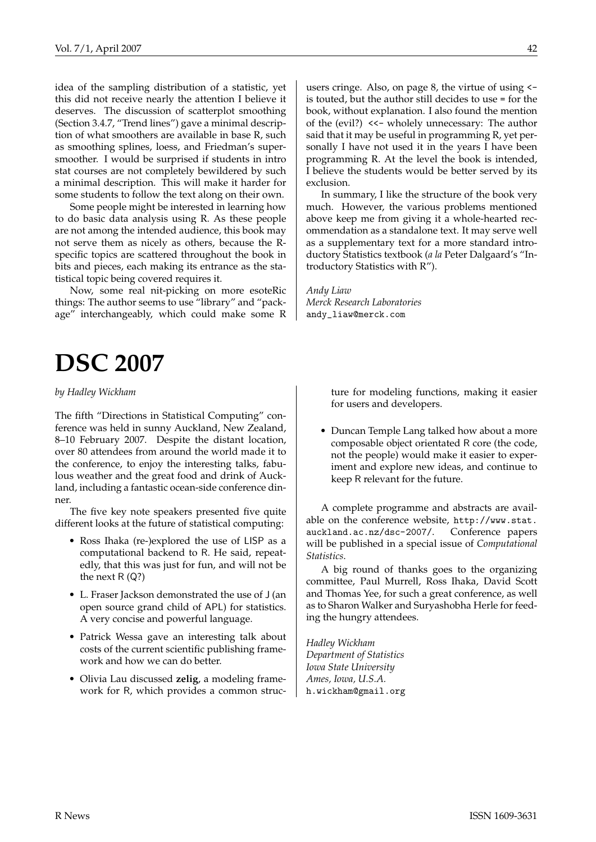idea of the sampling distribution of a statistic, yet this did not receive nearly the attention I believe it deserves. The discussion of scatterplot smoothing (Section 3.4.7, "Trend lines") gave a minimal description of what smoothers are available in base R, such as smoothing splines, loess, and Friedman's supersmoother. I would be surprised if students in intro stat courses are not completely bewildered by such a minimal description. This will make it harder for some students to follow the text along on their own.

Some people might be interested in learning how to do basic data analysis using R. As these people are not among the intended audience, this book may not serve them as nicely as others, because the Rspecific topics are scattered throughout the book in bits and pieces, each making its entrance as the statistical topic being covered requires it.

Now, some real nit-picking on more esoteRic things: The author seems to use "library" and "package" interchangeably, which could make some R

users cringe. Also, on page 8, the virtue of using < is touted, but the author still decides to use = for the book, without explanation. I also found the mention of the (evil?) <<- wholely unnecessary: The author said that it may be useful in programming R, yet personally I have not used it in the years I have been programming R. At the level the book is intended, I believe the students would be better served by its exclusion.

In summary, I like the structure of the book very much. However, the various problems mentioned above keep me from giving it a whole-hearted recommendation as a standalone text. It may serve well as a supplementary text for a more standard introductory Statistics textbook (*a la* Peter Dalgaard's "Introductory Statistics with R").

*Andy Liaw Merck Research Laboratories* [andy\\_liaw@merck.com](mailto:andy_liaw@merck.com)

# **DSC 2007**

<span id="page-41-0"></span>*by Hadley Wickham*

The fifth "Directions in Statistical Computing" conference was held in sunny Auckland, New Zealand, 8–10 February 2007. Despite the distant location, over 80 attendees from around the world made it to the conference, to enjoy the interesting talks, fabulous weather and the great food and drink of Auckland, including a fantastic ocean-side conference dinner.

The five key note speakers presented five quite different looks at the future of statistical computing:

- Ross Ihaka (re-)explored the use of LISP as a computational backend to R. He said, repeatedly, that this was just for fun, and will not be the next  $R(Q?)$
- L. Fraser Jackson demonstrated the use of J (an open source grand child of APL) for statistics. A very concise and powerful language.
- Patrick Wessa gave an interesting talk about costs of the current scientific publishing framework and how we can do better.
- Olivia Lau discussed **zelig**, a modeling framework for R, which provides a common struc-

ture for modeling functions, making it easier for users and developers.

• Duncan Temple Lang talked how about a more composable object orientated R core (the code, not the people) would make it easier to experiment and explore new ideas, and continue to keep R relevant for the future.

A complete programme and abstracts are available on the conference website, [http://www.stat.](http://www.stat.auckland.ac.nz/dsc-2007/) [auckland.ac.nz/dsc-2007/](http://www.stat.auckland.ac.nz/dsc-2007/). Conference papers will be published in a special issue of *Computational Statistics*.

A big round of thanks goes to the organizing committee, Paul Murrell, Ross Ihaka, David Scott and Thomas Yee, for such a great conference, as well as to Sharon Walker and Suryashobha Herle for feeding the hungry attendees.

*Hadley Wickham Department of Statistics Iowa State University Ames, Iowa, U.S.A.* [h.wickham@gmail.org](mailto:h.wickham@gmail.org)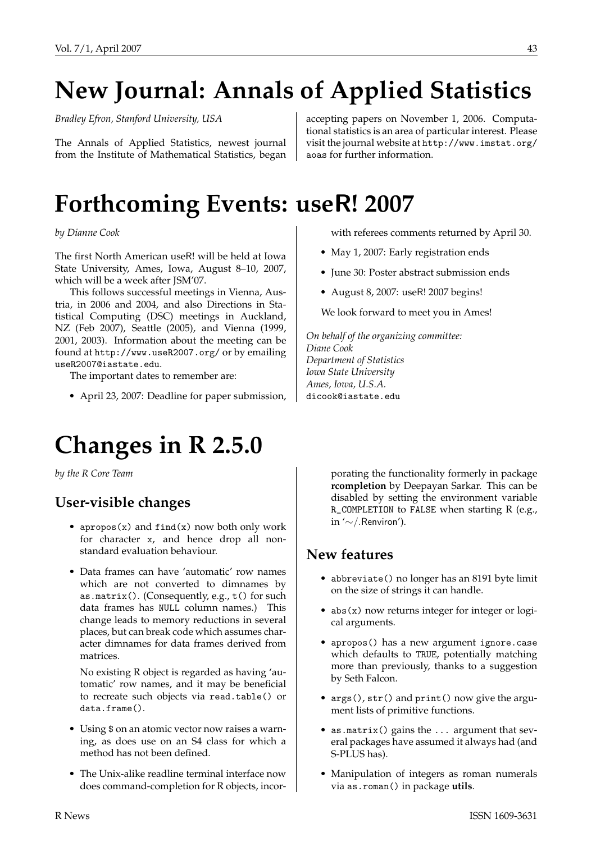# **New Journal: Annals of Applied Statistics**

<span id="page-42-0"></span>*Bradley Efron, Stanford University, USA*

The Annals of Applied Statistics, newest journal from the Institute of Mathematical Statistics, began accepting papers on November 1, 2006. Computational statistics is an area of particular interest. Please visit the journal website at [http://www.imstat.org/](http://www.imstat.org/aoas) [aoas](http://www.imstat.org/aoas) for further information.

# **Forthcoming Events: use**R**! 2007**

<span id="page-42-1"></span>*by Dianne Cook*

The first North American useR! will be held at Iowa State University, Ames, Iowa, August 8–10, 2007, which will be a week after JSM'07.

This follows successful meetings in Vienna, Austria, in 2006 and 2004, and also Directions in Statistical Computing (DSC) meetings in Auckland, NZ (Feb 2007), Seattle (2005), and Vienna (1999, 2001, 2003). Information about the meeting can be found at <http://www.useR2007.org/> or by emailing [useR2007@iastate.edu](mailto:useR2007@iastate.edu).

The important dates to remember are:

• April 23, 2007: Deadline for paper submission,

# **Changes in R 2.5.0**

<span id="page-42-2"></span>*by the R Core Team*

## **User-visible changes**

- apropos $(x)$  and find $(x)$  now both only work for character x, and hence drop all nonstandard evaluation behaviour.
- Data frames can have 'automatic' row names which are not converted to dimnames by as.matrix(). (Consequently, e.g., t() for such data frames has NULL column names.) This change leads to memory reductions in several places, but can break code which assumes character dimnames for data frames derived from matrices.

No existing R object is regarded as having 'automatic' row names, and it may be beneficial to recreate such objects via read.table() or data.frame().

- Using \$ on an atomic vector now raises a warning, as does use on an S4 class for which a method has not been defined.
- The Unix-alike readline terminal interface now does command-completion for R objects, incor-

with referees comments returned by April 30.

- May 1, 2007: Early registration ends
- June 30: Poster abstract submission ends
- August 8, 2007: useR! 2007 begins!

We look forward to meet you in Ames!

*On behalf of the organizing committee: Diane Cook Department of Statistics Iowa State University Ames, Iowa, U.S.A.* [dicook@iastate.edu](mailto:dicook@iastate.edu)

> porating the functionality formerly in package **rcompletion** by Deepayan Sarkar. This can be disabled by setting the environment variable R\_COMPLETION to FALSE when starting R (e.g., in '∼/.Renviron').

## **New features**

- abbreviate() no longer has an 8191 byte limit on the size of strings it can handle.
- abs(x) now returns integer for integer or logical arguments.
- apropos() has a new argument ignore.case which defaults to TRUE, potentially matching more than previously, thanks to a suggestion by Seth Falcon.
- args(), str() and print() now give the argument lists of primitive functions.
- as.matrix() gains the ... argument that several packages have assumed it always had (and S-PLUS has).
- Manipulation of integers as roman numerals via as.roman() in package **utils**.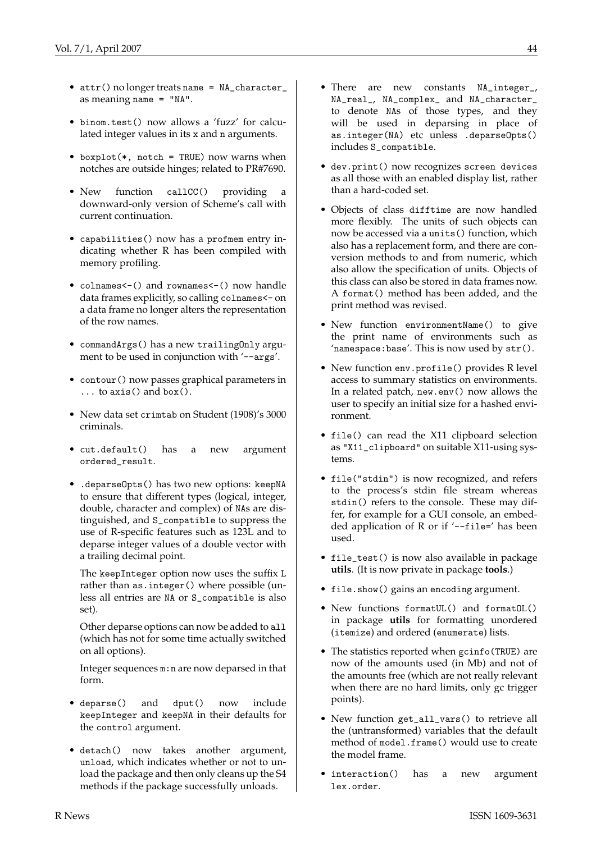- attr() no longer treats name = NA\_character\_ as meaning name = "NA".
- binom.test() now allows a 'fuzz' for calculated integer values in its x and n arguments.
- boxplot(\*, notch = TRUE) now warns when notches are outside hinges; related to PR#7690.
- New function callCC() providing a downward-only version of Scheme's call with current continuation.
- capabilities() now has a profmem entry indicating whether R has been compiled with memory profiling.
- colnames<-() and rownames<-() now handle data frames explicitly, so calling colnames<- on a data frame no longer alters the representation of the row names.
- commandArgs() has a new trailingOnly argument to be used in conjunction with '--args'.
- contour() now passes graphical parameters in ... to axis() and box().
- New data set crimtab on Student (1908)'s 3000 criminals.
- cut.default() has a new argument ordered\_result.
- .deparseOpts() has two new options: keepNA to ensure that different types (logical, integer, double, character and complex) of NAs are distinguished, and S\_compatible to suppress the use of R-specific features such as 123L and to deparse integer values of a double vector with a trailing decimal point.

The keepInteger option now uses the suffix L rather than as.integer() where possible (unless all entries are NA or S\_compatible is also set).

Other deparse options can now be added to all (which has not for some time actually switched on all options).

Integer sequences m:n are now deparsed in that form.

- deparse() and dput() now include keepInteger and keepNA in their defaults for the control argument.
- detach() now takes another argument, unload, which indicates whether or not to unload the package and then only cleans up the S4 methods if the package successfully unloads.
- There are new constants NA\_integer\_, NA\_real\_, NA\_complex\_ and NA\_character\_ to denote NAs of those types, and they will be used in deparsing in place of as.integer(NA) etc unless .deparseOpts() includes S\_compatible.
- dev.print() now recognizes screen devices as all those with an enabled display list, rather than a hard-coded set.
- Objects of class difftime are now handled more flexibly. The units of such objects can now be accessed via a units() function, which also has a replacement form, and there are conversion methods to and from numeric, which also allow the specification of units. Objects of this class can also be stored in data frames now. A format() method has been added, and the print method was revised.
- New function environmentName() to give the print name of environments such as 'namespace:base'. This is now used by str().
- New function env.profile() provides R level access to summary statistics on environments. In a related patch, new.env() now allows the user to specify an initial size for a hashed environment.
- file() can read the X11 clipboard selection as "X11\_clipboard" on suitable X11-using systems.
- file("stdin") is now recognized, and refers to the process's stdin file stream whereas stdin() refers to the console. These may differ, for example for a GUI console, an embedded application of R or if '--file=' has been used.
- file\_test() is now also available in package **utils**. (It is now private in package **tools**.)
- file.show() gains an encoding argument.
- New functions formatUL() and formatOL() in package **utils** for formatting unordered (itemize) and ordered (enumerate) lists.
- The statistics reported when gcinfo(TRUE) are now of the amounts used (in Mb) and not of the amounts free (which are not really relevant when there are no hard limits, only gc trigger points).
- New function get\_all\_vars() to retrieve all the (untransformed) variables that the default method of model.frame() would use to create the model frame.
- interaction() has a new argument lex.order.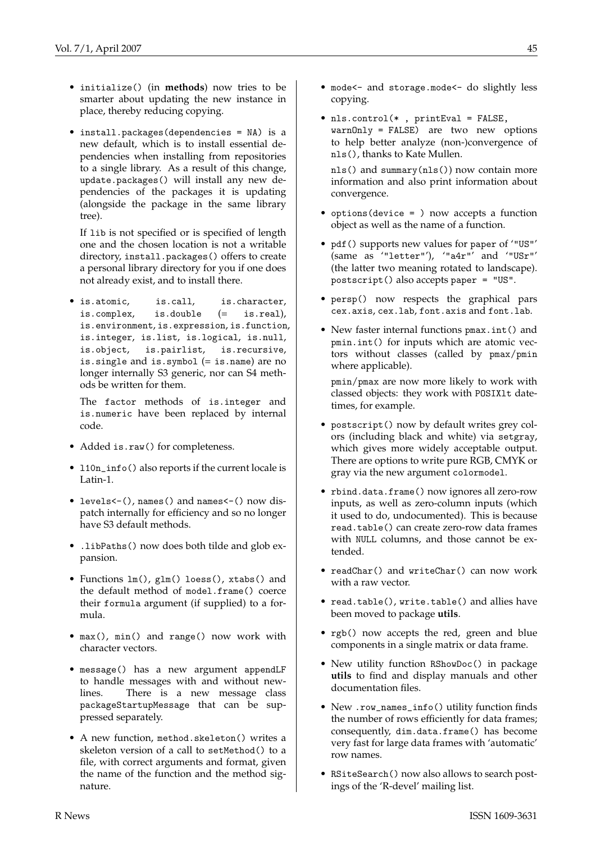- initialize() (in **methods**) now tries to be smarter about updating the new instance in place, thereby reducing copying.
- install.packages(dependencies = NA) is a new default, which is to install essential dependencies when installing from repositories to a single library. As a result of this change, update.packages() will install any new dependencies of the packages it is updating (alongside the package in the same library tree).

If lib is not specified or is specified of length one and the chosen location is not a writable directory, install.packages() offers to create a personal library directory for you if one does not already exist, and to install there.

• is.atomic, is.call, is.character, is.complex, is.double (= is.real), is.environment, is.expression, is.function, is.integer, is.list, is.logical, is.null, is.object, is.pairlist, is.recursive, is.single and is.symbol (= is.name) are no longer internally S3 generic, nor can S4 methods be written for them.

The factor methods of is.integer and is.numeric have been replaced by internal code.

- Added is.raw() for completeness.
- 110n\_info() also reports if the current locale is Latin-1.
- levels<-(), names() and names<-() now dispatch internally for efficiency and so no longer have S3 default methods.
- .libPaths() now does both tilde and glob expansion.
- Functions  $lm()$ , glm() loess(), xtabs() and the default method of model.frame() coerce their formula argument (if supplied) to a formula.
- max(), min() and range() now work with character vectors.
- message() has a new argument appendLF to handle messages with and without newlines. There is a new message class packageStartupMessage that can be suppressed separately.
- A new function, method.skeleton() writes a skeleton version of a call to setMethod() to a file, with correct arguments and format, given the name of the function and the method signature.
- mode<- and storage.mode<- do slightly less copying.
- nls.control(\* , printEval = FALSE, warnOnly = FALSE) are two new options to help better analyze (non-)convergence of nls(), thanks to Kate Mullen.

nls() and summary(nls()) now contain more information and also print information about convergence.

- options(device = ) now accepts a function object as well as the name of a function.
- pdf() supports new values for paper of '"US"' (same as '"letter"'), '"a4r"' and '"USr"' (the latter two meaning rotated to landscape). postscript() also accepts paper = "US".
- persp() now respects the graphical pars cex.axis, cex.lab, font.axis and font.lab.
- New faster internal functions pmax.int() and pmin.int() for inputs which are atomic vectors without classes (called by pmax/pmin where applicable).

pmin/pmax are now more likely to work with classed objects: they work with POSIXlt datetimes, for example.

- postscript() now by default writes grey colors (including black and white) via setgray, which gives more widely acceptable output. There are options to write pure RGB, CMYK or gray via the new argument colormodel.
- rbind.data.frame() now ignores all zero-row inputs, as well as zero-column inputs (which it used to do, undocumented). This is because read.table() can create zero-row data frames with NULL columns, and those cannot be extended.
- readChar() and writeChar() can now work with a raw vector.
- read.table(), write.table() and allies have been moved to package **utils**.
- rgb() now accepts the red, green and blue components in a single matrix or data frame.
- New utility function RShowDoc() in package **utils** to find and display manuals and other documentation files.
- New .row names info() utility function finds the number of rows efficiently for data frames; consequently, dim.data.frame() has become very fast for large data frames with 'automatic' row names.
- RSiteSearch() now also allows to search postings of the 'R-devel' mailing list.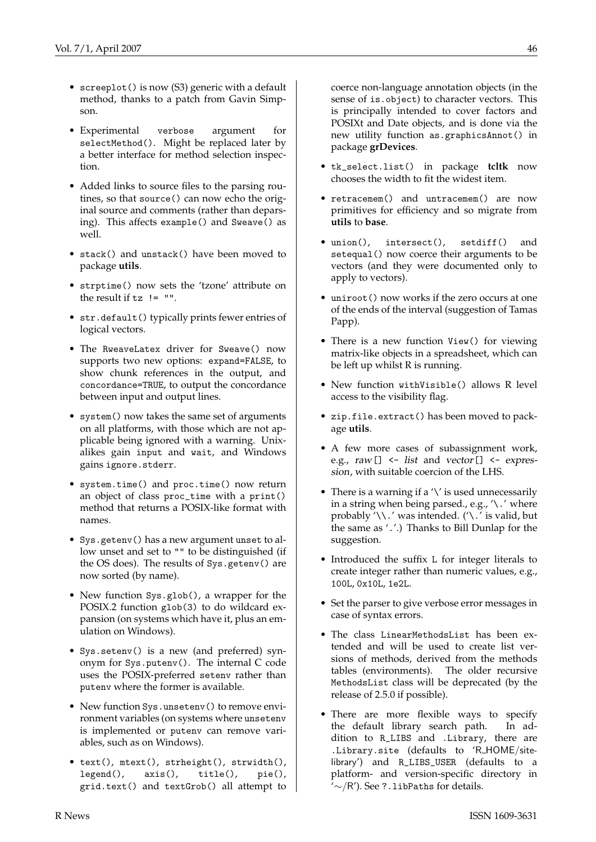- 
- screeplot () is now (S3) generic with a default method, thanks to a patch from Gavin Simpson.
- Experimental verbose argument for selectMethod(). Might be replaced later by a better interface for method selection inspection.
- Added links to source files to the parsing routines, so that source() can now echo the original source and comments (rather than deparsing). This affects example() and Sweave() as well.
- stack() and unstack() have been moved to package **utils**.
- strptime() now sets the 'tzone' attribute on the result if  $tz$  != "".
- str.default() typically prints fewer entries of logical vectors.
- The RweaveLatex driver for Sweave() now supports two new options: expand=FALSE, to show chunk references in the output, and concordance=TRUE, to output the concordance between input and output lines.
- system() now takes the same set of arguments on all platforms, with those which are not applicable being ignored with a warning. Unixalikes gain input and wait, and Windows gains ignore.stderr.
- system.time() and proc.time() now return an object of class proc\_time with a print() method that returns a POSIX-like format with names.
- Sys.getenv() has a new argument unset to allow unset and set to "" to be distinguished (if the OS does). The results of Sys.getenv() are now sorted (by name).
- New function Sys.glob(), a wrapper for the POSIX.2 function glob(3) to do wildcard expansion (on systems which have it, plus an emulation on Windows).
- Sys.setenv() is a new (and preferred) synonym for Sys.putenv(). The internal C code uses the POSIX-preferred setenv rather than putenv where the former is available.
- New function Sys.unsetenv() to remove environment variables (on systems where unsetenv is implemented or putenv can remove variables, such as on Windows).
- text(), mtext(), strheight(), strwidth(), legend(), axis(), title(), pie(), grid.text() and textGrob() all attempt to

coerce non-language annotation objects (in the sense of is.object) to character vectors. This is principally intended to cover factors and POSIXt and Date objects, and is done via the new utility function as.graphicsAnnot() in package **grDevices**.

- tk\_select.list() in package **tcltk** now chooses the width to fit the widest item.
- retracemem() and untracemem() are now primitives for efficiency and so migrate from **utils** to **base**.
- union(), intersect(), setdiff() and setequal() now coerce their arguments to be vectors (and they were documented only to apply to vectors).
- uniroot() now works if the zero occurs at one of the ends of the interval (suggestion of Tamas Papp).
- There is a new function View() for viewing matrix-like objects in a spreadsheet, which can be left up whilst R is running.
- New function withVisible() allows R level access to the visibility flag.
- zip.file.extract() has been moved to package **utils**.
- A few more cases of subassignment work, e.g.,  $raw[] \leftarrow list$  and  $vector[] \leftarrow express$ sion, with suitable coercion of the LHS.
- There is a warning if a  $\lor$  is used unnecessarily in a string when being parsed., e.g.,  $\land \cdot'$  where probably '\\.' was intended. ('\.' is valid, but the same as '.'.) Thanks to Bill Dunlap for the suggestion.
- Introduced the suffix L for integer literals to create integer rather than numeric values, e.g., 100L, 0x10L, 1e2L.
- Set the parser to give verbose error messages in case of syntax errors.
- The class LinearMethodsList has been extended and will be used to create list versions of methods, derived from the methods tables (environments). The older recursive MethodsList class will be deprecated (by the release of 2.5.0 if possible).
- There are more flexible ways to specify the default library search path. In addition to R\_LIBS and .Library, there are .Library.site (defaults to 'R HOME/sitelibrary') and R\_LIBS\_USER (defaults to a platform- and version-specific directory in  $\sim$ /R'). See ?.libPaths for details.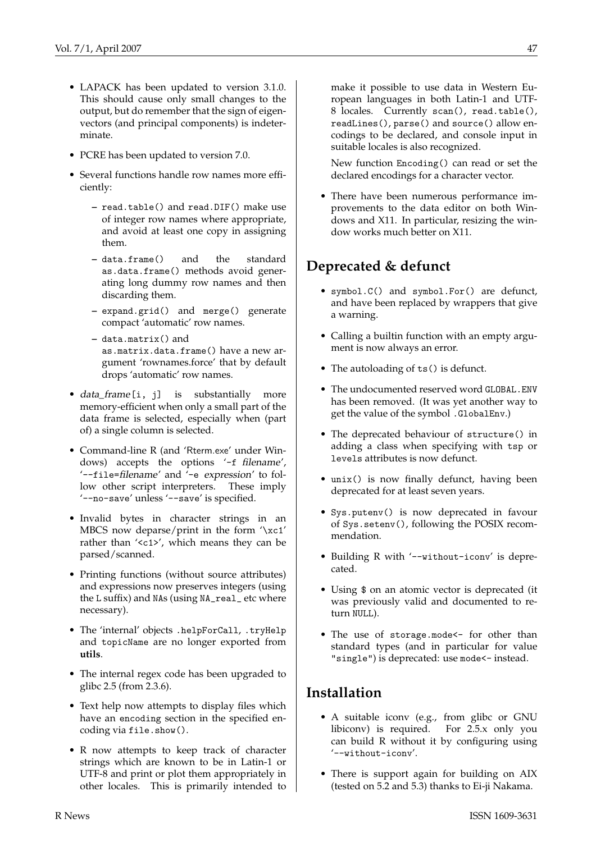- LAPACK has been updated to version 3.1.0. This should cause only small changes to the output, but do remember that the sign of eigenvectors (and principal components) is indeterminate.
- PCRE has been updated to version 7.0.
- Several functions handle row names more efficiently:
	- **–** read.table() and read.DIF() make use of integer row names where appropriate, and avoid at least one copy in assigning them.
	- **–** data.frame() and the standard as.data.frame() methods avoid generating long dummy row names and then discarding them.
	- **–** expand.grid() and merge() generate compact 'automatic' row names.
	- **–** data.matrix() and as.matrix.data.frame() have a new argument 'rownames.force' that by default drops 'automatic' row names.
- data\_frame[i, j] is substantially more memory-efficient when only a small part of the data frame is selected, especially when (part of) a single column is selected.
- Command-line R (and 'Rterm.exe' under Windows) accepts the options '-f filename', '--file=filename' and '-e expression' to follow other script interpreters. These imply '--no-save' unless '--save' is specified.
- Invalid bytes in character strings in an MBCS now deparse/print in the form '\xc1' rather than '<c1>', which means they can be parsed/scanned.
- Printing functions (without source attributes) and expressions now preserves integers (using the L suffix) and NAs (using NA\_real\_ etc where necessary).
- The 'internal' objects .helpForCall, .tryHelp and topicName are no longer exported from **utils**.
- The internal regex code has been upgraded to glibc 2.5 (from 2.3.6).
- Text help now attempts to display files which have an encoding section in the specified encoding via file.show().
- R now attempts to keep track of character strings which are known to be in Latin-1 or UTF-8 and print or plot them appropriately in other locales. This is primarily intended to

make it possible to use data in Western European languages in both Latin-1 and UTF-8 locales. Currently scan(), read.table(), readLines(), parse() and source() allow encodings to be declared, and console input in suitable locales is also recognized.

New function Encoding() can read or set the declared encodings for a character vector.

• There have been numerous performance improvements to the data editor on both Windows and X11. In particular, resizing the window works much better on X11.

# **Deprecated & defunct**

- symbol.C() and symbol.For() are defunct, and have been replaced by wrappers that give a warning.
- Calling a builtin function with an empty argument is now always an error.
- The autoloading of ts() is defunct.
- The undocumented reserved word GLOBAL.ENV has been removed. (It was yet another way to get the value of the symbol .GlobalEnv.)
- The deprecated behaviour of structure() in adding a class when specifying with tsp or levels attributes is now defunct.
- unix() is now finally defunct, having been deprecated for at least seven years.
- Sys.putenv() is now deprecated in favour of Sys.setenv(), following the POSIX recommendation.
- Building R with '--without-iconv' is deprecated.
- Using \$ on an atomic vector is deprecated (it was previously valid and documented to return NULL).
- The use of storage.mode<- for other than standard types (and in particular for value "single") is deprecated: use mode<- instead.

## **Installation**

- A suitable iconv (e.g., from glibc or GNU libiconv) is required. For 2.5.x only you can build R without it by configuring using '--without-iconv'.
- There is support again for building on AIX (tested on 5.2 and 5.3) thanks to Ei-ji Nakama.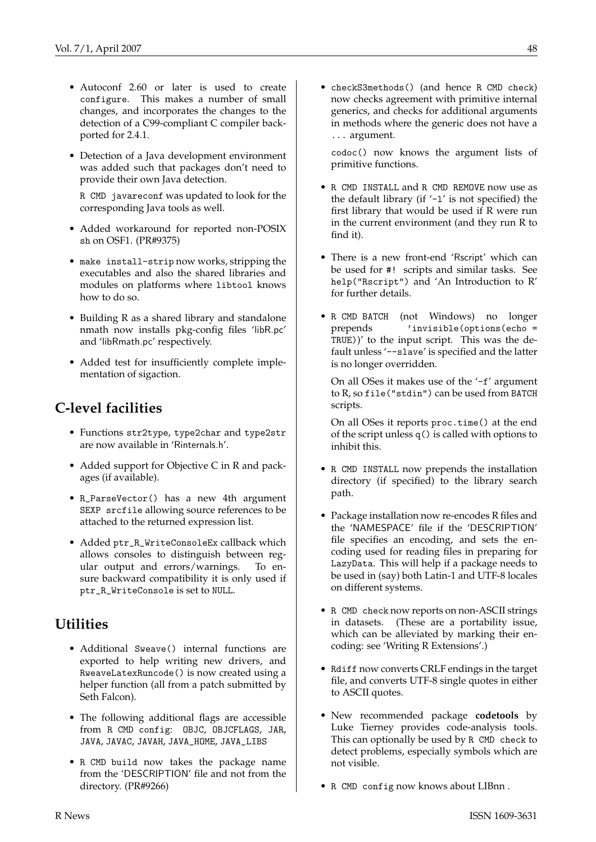- Autoconf 2.60 or later is used to create configure. This makes a number of small changes, and incorporates the changes to the detection of a C99-compliant C compiler backported for 2.4.1.
- Detection of a Java development environment was added such that packages don't need to provide their own Java detection.

R CMD javareconf was updated to look for the corresponding Java tools as well.

- Added workaround for reported non-POSIX sh on OSF1. (PR#9375)
- make install-strip now works, stripping the executables and also the shared libraries and modules on platforms where libtool knows how to do so.
- Building R as a shared library and standalone nmath now installs pkg-config files 'libR.pc' and 'libRmath.pc' respectively.
- Added test for insufficiently complete implementation of sigaction.

# **C-level facilities**

- Functions str2type, type2char and type2str are now available in 'Rinternals.h'.
- Added support for Objective C in R and packages (if available).
- R\_ParseVector() has a new 4th argument SEXP srcfile allowing source references to be attached to the returned expression list.
- Added ptr\_R\_WriteConsoleEx callback which allows consoles to distinguish between regular output and errors/warnings. To ensure backward compatibility it is only used if ptr\_R\_WriteConsole is set to NULL.

## **Utilities**

- Additional Sweave() internal functions are exported to help writing new drivers, and RweaveLatexRuncode() is now created using a helper function (all from a patch submitted by Seth Falcon).
- The following additional flags are accessible from R CMD config: OBJC, OBJCFLAGS, JAR, JAVA, JAVAC, JAVAH, JAVA\_HOME, JAVA\_LIBS
- R CMD build now takes the package name from the 'DESCRIPTION' file and not from the directory. (PR#9266)

• checkS3methods() (and hence R CMD check) now checks agreement with primitive internal generics, and checks for additional arguments in methods where the generic does not have a ... argument.

codoc() now knows the argument lists of primitive functions.

- R CMD INSTALL and R CMD REMOVE now use as the default library (if  $-1'$  is not specified) the first library that would be used if R were run in the current environment (and they run R to find it).
- There is a new front-end 'Rscript' which can be used for #! scripts and similar tasks. See help("Rscript") and 'An Introduction to R' for further details.
- R CMD BATCH (not Windows) no longer prepends 'invisible(options(echo = TRUE))' to the input script. This was the default unless '--slave' is specified and the latter is no longer overridden.

On all OSes it makes use of the '-f' argument to R, so file("stdin") can be used from BATCH scripts.

On all OSes it reports proc.time() at the end of the script unless q() is called with options to inhibit this.

- R CMD INSTALL now prepends the installation directory (if specified) to the library search path.
- Package installation now re-encodes R files and the 'NAMESPACE' file if the 'DESCRIPTION' file specifies an encoding, and sets the encoding used for reading files in preparing for LazyData. This will help if a package needs to be used in (say) both Latin-1 and UTF-8 locales on different systems.
- R CMD check now reports on non-ASCII strings in datasets. (These are a portability issue, which can be alleviated by marking their encoding: see 'Writing R Extensions'.)
- Rdiff now converts CRLF endings in the target file, and converts UTF-8 single quotes in either to ASCII quotes.
- New recommended package **codetools** by Luke Tierney provides code-analysis tools. This can optionally be used by R CMD check to detect problems, especially symbols which are not visible.
- R CMD config now knows about LIBnn .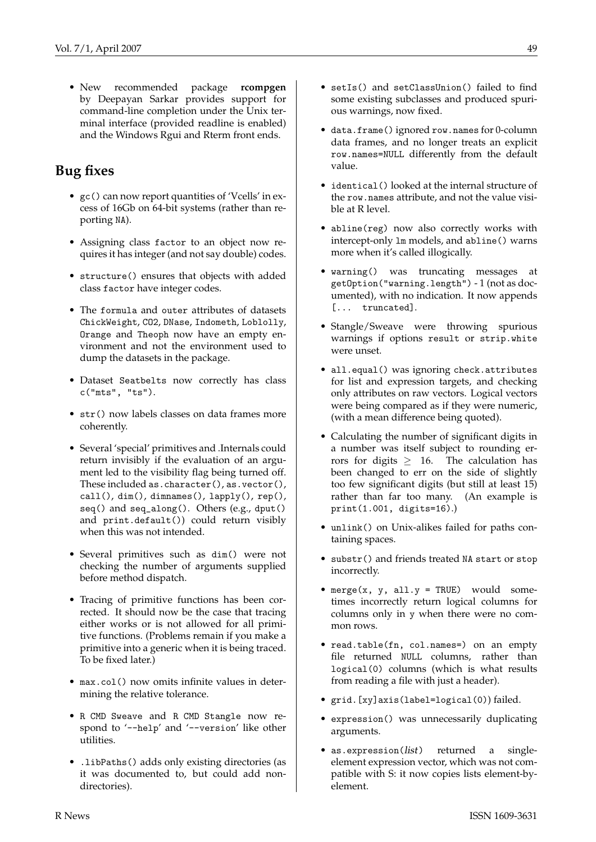• New recommended package **rcompgen** by Deepayan Sarkar provides support for command-line completion under the Unix terminal interface (provided readline is enabled) and the Windows Rgui and Rterm front ends.

# **Bug fixes**

- gc() can now report quantities of 'Vcells' in excess of 16Gb on 64-bit systems (rather than reporting NA).
- Assigning class factor to an object now requires it has integer (and not say double) codes.
- structure() ensures that objects with added class factor have integer codes.
- The formula and outer attributes of datasets ChickWeight, CO2, DNase, Indometh, Loblolly, Orange and Theoph now have an empty environment and not the environment used to dump the datasets in the package.
- Dataset Seatbelts now correctly has class c("mts", "ts").
- str() now labels classes on data frames more coherently.
- Several 'special' primitives and .Internals could return invisibly if the evaluation of an argument led to the visibility flag being turned off. These included as.character(), as.vector(), call(), dim(), dimnames(), lapply(), rep(), seq() and seq\_along(). Others (e.g., dput() and print.default()) could return visibly when this was not intended.
- Several primitives such as dim() were not checking the number of arguments supplied before method dispatch.
- Tracing of primitive functions has been corrected. It should now be the case that tracing either works or is not allowed for all primitive functions. (Problems remain if you make a primitive into a generic when it is being traced. To be fixed later.)
- max.col() now omits infinite values in determining the relative tolerance.
- R CMD Sweave and R CMD Stangle now respond to '--help' and '--version' like other utilities.
- .libPaths() adds only existing directories (as it was documented to, but could add nondirectories).
- setIs() and setClassUnion() failed to find some existing subclasses and produced spurious warnings, now fixed.
- data.frame() ignored row.names for 0-column data frames, and no longer treats an explicit row.names=NULL differently from the default value.
- identical() looked at the internal structure of the row.names attribute, and not the value visible at R level.
- abline(reg) now also correctly works with intercept-only lm models, and abline() warns more when it's called illogically.
- warning() was truncating messages at getOption("warning.length") - 1 (not as documented), with no indication. It now appends [... truncated].
- Stangle/Sweave were throwing spurious warnings if options result or strip.white were unset.
- all.equal() was ignoring check.attributes for list and expression targets, and checking only attributes on raw vectors. Logical vectors were being compared as if they were numeric, (with a mean difference being quoted).
- Calculating the number of significant digits in a number was itself subject to rounding errors for digits  $\geq$  16. The calculation has been changed to err on the side of slightly too few significant digits (but still at least 15) rather than far too many. (An example is print(1.001, digits=16).)
- unlink() on Unix-alikes failed for paths containing spaces.
- substr() and friends treated NA start or stop incorrectly.
- merge(x, y, all.y = TRUE) would sometimes incorrectly return logical columns for columns only in y when there were no common rows.
- read.table(fn, col.names=) on an empty file returned NULL columns, rather than logical(0) columns (which is what results from reading a file with just a header).
- grid.[xy]axis(label=logical(0)) failed.
- expression() was unnecessarily duplicating arguments.
- as.expression(list) returned a singleelement expression vector, which was not compatible with S: it now copies lists element-byelement.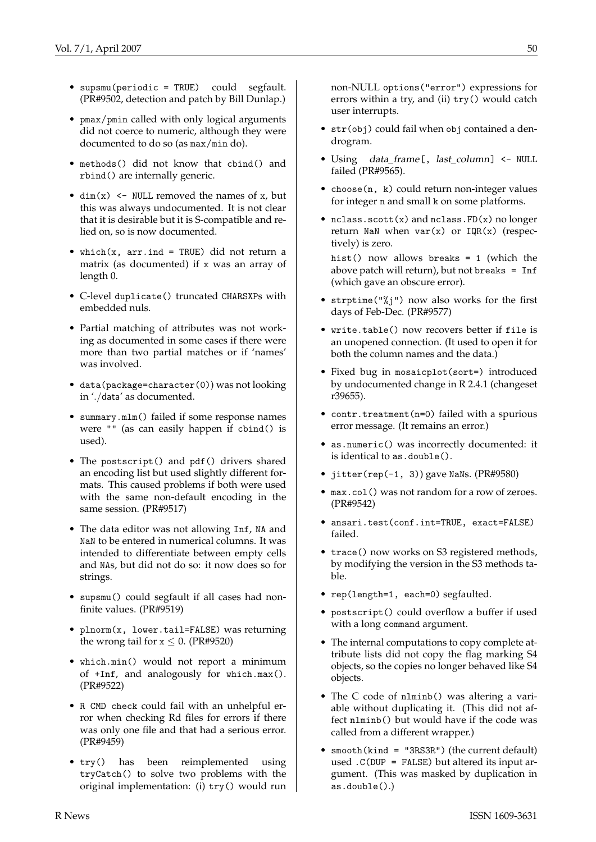- supsmu(periodic = TRUE) could segfault. (PR#9502, detection and patch by Bill Dunlap.)
- pmax/pmin called with only logical arguments did not coerce to numeric, although they were documented to do so (as max/min do).
- methods() did not know that cbind() and rbind() are internally generic.
- $\dim(x)$  <- NULL removed the names of x, but this was always undocumented. It is not clear that it is desirable but it is S-compatible and relied on, so is now documented.
- which(x,  $arr$ . ind = TRUE) did not return a matrix (as documented) if x was an array of length 0.
- C-level duplicate() truncated CHARSXPs with embedded nuls.
- Partial matching of attributes was not working as documented in some cases if there were more than two partial matches or if 'names' was involved.
- data(package=character(0)) was not looking in './data' as documented.
- summary.mlm() failed if some response names were "" (as can easily happen if cbind() is used).
- The postscript() and pdf() drivers shared an encoding list but used slightly different formats. This caused problems if both were used with the same non-default encoding in the same session. (PR#9517)
- The data editor was not allowing Inf, NA and NaN to be entered in numerical columns. It was intended to differentiate between empty cells and NAs, but did not do so: it now does so for strings.
- supsmu() could segfault if all cases had nonfinite values. (PR#9519)
- plnorm(x, lower.tail=FALSE) was returning the wrong tail for  $x \le 0$ . (PR#9520)
- which.min() would not report a minimum of +Inf, and analogously for which.max(). (PR#9522)
- R CMD check could fail with an unhelpful error when checking Rd files for errors if there was only one file and that had a serious error. (PR#9459)
- try() has been reimplemented using tryCatch() to solve two problems with the original implementation: (i) try() would run

non-NULL options("error") expressions for errors within a try, and (ii) try() would catch user interrupts.

- str(obj) could fail when obj contained a dendrogram.
- Using data\_frame [, last\_column] <- NULL failed (PR#9565).
- choose(n, k) could return non-integer values for integer n and small k on some platforms.
- nclass.scott(x) and nclass.FD(x) no longer return NaN when  $var(x)$  or  $IQR(x)$  (respectively) is zero.

hist() now allows breaks = 1 (which the above patch will return), but not breaks = Inf (which gave an obscure error).

- strptime("%j") now also works for the first days of Feb-Dec. (PR#9577)
- write.table() now recovers better if file is an unopened connection. (It used to open it for both the column names and the data.)
- Fixed bug in mosaicplot(sort=) introduced by undocumented change in R 2.4.1 (changeset r39655).
- contr.treatment(n=0) failed with a spurious error message. (It remains an error.)
- as.numeric() was incorrectly documented: it is identical to as.double().
- jitter(rep(-1, 3)) gave NaNs. (PR#9580)
- max.col() was not random for a row of zeroes. (PR#9542)
- ansari.test(conf.int=TRUE, exact=FALSE) failed.
- trace() now works on S3 registered methods, by modifying the version in the S3 methods table.
- rep(length=1, each=0) segfaulted.
- postscript() could overflow a buffer if used with a long command argument.
- The internal computations to copy complete attribute lists did not copy the flag marking S4 objects, so the copies no longer behaved like S4 objects.
- The C code of nlminb() was altering a variable without duplicating it. (This did not affect nlminb() but would have if the code was called from a different wrapper.)
- smooth(kind = "3RS3R") (the current default) used  $.C(DUP = FALSE)$  but altered its input argument. (This was masked by duplication in as.double().)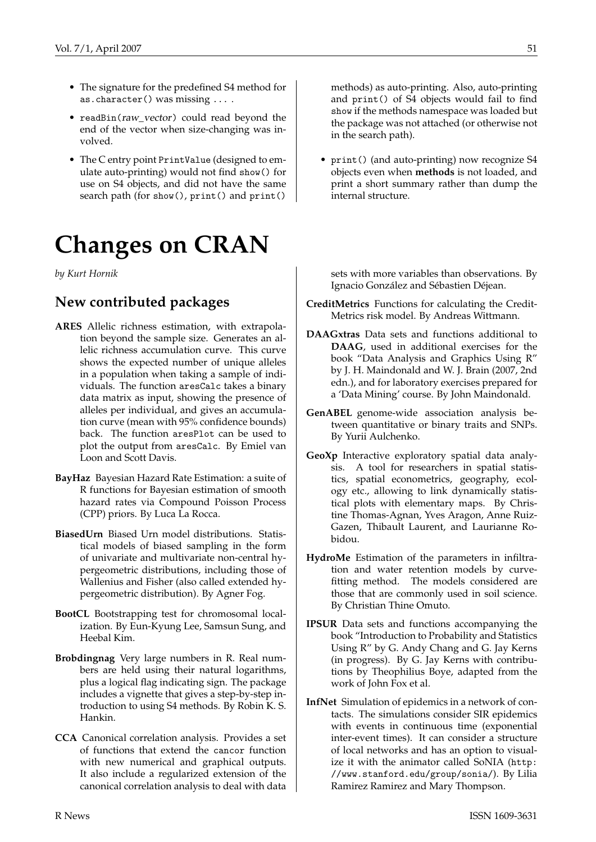- The signature for the predefined S4 method for as.character() was missing ... .
- readBin(raw\_vector) could read beyond the end of the vector when size-changing was involved.
- The C entry point PrintValue (designed to emulate auto-printing) would not find show() for use on S4 objects, and did not have the same search path (for show(), print() and print()

# **Changes on CRAN**

<span id="page-50-0"></span>*by Kurt Hornik*

# **New contributed packages**

- **ARES** Allelic richness estimation, with extrapolation beyond the sample size. Generates an allelic richness accumulation curve. This curve shows the expected number of unique alleles in a population when taking a sample of individuals. The function aresCalc takes a binary data matrix as input, showing the presence of alleles per individual, and gives an accumulation curve (mean with 95% confidence bounds) back. The function aresPlot can be used to plot the output from aresCalc. By Emiel van Loon and Scott Davis.
- **BayHaz** Bayesian Hazard Rate Estimation: a suite of R functions for Bayesian estimation of smooth hazard rates via Compound Poisson Process (CPP) priors. By Luca La Rocca.
- **BiasedUrn** Biased Urn model distributions. Statistical models of biased sampling in the form of univariate and multivariate non-central hypergeometric distributions, including those of Wallenius and Fisher (also called extended hypergeometric distribution). By Agner Fog.
- **BootCL** Bootstrapping test for chromosomal localization. By Eun-Kyung Lee, Samsun Sung, and Heebal Kim.
- **Brobdingnag** Very large numbers in R. Real numbers are held using their natural logarithms, plus a logical flag indicating sign. The package includes a vignette that gives a step-by-step introduction to using S4 methods. By Robin K. S. Hankin.
- **CCA** Canonical correlation analysis. Provides a set of functions that extend the cancor function with new numerical and graphical outputs. It also include a regularized extension of the canonical correlation analysis to deal with data

methods) as auto-printing. Also, auto-printing and print() of S4 objects would fail to find show if the methods namespace was loaded but the package was not attached (or otherwise not in the search path).

• print() (and auto-printing) now recognize S4 objects even when **methods** is not loaded, and print a short summary rather than dump the internal structure.

sets with more variables than observations. By Ignacio González and Sébastien Déjean.

- **CreditMetrics** Functions for calculating the Credit-Metrics risk model. By Andreas Wittmann.
- **DAAGxtras** Data sets and functions additional to **DAAG**, used in additional exercises for the book "Data Analysis and Graphics Using R" by J. H. Maindonald and W. J. Brain (2007, 2nd edn.), and for laboratory exercises prepared for a 'Data Mining' course. By John Maindonald.
- **GenABEL** genome-wide association analysis between quantitative or binary traits and SNPs. By Yurii Aulchenko.
- **GeoXp** Interactive exploratory spatial data analysis. A tool for researchers in spatial statistics, spatial econometrics, geography, ecology etc., allowing to link dynamically statistical plots with elementary maps. By Christine Thomas-Agnan, Yves Aragon, Anne Ruiz-Gazen, Thibault Laurent, and Laurianne Robidou.
- **HydroMe** Estimation of the parameters in infiltration and water retention models by curvefitting method. The models considered are those that are commonly used in soil science. By Christian Thine Omuto.
- **IPSUR** Data sets and functions accompanying the book "Introduction to Probability and Statistics Using R" by G. Andy Chang and G. Jay Kerns (in progress). By G. Jay Kerns with contributions by Theophilius Boye, adapted from the work of John Fox et al.
- **InfNet** Simulation of epidemics in a network of contacts. The simulations consider SIR epidemics with events in continuous time (exponential inter-event times). It can consider a structure of local networks and has an option to visualize it with the animator called SoNIA ([http:](http://www.stanford.edu/group/sonia/) [//www.stanford.edu/group/sonia/](http://www.stanford.edu/group/sonia/)). By Lilia Ramirez Ramirez and Mary Thompson.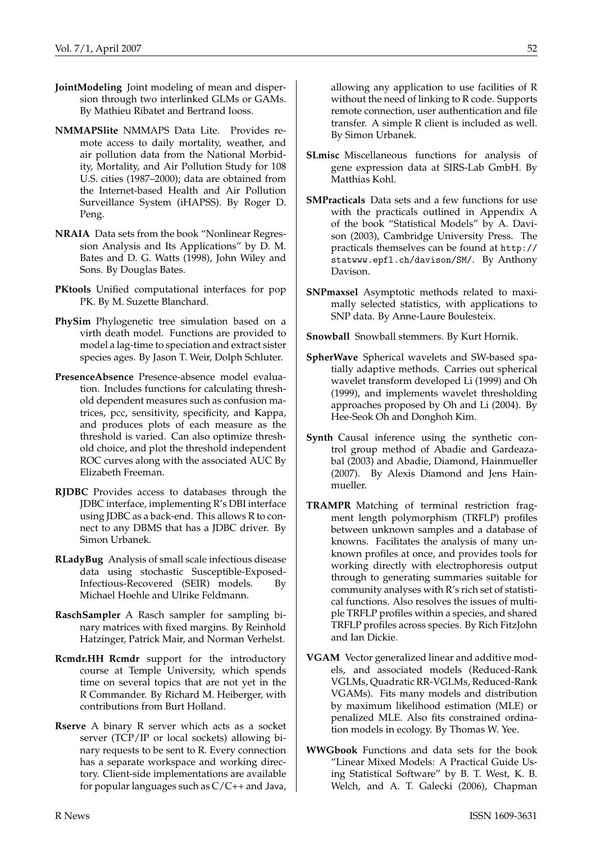- **JointModeling** Joint modeling of mean and dispersion through two interlinked GLMs or GAMs. By Mathieu Ribatet and Bertrand Iooss.
- **NMMAPSlite** NMMAPS Data Lite. Provides remote access to daily mortality, weather, and air pollution data from the National Morbidity, Mortality, and Air Pollution Study for 108 U.S. cities (1987–2000); data are obtained from the Internet-based Health and Air Pollution Surveillance System (iHAPSS). By Roger D. Peng.
- **NRAIA** Data sets from the book "Nonlinear Regression Analysis and Its Applications" by D. M. Bates and D. G. Watts (1998), John Wiley and Sons. By Douglas Bates.
- **PKtools** Unified computational interfaces for pop PK. By M. Suzette Blanchard.
- **PhySim** Phylogenetic tree simulation based on a virth death model. Functions are provided to model a lag-time to speciation and extract sister species ages. By Jason T. Weir, Dolph Schluter.
- **PresenceAbsence** Presence-absence model evaluation. Includes functions for calculating threshold dependent measures such as confusion matrices, pcc, sensitivity, specificity, and Kappa, and produces plots of each measure as the threshold is varied. Can also optimize threshold choice, and plot the threshold independent ROC curves along with the associated AUC By Elizabeth Freeman.
- **RJDBC** Provides access to databases through the JDBC interface, implementing R's DBI interface using JDBC as a back-end. This allows R to connect to any DBMS that has a JDBC driver. By Simon Urbanek.
- **RLadyBug** Analysis of small scale infectious disease data using stochastic Susceptible-Exposed-Infectious-Recovered (SEIR) models. By Michael Hoehle and Ulrike Feldmann.
- **RaschSampler** A Rasch sampler for sampling binary matrices with fixed margins. By Reinhold Hatzinger, Patrick Mair, and Norman Verhelst.
- **Rcmdr.HH Rcmdr** support for the introductory course at Temple University, which spends time on several topics that are not yet in the R Commander. By Richard M. Heiberger, with contributions from Burt Holland.
- **Rserve** A binary R server which acts as a socket server (TCP/IP or local sockets) allowing binary requests to be sent to R. Every connection has a separate workspace and working directory. Client-side implementations are available for popular languages such as  $C/C++$  and Java,

allowing any application to use facilities of R without the need of linking to R code. Supports remote connection, user authentication and file transfer. A simple R client is included as well. By Simon Urbanek.

- **SLmisc** Miscellaneous functions for analysis of gene expression data at SIRS-Lab GmbH. By Matthias Kohl.
- **SMPracticals** Data sets and a few functions for use with the practicals outlined in Appendix A of the book "Statistical Models" by A. Davison (2003), Cambridge University Press. The practicals themselves can be found at [http://](http://statwww.epfl.ch/davison/SM/) [statwww.epfl.ch/davison/SM/](http://statwww.epfl.ch/davison/SM/). By Anthony Davison.
- **SNPmaxsel** Asymptotic methods related to maximally selected statistics, with applications to SNP data. By Anne-Laure Boulesteix.

**Snowball** Snowball stemmers. By Kurt Hornik.

- **SpherWave** Spherical wavelets and SW-based spatially adaptive methods. Carries out spherical wavelet transform developed Li (1999) and Oh (1999), and implements wavelet thresholding approaches proposed by Oh and Li (2004). By Hee-Seok Oh and Donghoh Kim.
- **Synth** Causal inference using the synthetic control group method of Abadie and Gardeazabal (2003) and Abadie, Diamond, Hainmueller (2007). By Alexis Diamond and Jens Hainmueller.
- **TRAMPR** Matching of terminal restriction fragment length polymorphism (TRFLP) profiles between unknown samples and a database of knowns. Facilitates the analysis of many unknown profiles at once, and provides tools for working directly with electrophoresis output through to generating summaries suitable for community analyses with R's rich set of statistical functions. Also resolves the issues of multiple TRFLP profiles within a species, and shared TRFLP profiles across species. By Rich FitzJohn and Ian Dickie.
- **VGAM** Vector generalized linear and additive models, and associated models (Reduced-Rank VGLMs, Quadratic RR-VGLMs, Reduced-Rank VGAMs). Fits many models and distribution by maximum likelihood estimation (MLE) or penalized MLE. Also fits constrained ordination models in ecology. By Thomas W. Yee.
- **WWGbook** Functions and data sets for the book "Linear Mixed Models: A Practical Guide Using Statistical Software" by B. T. West, K. B. Welch, and A. T. Galecki (2006), Chapman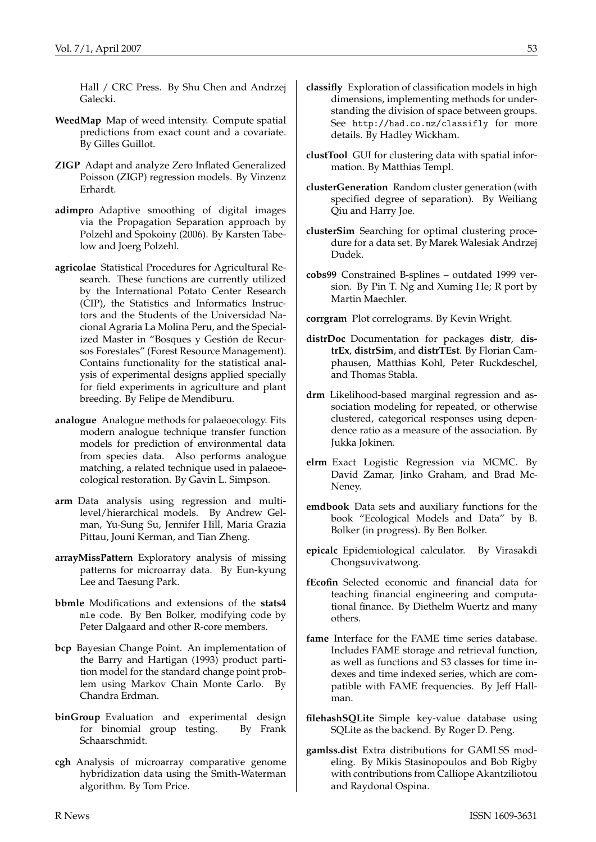Hall / CRC Press. By Shu Chen and Andrzej Galecki.

- **WeedMap** Map of weed intensity. Compute spatial predictions from exact count and a covariate. By Gilles Guillot.
- **ZIGP** Adapt and analyze Zero Inflated Generalized Poisson (ZIGP) regression models. By Vinzenz Erhardt.
- **adimpro** Adaptive smoothing of digital images via the Propagation Separation approach by Polzehl and Spokoiny (2006). By Karsten Tabelow and Joerg Polzehl.
- **agricolae** Statistical Procedures for Agricultural Research. These functions are currently utilized by the International Potato Center Research (CIP), the Statistics and Informatics Instructors and the Students of the Universidad Nacional Agraria La Molina Peru, and the Specialized Master in "Bosques y Gestión de Recursos Forestales" (Forest Resource Management). Contains functionality for the statistical analysis of experimental designs applied specially for field experiments in agriculture and plant breeding. By Felipe de Mendiburu.
- **analogue** Analogue methods for palaeoecology. Fits modern analogue technique transfer function models for prediction of environmental data from species data. Also performs analogue matching, a related technique used in palaeoecological restoration. By Gavin L. Simpson.
- **arm** Data analysis using regression and multilevel/hierarchical models. By Andrew Gelman, Yu-Sung Su, Jennifer Hill, Maria Grazia Pittau, Jouni Kerman, and Tian Zheng.
- **arrayMissPattern** Exploratory analysis of missing patterns for microarray data. By Eun-kyung Lee and Taesung Park.
- **bbmle** Modifications and extensions of the **stats4** mle code. By Ben Bolker, modifying code by Peter Dalgaard and other R-core members.
- **bcp** Bayesian Change Point. An implementation of the Barry and Hartigan (1993) product partition model for the standard change point problem using Markov Chain Monte Carlo. By Chandra Erdman.
- **binGroup** Evaluation and experimental design for binomial group testing. By Frank Schaarschmidt.
- **cgh** Analysis of microarray comparative genome hybridization data using the Smith-Waterman algorithm. By Tom Price.
- **classifly** Exploration of classification models in high dimensions, implementing methods for understanding the division of space between groups. See <http://had.co.nz/classifly> for more details. By Hadley Wickham.
- **clustTool** GUI for clustering data with spatial information. By Matthias Templ.
- **clusterGeneration** Random cluster generation (with specified degree of separation). By Weiliang Qiu and Harry Joe.
- **clusterSim** Searching for optimal clustering procedure for a data set. By Marek Walesiak Andrzej Dudek.
- **cobs99** Constrained B-splines outdated 1999 version. By Pin T. Ng and Xuming He; R port by Martin Maechler.
- **corrgram** Plot correlograms. By Kevin Wright.
- **distrDoc** Documentation for packages **distr**, **distrEx**, **distrSim**, and **distrTEst**. By Florian Camphausen, Matthias Kohl, Peter Ruckdeschel, and Thomas Stabla.
- **drm** Likelihood-based marginal regression and association modeling for repeated, or otherwise clustered, categorical responses using dependence ratio as a measure of the association. By Jukka Jokinen.
- **elrm** Exact Logistic Regression via MCMC. By David Zamar, Jinko Graham, and Brad Mc-Neney.
- **emdbook** Data sets and auxiliary functions for the book "Ecological Models and Data" by B. Bolker (in progress). By Ben Bolker.
- **epicalc** Epidemiological calculator. By Virasakdi Chongsuvivatwong.
- **fEcofin** Selected economic and financial data for teaching financial engineering and computational finance. By Diethelm Wuertz and many others.
- **fame** Interface for the FAME time series database. Includes FAME storage and retrieval function, as well as functions and S3 classes for time indexes and time indexed series, which are compatible with FAME frequencies. By Jeff Hallman.
- **filehashSQLite** Simple key-value database using SQLite as the backend. By Roger D. Peng.
- **gamlss.dist** Extra distributions for GAMLSS modeling. By Mikis Stasinopoulos and Bob Rigby with contributions from Calliope Akantziliotou and Raydonal Ospina.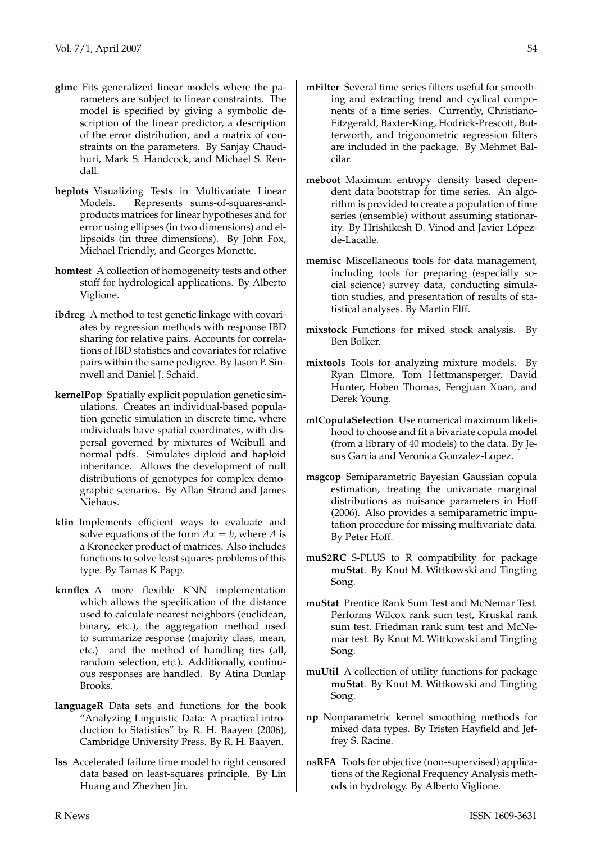- **glmc** Fits generalized linear models where the parameters are subject to linear constraints. The model is specified by giving a symbolic description of the linear predictor, a description of the error distribution, and a matrix of constraints on the parameters. By Sanjay Chaudhuri, Mark S. Handcock, and Michael S. Rendall.
- **heplots** Visualizing Tests in Multivariate Linear Models. Represents sums-of-squares-andproducts matrices for linear hypotheses and for error using ellipses (in two dimensions) and ellipsoids (in three dimensions). By John Fox, Michael Friendly, and Georges Monette.
- **homtest** A collection of homogeneity tests and other stuff for hydrological applications. By Alberto Viglione.
- **ibdreg** A method to test genetic linkage with covariates by regression methods with response IBD sharing for relative pairs. Accounts for correlations of IBD statistics and covariates for relative pairs within the same pedigree. By Jason P. Sinnwell and Daniel J. Schaid.
- **kernelPop** Spatially explicit population genetic simulations. Creates an individual-based population genetic simulation in discrete time, where individuals have spatial coordinates, with dispersal governed by mixtures of Weibull and normal pdfs. Simulates diploid and haploid inheritance. Allows the development of null distributions of genotypes for complex demographic scenarios. By Allan Strand and James Niehaus.
- **klin** Implements efficient ways to evaluate and solve equations of the form  $Ax = b$ , where *A* is a Kronecker product of matrices. Also includes functions to solve least squares problems of this type. By Tamas K Papp.
- **knnflex** A more flexible KNN implementation which allows the specification of the distance used to calculate nearest neighbors (euclidean, binary, etc.), the aggregation method used to summarize response (majority class, mean, etc.) and the method of handling ties (all, random selection, etc.). Additionally, continuous responses are handled. By Atina Dunlap Brooks.
- **languageR** Data sets and functions for the book "Analyzing Linguistic Data: A practical introduction to Statistics" by R. H. Baayen (2006), Cambridge University Press. By R. H. Baayen.
- **lss** Accelerated failure time model to right censored data based on least-squares principle. By Lin Huang and Zhezhen Jin.
- **mFilter** Several time series filters useful for smooth-
- ing and extracting trend and cyclical components of a time series. Currently, Christiano-Fitzgerald, Baxter-King, Hodrick-Prescott, Butterworth, and trigonometric regression filters are included in the package. By Mehmet Balcilar.
- **meboot** Maximum entropy density based dependent data bootstrap for time series. An algorithm is provided to create a population of time series (ensemble) without assuming stationarity. By Hrishikesh D. Vinod and Javier Lópezde-Lacalle.
- **memisc** Miscellaneous tools for data management, including tools for preparing (especially social science) survey data, conducting simulation studies, and presentation of results of statistical analyses. By Martin Elff.
- **mixstock** Functions for mixed stock analysis. By Ben Bolker.
- **mixtools** Tools for analyzing mixture models. By Ryan Elmore, Tom Hettmansperger, David Hunter, Hoben Thomas, Fengjuan Xuan, and Derek Young.
- **mlCopulaSelection** Use numerical maximum likelihood to choose and fit a bivariate copula model (from a library of 40 models) to the data. By Jesus Garcia and Veronica Gonzalez-Lopez.
- **msgcop** Semiparametric Bayesian Gaussian copula estimation, treating the univariate marginal distributions as nuisance parameters in Hoff (2006). Also provides a semiparametric imputation procedure for missing multivariate data. By Peter Hoff.
- **muS2RC** S-PLUS to R compatibility for package **muStat**. By Knut M. Wittkowski and Tingting Song.
- **muStat** Prentice Rank Sum Test and McNemar Test. Performs Wilcox rank sum test, Kruskal rank sum test, Friedman rank sum test and McNemar test. By Knut M. Wittkowski and Tingting Song.
- **muUtil** A collection of utility functions for package **muStat**. By Knut M. Wittkowski and Tingting Song.
- **np** Nonparametric kernel smoothing methods for mixed data types. By Tristen Hayfield and Jeffrey S. Racine.
- **nsRFA** Tools for objective (non-supervised) applications of the Regional Frequency Analysis methods in hydrology. By Alberto Viglione.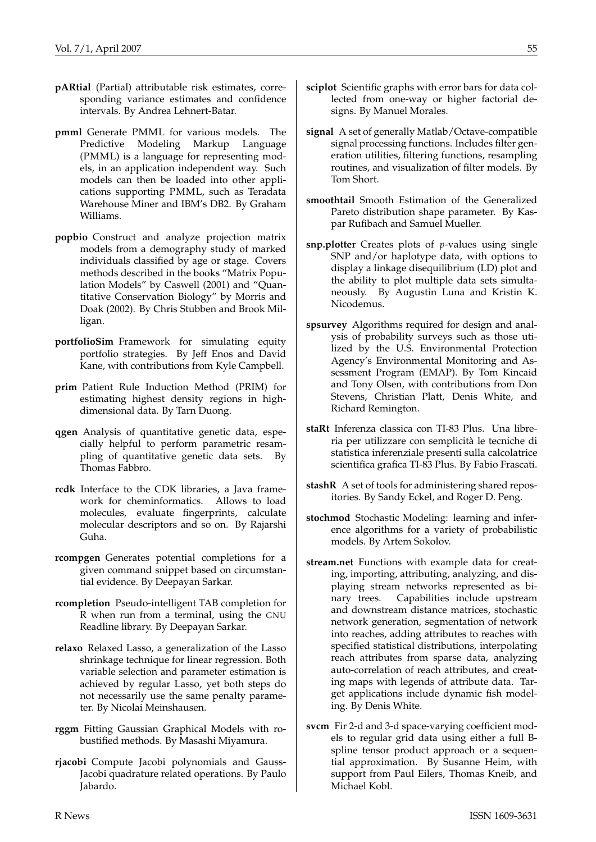- **pARtial** (Partial) attributable risk estimates, corresponding variance estimates and confidence intervals. By Andrea Lehnert-Batar.
- **pmml** Generate PMML for various models. The Predictive Modeling Markup Language (PMML) is a language for representing models, in an application independent way. Such models can then be loaded into other applications supporting PMML, such as Teradata Warehouse Miner and IBM's DB2. By Graham Williams.
- **popbio** Construct and analyze projection matrix models from a demography study of marked individuals classified by age or stage. Covers methods described in the books "Matrix Population Models" by Caswell (2001) and "Quantitative Conservation Biology" by Morris and Doak (2002). By Chris Stubben and Brook Milligan.
- **portfolioSim** Framework for simulating equity portfolio strategies. By Jeff Enos and David Kane, with contributions from Kyle Campbell.
- **prim** Patient Rule Induction Method (PRIM) for estimating highest density regions in highdimensional data. By Tarn Duong.
- **qgen** Analysis of quantitative genetic data, especially helpful to perform parametric resampling of quantitative genetic data sets. By Thomas Fabbro.
- **rcdk** Interface to the CDK libraries, a Java framework for cheminformatics. Allows to load molecules, evaluate fingerprints, calculate molecular descriptors and so on. By Rajarshi Guha.
- **rcompgen** Generates potential completions for a given command snippet based on circumstantial evidence. By Deepayan Sarkar.
- **rcompletion** Pseudo-intelligent TAB completion for R when run from a terminal, using the GNU Readline library. By Deepayan Sarkar.
- **relaxo** Relaxed Lasso, a generalization of the Lasso shrinkage technique for linear regression. Both variable selection and parameter estimation is achieved by regular Lasso, yet both steps do not necessarily use the same penalty parameter. By Nicolai Meinshausen.
- **rggm** Fitting Gaussian Graphical Models with robustified methods. By Masashi Miyamura.
- **rjacobi** Compute Jacobi polynomials and Gauss-Jacobi quadrature related operations. By Paulo Jabardo.
- **sciplot** Scientific graphs with error bars for data collected from one-way or higher factorial designs. By Manuel Morales.
- **signal** A set of generally Matlab/Octave-compatible signal processing functions. Includes filter generation utilities, filtering functions, resampling routines, and visualization of filter models. By Tom Short.
- **smoothtail** Smooth Estimation of the Generalized Pareto distribution shape parameter. By Kaspar Rufibach and Samuel Mueller.
- **snp.plotter** Creates plots of *p*-values using single SNP and/or haplotype data, with options to display a linkage disequilibrium (LD) plot and the ability to plot multiple data sets simultaneously. By Augustin Luna and Kristin K. Nicodemus.
- **spsurvey** Algorithms required for design and analysis of probability surveys such as those utilized by the U.S. Environmental Protection Agency's Environmental Monitoring and Assessment Program (EMAP). By Tom Kincaid and Tony Olsen, with contributions from Don Stevens, Christian Platt, Denis White, and Richard Remington.
- **staRt** Inferenza classica con TI-83 Plus. Una libreria per utilizzare con semplicità le tecniche di statistica inferenziale presenti sulla calcolatrice scientifica grafica TI-83 Plus. By Fabio Frascati.
- **stashR** A set of tools for administering shared repositories. By Sandy Eckel, and Roger D. Peng.
- **stochmod** Stochastic Modeling: learning and inference algorithms for a variety of probabilistic models. By Artem Sokolov.
- **stream.net** Functions with example data for creating, importing, attributing, analyzing, and displaying stream networks represented as binary trees. Capabilities include upstream and downstream distance matrices, stochastic network generation, segmentation of network into reaches, adding attributes to reaches with specified statistical distributions, interpolating reach attributes from sparse data, analyzing auto-correlation of reach attributes, and creating maps with legends of attribute data. Target applications include dynamic fish modeling. By Denis White.
- **svcm** Fir 2-d and 3-d space-varying coefficient models to regular grid data using either a full Bspline tensor product approach or a sequential approximation. By Susanne Heim, with support from Paul Eilers, Thomas Kneib, and Michael Kobl.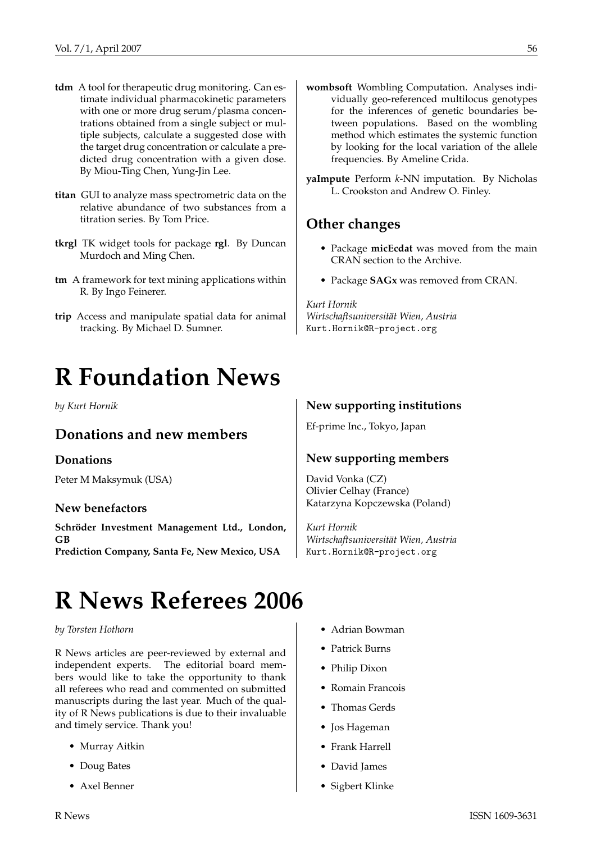- **tdm** A tool for therapeutic drug monitoring. Can estimate individual pharmacokinetic parameters with one or more drug serum/plasma concentrations obtained from a single subject or multiple subjects, calculate a suggested dose with the target drug concentration or calculate a predicted drug concentration with a given dose. By Miou-Ting Chen, Yung-Jin Lee.
- **titan** GUI to analyze mass spectrometric data on the relative abundance of two substances from a titration series. By Tom Price.
- **tkrgl** TK widget tools for package **rgl**. By Duncan Murdoch and Ming Chen.
- **tm** A framework for text mining applications within R. By Ingo Feinerer.
- **trip** Access and manipulate spatial data for animal tracking. By Michael D. Sumner.

# **R Foundation News**

#### <span id="page-55-0"></span>*by Kurt Hornik*

## **Donations and new members**

#### **Donations**

Peter M Maksymuk (USA)

#### **New benefactors**

**Schröder Investment Management Ltd., London, GB Prediction Company, Santa Fe, New Mexico, USA**

- **wombsoft** Wombling Computation. Analyses individually geo-referenced multilocus genotypes for the inferences of genetic boundaries between populations. Based on the wombling method which estimates the systemic function by looking for the local variation of the allele frequencies. By Ameline Crida.
- **yaImpute** Perform *k*-NN imputation. By Nicholas L. Crookston and Andrew O. Finley.

## **Other changes**

- Package **micEcdat** was moved from the main CRAN section to the Archive.
- Package **SAGx** was removed from CRAN.

#### *Kurt Hornik*

*Wirtschaftsuniversität Wien, Austria* [Kurt.Hornik@R-project.org](mailto:Kurt.Hornik@R-project.org)

#### **New supporting institutions**

Ef-prime Inc., Tokyo, Japan

#### **New supporting members**

David Vonka (CZ) Olivier Celhay (France) Katarzyna Kopczewska (Poland)

*Kurt Hornik Wirtschaftsuniversität Wien, Austria* [Kurt.Hornik@R-project.org](mailto:Kurt.Hornik@R-project.org)

# **R News Referees 2006**

#### <span id="page-55-1"></span>*by Torsten Hothorn*

R News articles are peer-reviewed by external and independent experts. The editorial board members would like to take the opportunity to thank all referees who read and commented on submitted manuscripts during the last year. Much of the quality of R News publications is due to their invaluable and timely service. Thank you!

- Murray Aitkin
- Doug Bates
- Axel Benner
- Adrian Bowman
- Patrick Burns
- Philip Dixon
- Romain Francois
- Thomas Gerds
- Jos Hageman
- Frank Harrell
- David James
- Sigbert Klinke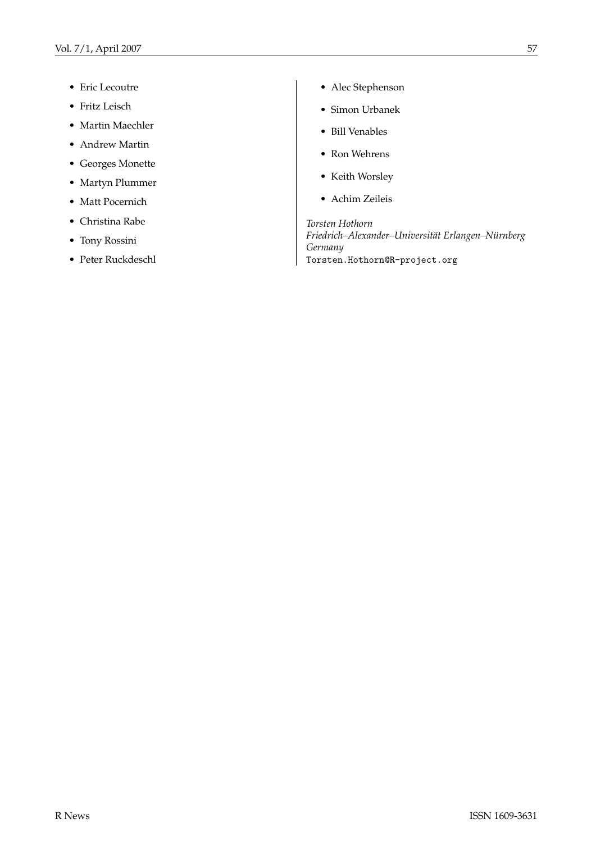- Eric Lecoutre
- Fritz Leisch
- Martin Maechler
- Andrew Martin
- Georges Monette
- Martyn Plummer
- Matt Pocernich
- Christina Rabe
- Tony Rossini
- Peter Ruckdeschl
- Alec Stephenson
- Simon Urbanek
- Bill Venables
- Ron Wehrens
- Keith Worsley
- Achim Zeileis

*Torsten Hothorn Friedrich–Alexander–Universität Erlangen–Nürnberg Germany* [Torsten.Hothorn@R-project.org](mailto:Torsten.Hothorn@R-project.org)